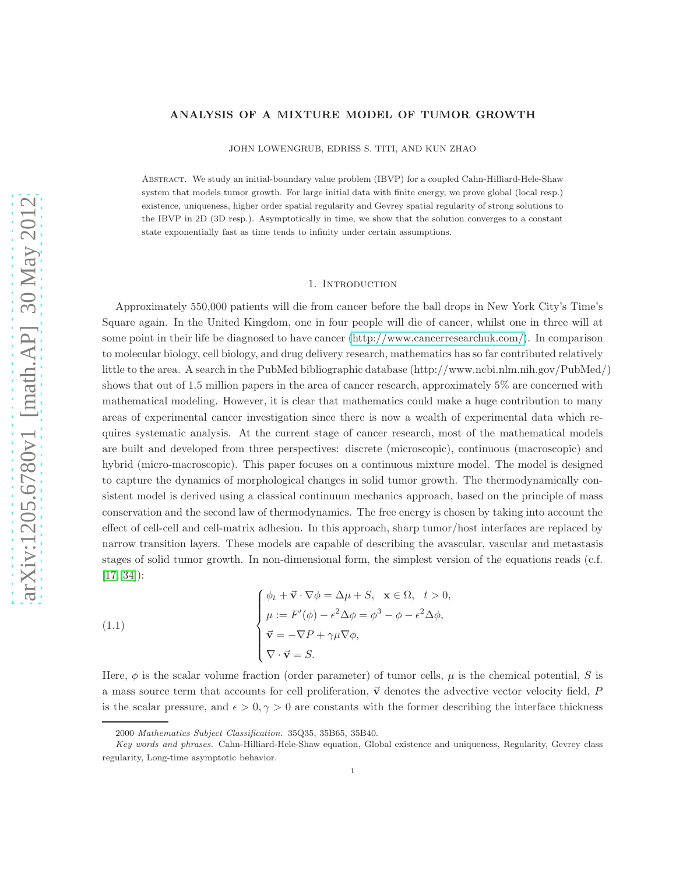## ANALYSIS OF A MIXTURE MODEL OF TUMOR GROWTH

JOHN LOWENGRUB, EDRISS S. TITI, AND KUN ZHAO

Abstract. We study an initial-boundary value problem (IBVP) for a coupled Cahn-Hilliard-Hele-Shaw system that models tumor growth. For large initial data with finite energy, we prove global (local resp.) existence, uniqueness, higher order spatial regularity and Gevrey spatial regularity of strong solutions to the IBVP in 2D (3D resp.). Asymptotically in time, we show that the solution converges to a constant state exponentially fast as time tends to infinity under certain assumptions.

#### 1. Introduction

Approximately 550,000 patients will die from cancer before the ball drops in New York City's Time's Square again. In the United Kingdom, one in four people will die of cancer, whilst one in three will at some point in their life be diagnosed to have cancer [\(http://www.cancerresearchuk.com/\)](http://www.cancerresearchuk.com/). In comparison to molecular biology, cell biology, and drug delivery research, mathematics has so far contributed relatively little to the area. A search in the PubMed bibliographic database (http://www.ncbi.nlm.nih.gov/PubMed/) shows that out of 1.5 million papers in the area of cancer research, approximately 5% are concerned with mathematical modeling. However, it is clear that mathematics could make a huge contribution to many areas of experimental cancer investigation since there is now a wealth of experimental data which requires systematic analysis. At the current stage of cancer research, most of the mathematical models are built and developed from three perspectives: discrete (microscopic), continuous (macroscopic) and hybrid (micro-macroscopic). This paper focuses on a continuous mixture model. The model is designed to capture the dynamics of morphological changes in solid tumor growth. The thermodynamically consistent model is derived using a classical continuum mechanics approach, based on the principle of mass conservation and the second law of thermodynamics. The free energy is chosen by taking into account the effect of cell-cell and cell-matrix adhesion. In this approach, sharp tumor/host interfaces are replaced by narrow transition layers. These models are capable of describing the avascular, vascular and metastasis stages of solid tumor growth. In non-dimensional form, the simplest version of the equations reads (c.f. [\[17,](#page-34-0) [34\]](#page-35-0)):

<span id="page-0-0"></span>(1.1)  
\n
$$
\begin{cases}\n\phi_t + \vec{v} \cdot \nabla \phi = \Delta \mu + S, & \mathbf{x} \in \Omega, \quad t > 0, \\
\mu := F'(\phi) - \epsilon^2 \Delta \phi = \phi^3 - \phi - \epsilon^2 \Delta \phi, \\
\vec{v} = -\nabla P + \gamma \mu \nabla \phi, \\
\nabla \cdot \vec{v} = S.\n\end{cases}
$$

Here,  $\phi$  is the scalar volume fraction (order parameter) of tumor cells,  $\mu$  is the chemical potential, S is a mass source term that accounts for cell proliferation,  $\vec{v}$  denotes the advective vector velocity field, P is the scalar pressure, and  $\epsilon > 0, \gamma > 0$  are constants with the former describing the interface thickness

<sup>2000</sup> Mathematics Subject Classification. 35Q35, 35B65, 35B40.

Key words and phrases. Cahn-Hilliard-Hele-Shaw equation, Global existence and uniqueness, Regularity, Gevrey class regularity, Long-time asymptotic behavior.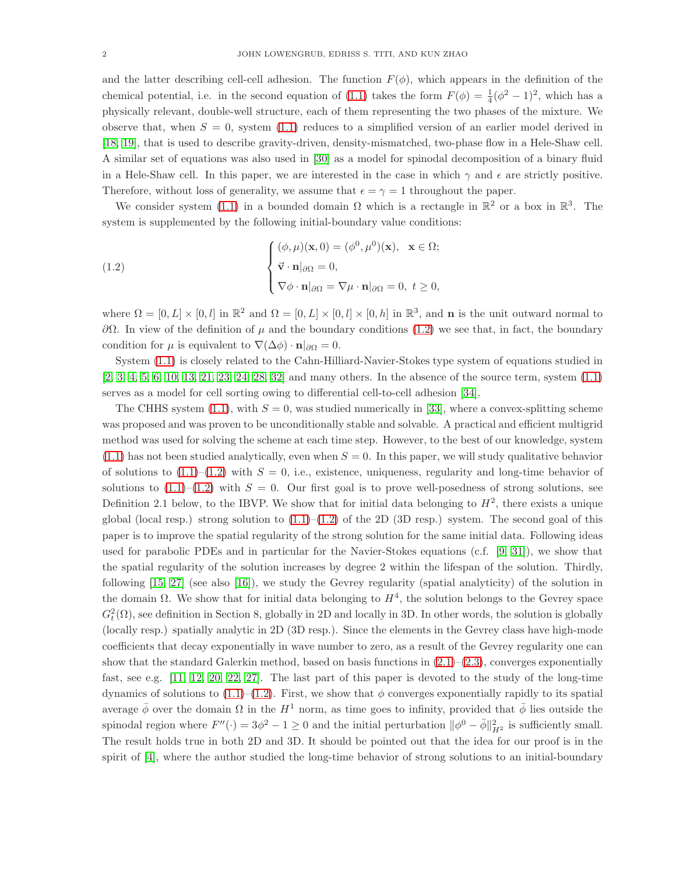and the latter describing cell-cell adhesion. The function  $F(\phi)$ , which appears in the definition of the chemical potential, i.e. in the second equation of [\(1.1\)](#page-0-0) takes the form  $F(\phi) = \frac{1}{4}(\phi^2 - 1)^2$ , which has a physically relevant, double-well structure, each of them representing the two phases of the mixture. We observe that, when  $S = 0$ , system [\(1.1\)](#page-0-0) reduces to a simplified version of an earlier model derived in [\[18,](#page-34-1) [19\]](#page-34-2), that is used to describe gravity-driven, density-mismatched, two-phase flow in a Hele-Shaw cell. A similar set of equations was also used in [\[30\]](#page-35-1) as a model for spinodal decomposition of a binary fluid in a Hele-Shaw cell. In this paper, we are interested in the case in which  $\gamma$  and  $\epsilon$  are strictly positive. Therefore, without loss of generality, we assume that  $\epsilon = \gamma = 1$  throughout the paper.

We consider system [\(1.1\)](#page-0-0) in a bounded domain  $\Omega$  which is a rectangle in  $\mathbb{R}^2$  or a box in  $\mathbb{R}^3$ . The system is supplemented by the following initial-boundary value conditions:

<span id="page-1-0"></span>(1.2) 
$$
\begin{cases} (\phi, \mu)(\mathbf{x}, 0) = (\phi^0, \mu^0)(\mathbf{x}), \quad \mathbf{x} \in \Omega; \\ \vec{\mathbf{v}} \cdot \mathbf{n}|_{\partial \Omega} = 0, \\ \nabla \phi \cdot \mathbf{n}|_{\partial \Omega} = \nabla \mu \cdot \mathbf{n}|_{\partial \Omega} = 0, \ t \ge 0, \end{cases}
$$

where  $\Omega = [0, L] \times [0, l]$  in  $\mathbb{R}^2$  and  $\Omega = [0, L] \times [0, l] \times [0, h]$  in  $\mathbb{R}^3$ , and **n** is the unit outward normal to  $\partial Ω$ . In view of the definition of  $\mu$  and the boundary conditions [\(1.2\)](#page-1-0) we see that, in fact, the boundary condition for  $\mu$  is equivalent to  $\nabla(\Delta \phi) \cdot \mathbf{n}|_{\partial \Omega} = 0$ .

System [\(1.1\)](#page-0-0) is closely related to the Cahn-Hilliard-Navier-Stokes type system of equations studied in [\[2,](#page-34-3) [3,](#page-34-4) [4,](#page-34-5) [5,](#page-34-6) [6,](#page-34-7) [10,](#page-34-8) [13,](#page-34-9) [21,](#page-34-10) [23,](#page-35-2) [24,](#page-35-3) [28,](#page-35-4) [32\]](#page-35-5) and many others. In the absence of the source term, system [\(1.1\)](#page-0-0) serves as a model for cell sorting owing to differential cell-to-cell adhesion [\[34\]](#page-35-0).

The CHHS system [\(1.1\)](#page-0-0), with  $S = 0$ , was studied numerically in [\[33\]](#page-35-6), where a convex-splitting scheme was proposed and was proven to be unconditionally stable and solvable. A practical and efficient multigrid method was used for solving the scheme at each time step. However, to the best of our knowledge, system  $(1.1)$  has not been studied analytically, even when  $S = 0$ . In this paper, we will study qualitative behavior of solutions to  $(1.1)$ – $(1.2)$  with  $S = 0$ , i.e., existence, uniqueness, regularity and long-time behavior of solutions to  $(1.1)$ – $(1.2)$  with  $S = 0$ . Our first goal is to prove well-posedness of strong solutions, see Definition 2.1 below, to the IBVP. We show that for initial data belonging to  $H^2$ , there exists a unique global (local resp.) strong solution to  $(1.1)$ – $(1.2)$  of the 2D (3D resp.) system. The second goal of this paper is to improve the spatial regularity of the strong solution for the same initial data. Following ideas used for parabolic PDEs and in particular for the Navier-Stokes equations (c.f. [\[9,](#page-34-11) [31\]](#page-35-7)), we show that the spatial regularity of the solution increases by degree 2 within the lifespan of the solution. Thirdly, following [\[15,](#page-34-12) [27\]](#page-35-8) (see also [\[16\]](#page-34-13)), we study the Gevrey regularity (spatial analyticity) of the solution in the domain  $\Omega$ . We show that for initial data belonging to  $H^4$ , the solution belongs to the Gevrey space  $G_t^2(\Omega)$ , see definition in Section 8, globally in 2D and locally in 3D. In other words, the solution is globally (locally resp.) spatially analytic in 2D (3D resp.). Since the elements in the Gevrey class have high-mode coefficients that decay exponentially in wave number to zero, as a result of the Gevrey regularity one can show that the standard Galerkin method, based on basis functions in  $(2.1)$ – $(2.3)$ , converges exponentially fast, see e.g. [\[11,](#page-34-14) [12,](#page-34-15) [20,](#page-34-16) [22,](#page-34-17) [27\]](#page-35-8). The last part of this paper is devoted to the study of the long-time dynamics of solutions to  $(1.1)$ – $(1.2)$ . First, we show that φ converges exponentially rapidly to its spatial average  $\bar{\phi}$  over the domain  $\Omega$  in the  $H^1$  norm, as time goes to infinity, provided that  $\bar{\phi}$  lies outside the spinodal region where  $F''(\cdot) = 3\phi^2 - 1 \ge 0$  and the initial perturbation  $\|\phi^0 - \bar{\phi}\|^2_{H^2}$  is sufficiently small. The result holds true in both 2D and 3D. It should be pointed out that the idea for our proof is in the spirit of [\[4\]](#page-34-5), where the author studied the long-time behavior of strong solutions to an initial-boundary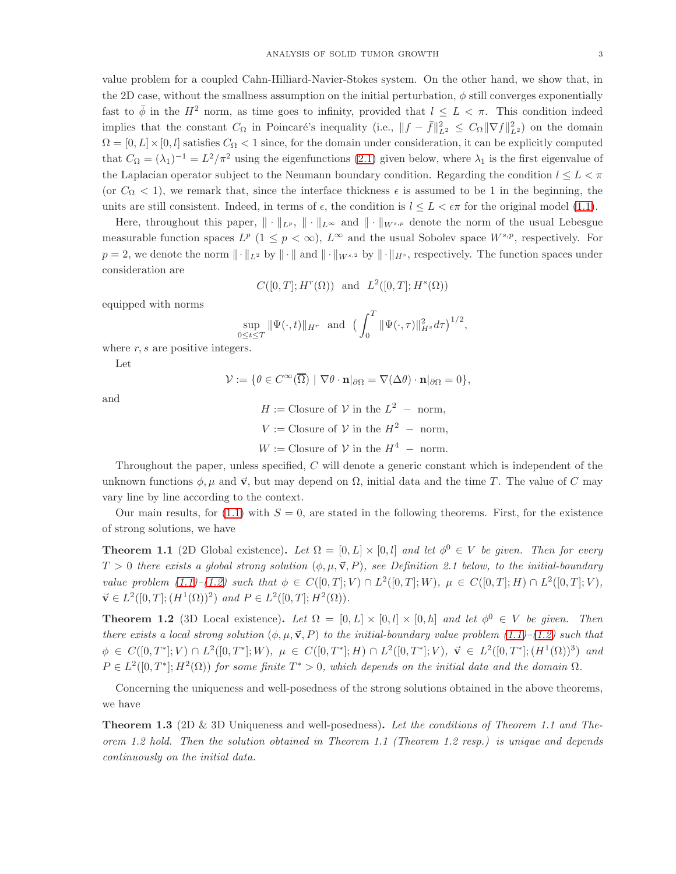value problem for a coupled Cahn-Hilliard-Navier-Stokes system. On the other hand, we show that, in the 2D case, without the smallness assumption on the initial perturbation,  $\phi$  still converges exponentially fast to  $\bar{\phi}$  in the  $H^2$  norm, as time goes to infinity, provided that  $l \leq L < \pi$ . This condition indeed implies that the constant  $C_{\Omega}$  in Poincaré's inequality (i.e.,  $||f - \bar{f}||_{L^2}^2 \leq C_{\Omega} ||\nabla f||_{L^2}^2$ ) on the domain  $\Omega = [0, L] \times [0, l]$  satisfies  $C_{\Omega} < 1$  since, for the domain under consideration, it can be explicitly computed that  $C_{\Omega} = (\lambda_1)^{-1} = L^2/\pi^2$  using the eigenfunctions [\(2.1\)](#page-4-0) given below, where  $\lambda_1$  is the first eigenvalue of the Laplacian operator subject to the Neumann boundary condition. Regarding the condition  $l \leq L < \pi$ (or  $C_{\Omega} < 1$ ), we remark that, since the interface thickness  $\epsilon$  is assumed to be 1 in the beginning, the units are still consistent. Indeed, in terms of  $\epsilon$ , the condition is  $l \leq L < \epsilon \pi$  for the original model [\(1.1\)](#page-0-0).

Here, throughout this paper,  $\|\cdot\|_{L^p}$ ,  $\|\cdot\|_{L^{\infty}}$  and  $\|\cdot\|_{W^{s,p}}$  denote the norm of the usual Lebesgue measurable function spaces  $L^p$   $(1 \leq p < \infty)$ ,  $L^{\infty}$  and the usual Sobolev space  $W^{s,p}$ , respectively. For  $p = 2$ , we denote the norm  $\|\cdot\|_{L^2}$  by  $\|\cdot\|$  and  $\|\cdot\|_{W^{s,2}}$  by  $\|\cdot\|_{H^s}$ , respectively. The function spaces under consideration are

$$
C([0,T];H^r(\Omega))
$$
 and  $L^2([0,T];H^s(\Omega))$ 

equipped with norms

$$
\sup_{0 \le t \le T} \|\Psi(\cdot, t)\|_{H^r} \text{ and } \left(\int_0^T \|\Psi(\cdot, \tau)\|_{H^s}^2 d\tau\right)^{1/2},
$$

where  $r, s$  are positive integers.

Let

 $\mathcal{V} := \{ \theta \in C^{\infty}(\overline{\Omega}) \mid \nabla \theta \cdot \mathbf{n} |_{\partial \Omega} = \nabla(\Delta \theta) \cdot \mathbf{n} |_{\partial \Omega} = 0 \},\$ 

and

 $H := \text{Closure of } \mathcal{V} \text{ in the } L^2 \text{ -- norm,}$  $V := \text{Closure of } V \text{ in the } H^2 \text{ -- norm,}$  $W := \text{Closure of } \mathcal{V} \text{ in the } H^4 \text{ -- norm.}$ 

Throughout the paper, unless specified, C will denote a generic constant which is independent of the unknown functions  $\phi, \mu$  and  $\vec{v}$ , but may depend on  $\Omega$ , initial data and the time T. The value of C may vary line by line according to the context.

Our main results, for [\(1.1\)](#page-0-0) with  $S = 0$ , are stated in the following theorems. First, for the existence of strong solutions, we have

**Theorem 1.1** (2D Global existence). Let  $\Omega = [0, L] \times [0, l]$  and let  $\phi^0 \in V$  be given. Then for every  $T > 0$  there exists a global strong solution  $(\phi, \mu, \vec{v}, P)$ , see Definition 2.1 below, to the initial-boundary value problem  $(1.1)$ - $(1.2)$  such that  $\phi \in C([0,T];V) \cap L^2([0,T];W)$ ,  $\mu \in C([0,T];H) \cap L^2([0,T];V)$ ,  $\vec{v} \in L^2([0,T]; (H^1(\Omega))^2)$  and  $P \in L^2([0,T]; H^2(\Omega)).$ 

**Theorem 1.2** (3D Local existence). Let  $\Omega = [0, L] \times [0, l] \times [0, h]$  and let  $\phi^0 \in V$  be given. Then there exists a local strong solution  $(\phi, \mu, \vec{v}, P)$  to the initial-boundary value problem  $(1.1)$ – $(1.2)$  such that  $\phi \in C([0,T^*];V) \cap L^2([0,T^*];W), \mu \in C([0,T^*];H) \cap L^2([0,T^*];V), \vec{\mathbf{v}} \in L^2([0,T^*];(H^1(\Omega))^3)$  and  $P \in L^2([0,T^*];H^2(\Omega))$  for some finite  $T^* > 0$ , which depends on the initial data and the domain  $\Omega$ .

Concerning the uniqueness and well-posedness of the strong solutions obtained in the above theorems, we have

**Theorem 1.3** (2D & 3D Uniqueness and well-posedness). Let the conditions of Theorem 1.1 and Theorem 1.2 hold. Then the solution obtained in Theorem 1.1 (Theorem 1.2 resp.) is unique and depends continuously on the initial data.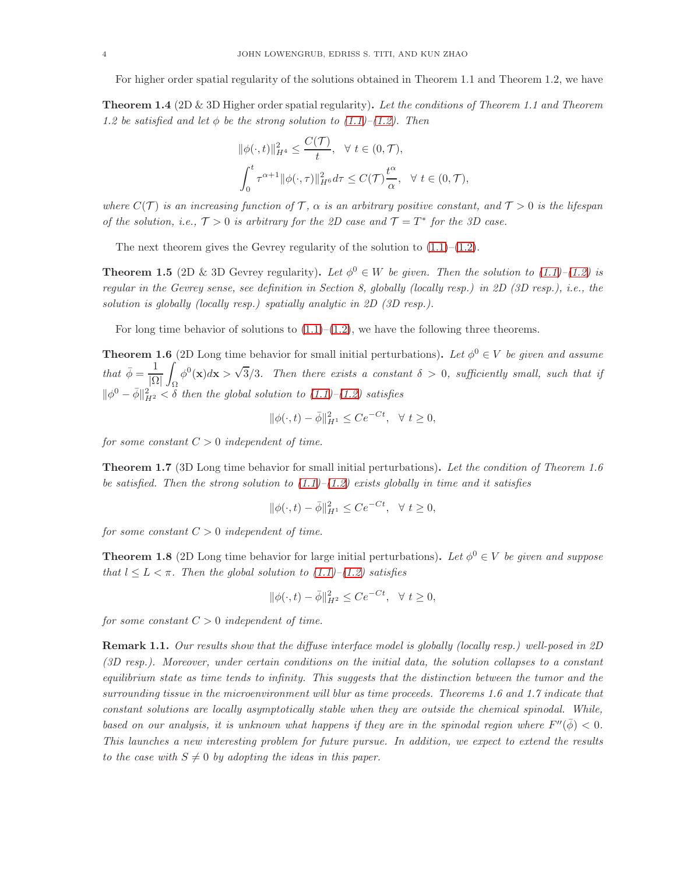For higher order spatial regularity of the solutions obtained in Theorem 1.1 and Theorem 1.2, we have

**Theorem 1.4** (2D & 3D Higher order spatial regularity). Let the conditions of Theorem 1.1 and Theorem 1.2 be satisfied and let  $\phi$  be the strong solution to [\(1.1\)](#page-0-0)–[\(1.2\)](#page-1-0). Then

$$
\begin{aligned} \|\phi(\cdot,t)\|_{H^4}^2 &\leq \frac{C(\mathcal{T})}{t}, \quad \forall \ t \in (0,\mathcal{T}),\\ \int_0^t \tau^{\alpha+1} \|\phi(\cdot,\tau)\|_{H^6}^2 d\tau &\leq C(\mathcal{T})\frac{t^\alpha}{\alpha}, \quad \forall \ t \in (0,\mathcal{T}), \end{aligned}
$$

where  $C(\mathcal{T})$  is an increasing function of  $\mathcal{T}$ ,  $\alpha$  is an arbitrary positive constant, and  $\mathcal{T} > 0$  is the lifespan of the solution, i.e.,  $\mathcal{T} > 0$  is arbitrary for the 2D case and  $\mathcal{T} = T^*$  for the 3D case.

The next theorem gives the Gevrey regularity of the solution to  $(1.1)$ – $(1.2)$ .

**Theorem 1.5** (2D & 3D Gevrey regularity). Let  $\phi^0 \in W$  be given. Then the solution to [\(1.1\)](#page-0-0)–[\(1.2\)](#page-1-0) is regular in the Gevrey sense, see definition in Section 8, globally (locally resp.) in 2D (3D resp.), i.e., the solution is globally (locally resp.) spatially analytic in 2D (3D resp.).

For long time behavior of solutions to  $(1.1)$ – $(1.2)$ , we have the following three theorems.

**Theorem 1.6** (2D Long time behavior for small initial perturbations). Let  $\phi^0 \in V$  be given and assume that  $\bar{\phi} = \frac{1}{10}$ |Ω| Z Ω  $\phi^0(\mathbf{x})d\mathbf{x} > \sqrt{3}/3$ . Then there exists a constant  $\delta > 0$ , sufficiently small, such that if  $\|\phi^0 - \bar{\phi}\|^2_{H^2} < \delta$  then the global solution to  $(1.1)$ – $(1.2)$  satisfies

$$
\|\phi(\cdot, t) - \bar{\phi}\|_{H^1}^2 \le Ce^{-Ct}, \ \ \forall \ t \ge 0,
$$

for some constant  $C > 0$  independent of time.

Theorem 1.7 (3D Long time behavior for small initial perturbations). Let the condition of Theorem 1.6 be satisfied. Then the strong solution to  $(1.1)$ – $(1.2)$  exists globally in time and it satisfies

$$
\|\phi(\cdot,t)-\bar{\phi}\|_{H^1}^2 \le Ce^{-Ct}, \quad \forall \ t \ge 0,
$$

for some constant  $C > 0$  independent of time.

**Theorem 1.8** (2D Long time behavior for large initial perturbations). Let  $\phi^0 \in V$  be given and suppose that  $l \leq L < \pi$ . Then the global solution to  $(1.1)$ – $(1.2)$  satisfies

$$
\|\phi(\cdot,t)-\bar{\phi}\|_{H^2}^2 \le Ce^{-Ct}, \quad \forall \ t \ge 0,
$$

for some constant  $C > 0$  independent of time.

Remark 1.1. Our results show that the diffuse interface model is globally (locally resp.) well-posed in 2D (3D resp.). Moreover, under certain conditions on the initial data, the solution collapses to a constant equilibrium state as time tends to infinity. This suggests that the distinction between the tumor and the surrounding tissue in the microenvironment will blur as time proceeds. Theorems 1.6 and 1.7 indicate that constant solutions are locally asymptotically stable when they are outside the chemical spinodal. While, based on our analysis, it is unknown what happens if they are in the spinodal region where  $F''(\bar{\phi}) < 0$ . This launches a new interesting problem for future pursue. In addition, we expect to extend the results to the case with  $S \neq 0$  by adopting the ideas in this paper.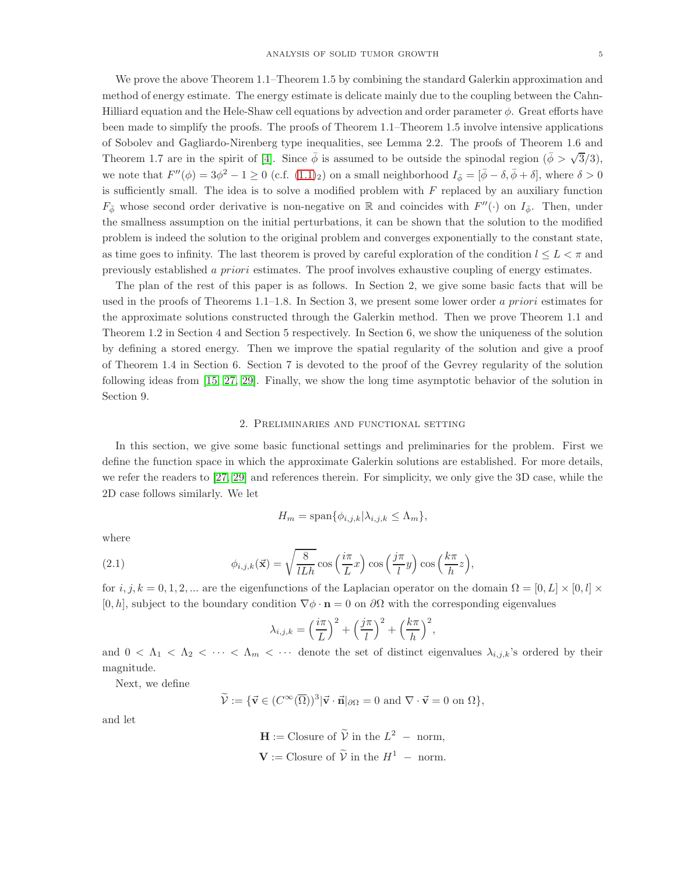We prove the above Theorem 1.1–Theorem 1.5 by combining the standard Galerkin approximation and method of energy estimate. The energy estimate is delicate mainly due to the coupling between the Cahn-Hilliard equation and the Hele-Shaw cell equations by advection and order parameter  $\phi$ . Great efforts have been made to simplify the proofs. The proofs of Theorem 1.1–Theorem 1.5 involve intensive applications of Sobolev and Gagliardo-Nirenberg type inequalities, see Lemma 2.2. The proofs of Theorem 1.6 and Theorem 1.7 are in the spirit of [\[4\]](#page-34-5). Since  $\bar{\phi}$  is assumed to be outside the spinodal region  $(\bar{\phi} > \sqrt{3}/3)$ , we note that  $F''(\phi) = 3\phi^2 - 1 \ge 0$  (c.f.  $(1.1)_2$  $(1.1)_2$  $(1.1)_2$ ) on a small neighborhood  $I_{\bar{\phi}} = [\bar{\phi} - \delta, \bar{\phi} + \delta]$ , where  $\delta > 0$ is sufficiently small. The idea is to solve a modified problem with  $F$  replaced by an auxiliary function  $F_{\phi}$  whose second order derivative is non-negative on R and coincides with  $F''(\cdot)$  on  $I_{\bar{\phi}}$ . Then, under the smallness assumption on the initial perturbations, it can be shown that the solution to the modified problem is indeed the solution to the original problem and converges exponentially to the constant state, as time goes to infinity. The last theorem is proved by careful exploration of the condition  $l \leq L < \pi$  and previously established a priori estimates. The proof involves exhaustive coupling of energy estimates.

The plan of the rest of this paper is as follows. In Section 2, we give some basic facts that will be used in the proofs of Theorems 1.1–1.8. In Section 3, we present some lower order a priori estimates for the approximate solutions constructed through the Galerkin method. Then we prove Theorem 1.1 and Theorem 1.2 in Section 4 and Section 5 respectively. In Section 6, we show the uniqueness of the solution by defining a stored energy. Then we improve the spatial regularity of the solution and give a proof of Theorem 1.4 in Section 6. Section 7 is devoted to the proof of the Gevrey regularity of the solution following ideas from [\[15,](#page-34-12) [27,](#page-35-8) [29\]](#page-35-9). Finally, we show the long time asymptotic behavior of the solution in Section 9.

## 2. Preliminaries and functional setting

In this section, we give some basic functional settings and preliminaries for the problem. First we define the function space in which the approximate Galerkin solutions are established. For more details, we refer the readers to [\[27,](#page-35-8) [29\]](#page-35-9) and references therein. For simplicity, we only give the 3D case, while the 2D case follows similarly. We let

<span id="page-4-0"></span>
$$
H_m = \text{span}\{\phi_{i,j,k}|\lambda_{i,j,k} \le \Lambda_m\},\
$$

where

(2.1) 
$$
\phi_{i,j,k}(\vec{\mathbf{x}}) = \sqrt{\frac{8}{lLh}} \cos\left(\frac{i\pi}{L}x\right) \cos\left(\frac{j\pi}{l}y\right) \cos\left(\frac{k\pi}{h}z\right),
$$

for  $i, j, k = 0, 1, 2, ...$  are the eigenfunctions of the Laplacian operator on the domain  $\Omega = [0, L] \times [0, l] \times$  $[0, h]$ , subject to the boundary condition  $\nabla \phi \cdot \mathbf{n} = 0$  on  $\partial \Omega$  with the corresponding eigenvalues

$$
\lambda_{i,j,k} = \left(\frac{i\pi}{L}\right)^2 + \left(\frac{j\pi}{l}\right)^2 + \left(\frac{k\pi}{h}\right)^2,
$$

and  $0 < \Lambda_1 < \Lambda_2 < \cdots < \Lambda_m < \cdots$  denote the set of distinct eigenvalues  $\lambda_{i,j,k}$ 's ordered by their magnitude.

Next, we define

$$
\widetilde{\mathcal{V}} := \{ \vec{\mathbf{v}} \in (C^{\infty}(\overline{\Omega}))^{3} | \vec{\mathbf{v}} \cdot \vec{\mathbf{n}} |_{\partial \Omega} = 0 \text{ and } \nabla \cdot \vec{\mathbf{v}} = 0 \text{ on } \Omega \},
$$

and let

 $\mathbf{H} := \text{Closure of } \widetilde{\mathcal{V}} \text{ in the } L^2 \text{ -- norm,}$  $V := \text{Closure of } \widetilde{V} \text{ in the } H^1 \text{ -- norm.}$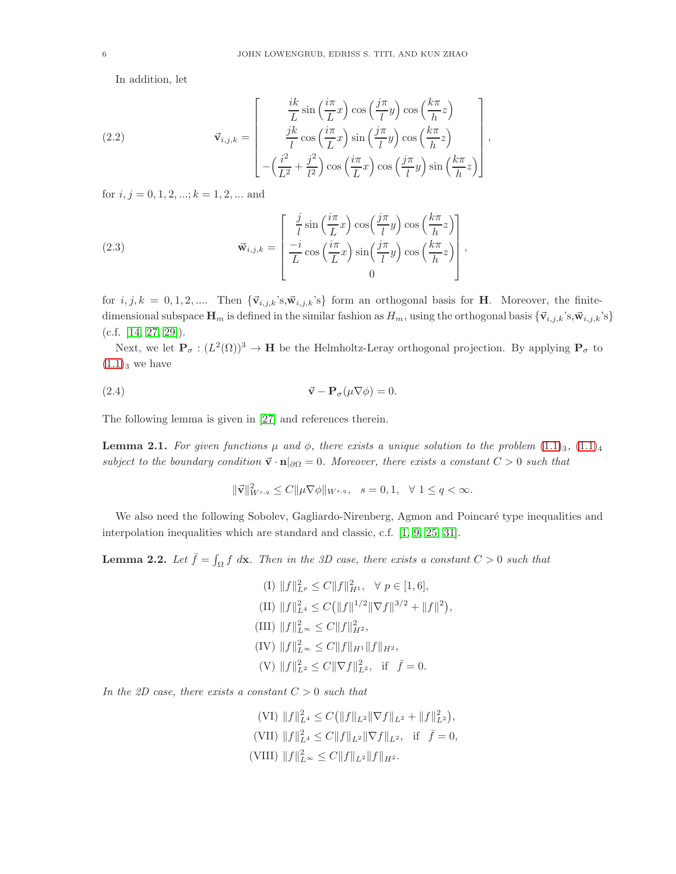In addition, let

(2.2) 
$$
\vec{\mathbf{v}}_{i,j,k} = \begin{bmatrix} \frac{ik}{L}\sin\left(\frac{i\pi}{L}x\right)\cos\left(\frac{j\pi}{l}y\right)\cos\left(\frac{k\pi}{h}z\right) \\ \frac{jk}{l}\cos\left(\frac{i\pi}{L}x\right)\sin\left(\frac{j\pi}{l}y\right)\cos\left(\frac{k\pi}{h}z\right) \\ -\left(\frac{i^2}{L^2} + \frac{j^2}{l^2}\right)\cos\left(\frac{i\pi}{L}x\right)\cos\left(\frac{j\pi}{l}y\right)\sin\left(\frac{k\pi}{h}z\right) \end{bmatrix},
$$

for  $i, j = 0, 1, 2, \dots; k = 1, 2, \dots$  and

<span id="page-5-0"></span>(2.3) 
$$
\vec{\mathbf{w}}_{i,j,k} = \begin{bmatrix} \frac{j}{l} \sin\left(\frac{i\pi}{L}x\right) \cos\left(\frac{j\pi}{l}y\right) \cos\left(\frac{k\pi}{h}z\right) \\ \frac{-i}{L} \cos\left(\frac{i\pi}{L}x\right) \sin\left(\frac{j\pi}{l}y\right) \cos\left(\frac{k\pi}{h}z\right) \\ 0 \end{bmatrix},
$$

for  $i, j, k = 0, 1, 2, \dots$  Then  ${\vec{v}_{i,j,k}}$ 's, ${\vec{w}_{i,j,k}}$ 's} form an orthogonal basis for **H**. Moreover, the finitedimensional subspace  $\mathbf{H}_m$  is defined in the similar fashion as  $H_m$ , using the orthogonal basis  $\{\vec{v}_{i,j,k}$ 's, $\vec{w}_{i,j,k}$ 's}  $(c.f. [14, 27, 29]).$  $(c.f. [14, 27, 29]).$  $(c.f. [14, 27, 29]).$  $(c.f. [14, 27, 29]).$  $(c.f. [14, 27, 29]).$ 

Next, we let  $P_{\sigma} : (L^2(\Omega))^3 \to H$  be the Helmholtz-Leray orthogonal projection. By applying  $P_{\sigma}$  to  $(1.1)_{3}$  $(1.1)_{3}$  we have

(2.4) 
$$
\vec{\mathbf{v}} - \mathbf{P}_{\sigma}(\mu \nabla \phi) = 0.
$$

The following lemma is given in [\[27\]](#page-35-8) and references therein.

**Lemma 2.1.** For given functions  $\mu$  and  $\phi$ , there exists a unique solution to the problem  $(1.1)_3$  $(1.1)_3$  $(1.1)_3$ ,  $(1.1)_4$  $(1.1)_4$ subject to the boundary condition  $\vec{v} \cdot \mathbf{n}|_{\partial\Omega} = 0$ . Moreover, there exists a constant  $C > 0$  such that

<span id="page-5-1"></span>
$$
\|\vec{\mathbf{v}}\|_{W^{s,q}}^2 \le C \|\mu \nabla \phi\|_{W^{s,q}}, \ \ s = 0, 1, \ \ \forall \ 1 \le q < \infty.
$$

We also need the following Sobolev, Gagliardo-Nirenberg, Agmon and Poincaré type inequalities and interpolation inequalities which are standard and classic, c.f. [\[1,](#page-34-19) [9,](#page-34-11) [25,](#page-35-10) [31\]](#page-35-7).

**Lemma 2.2.** Let  $\bar{f} = \int_{\Omega} f \, d\mathbf{x}$ . Then in the 3D case, there exists a constant  $C > 0$  such that

$$
(I) \|f\|_{L^p}^2 \le C \|f\|_{H^1}^2, \quad \forall \ p \in [1, 6],
$$
  
\n
$$
(II) \|f\|_{L^4}^2 \le C (\|f\|^{1/2} \|\nabla f\|^{3/2} + \|f\|^2)
$$
  
\n
$$
(III) \|f\|_{L^\infty}^2 \le C \|f\|_{H^2}^2,
$$
  
\n
$$
(IV) \|f\|_{L^\infty}^2 \le C \|f\|_{H^1} \|f\|_{H^2},
$$
  
\n
$$
(V) \|f\|_{L^2}^2 \le C \|\nabla f\|_{L^2}^2, \quad \text{if } \ \bar{f} = 0.
$$

,

In the 2D case, there exists a constant  $C > 0$  such that

(VI) 
$$
||f||_{L^4}^2 \leq C(||f||_{L^2}||\nabla f||_{L^2} + ||f||_{L^2}^2),
$$
  
\n(VII)  $||f||_{L^4}^2 \leq C||f||_{L^2}||\nabla f||_{L^2},$  if  $\bar{f} = 0,$   
\n(VIII)  $||f||_{L^{\infty}}^2 \leq C||f||_{L^2}||f||_{H^2}.$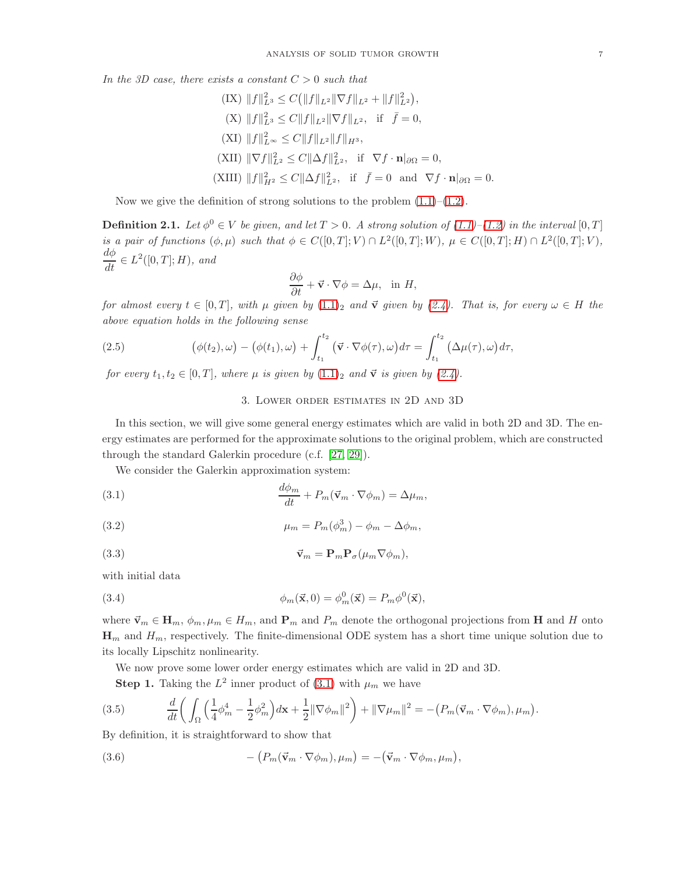In the 3D case, there exists a constant  $C > 0$  such that

 $(IX) \|f\|_{L^3}^2 \leq C (||f||_{L^2} \|\nabla f\|_{L^2} + \|f\|_{L^2}^2),$ (X)  $||f||_{L^3}^2 \leq C||f||_{L^2}||\nabla f||_{L^2}$ , if  $\bar{f} = 0$ ,  $(XI) \|f\|_{L^{\infty}}^2 \leq C \|f\|_{L^2} \|f\|_{H^3},$ (XII)  $\|\nabla f\|_{L^2}^2 \leq C \|\Delta f\|_{L^2}^2$ , if  $\nabla f \cdot \mathbf{n}|_{\partial\Omega} = 0$ , (XIII)  $||f||_{H^2}^2 \leq C||\Delta f||_{L^2}^2$ , if  $\bar{f} = 0$  and  $\nabla f \cdot \mathbf{n}|_{\partial\Omega} = 0$ .

Now we give the definition of strong solutions to the problem  $(1.1)$ – $(1.2)$ .

**Definition 2.1.** Let  $\phi^0 \in V$  be given, and let  $T > 0$ . A strong solution of  $(1.1)$ – $(1.2)$  in the interval  $[0, T]$ is a pair of functions  $(\phi, \mu)$  such that  $\phi \in C([0,T]; V) \cap L^2([0,T]; W), \mu \in C([0,T]; H) \cap L^2([0,T]; V),$  $\frac{d\phi}{dt} \in L^2([0,T];H)$ , and

$$
\frac{\partial \phi}{\partial t} + \vec{v} \cdot \nabla \phi = \Delta \mu, \text{ in } H,
$$

for almost every  $t \in [0, T]$ , with  $\mu$  given by  $(1.1)_2$  $(1.1)_2$  and  $\vec{v}$  given by  $(2.4)$ . That is, for every  $\omega \in H$  the above equation holds in the following sense

(2.5) 
$$
(\phi(t_2), \omega) - (\phi(t_1), \omega) + \int_{t_1}^{t_2} (\vec{v} \cdot \nabla \phi(\tau), \omega) d\tau = \int_{t_1}^{t_2} (\Delta \mu(\tau), \omega) d\tau,
$$

for every  $t_1, t_2 \in [0, T]$ , where  $\mu$  is given by  $(1.1)_2$  $(1.1)_2$  and  $\vec{v}$  is given by  $(2.4)$ .

# <span id="page-6-4"></span><span id="page-6-2"></span><span id="page-6-0"></span>3. Lower order estimates in 2D and 3D

In this section, we will give some general energy estimates which are valid in both 2D and 3D. The energy estimates are performed for the approximate solutions to the original problem, which are constructed through the standard Galerkin procedure (c.f. [\[27,](#page-35-8) [29\]](#page-35-9)).

We consider the Galerkin approximation system:

(3.1) 
$$
\frac{d\phi_m}{dt} + P_m(\vec{v}_m \cdot \nabla \phi_m) = \Delta \mu_m,
$$

(3.2) 
$$
\mu_m = P_m(\phi_m^3) - \phi_m - \Delta \phi_m,
$$

(3.3) 
$$
\vec{\mathbf{v}}_m = \mathbf{P}_m \mathbf{P}_\sigma(\mu_m \nabla \phi_m),
$$

with initial data

<span id="page-6-3"></span>(3.4) 
$$
\phi_m(\vec{x}, 0) = \phi_m^0(\vec{x}) = P_m \phi^0(\vec{x}),
$$

where  $\vec{v}_m \in H_m$ ,  $\phi_m$ ,  $\mu_m \in H_m$ , and  $\mathbf{P}_m$  and  $P_m$  denote the orthogonal projections from H and H onto  $\mathbf{H}_m$  and  $H_m$ , respectively. The finite-dimensional ODE system has a short time unique solution due to its locally Lipschitz nonlinearity.

We now prove some lower order energy estimates which are valid in 2D and 3D.

<span id="page-6-1"></span>**Step 1.** Taking the  $L^2$  inner product of [\(3.1\)](#page-6-0) with  $\mu_m$  we have

(3.5) 
$$
\frac{d}{dt}\bigg(\int_{\Omega}\Big(\frac{1}{4}\phi_m^4 - \frac{1}{2}\phi_m^2\Big)dx + \frac{1}{2}\|\nabla\phi_m\|^2\bigg) + \|\nabla\mu_m\|^2 = -\big(P_m(\vec{v}_m\cdot\nabla\phi_m),\mu_m\big).
$$

By definition, it is straightforward to show that

(3.6) 
$$
- (P_m(\vec{v}_m \cdot \nabla \phi_m), \mu_m) = -(\vec{v}_m \cdot \nabla \phi_m, \mu_m),
$$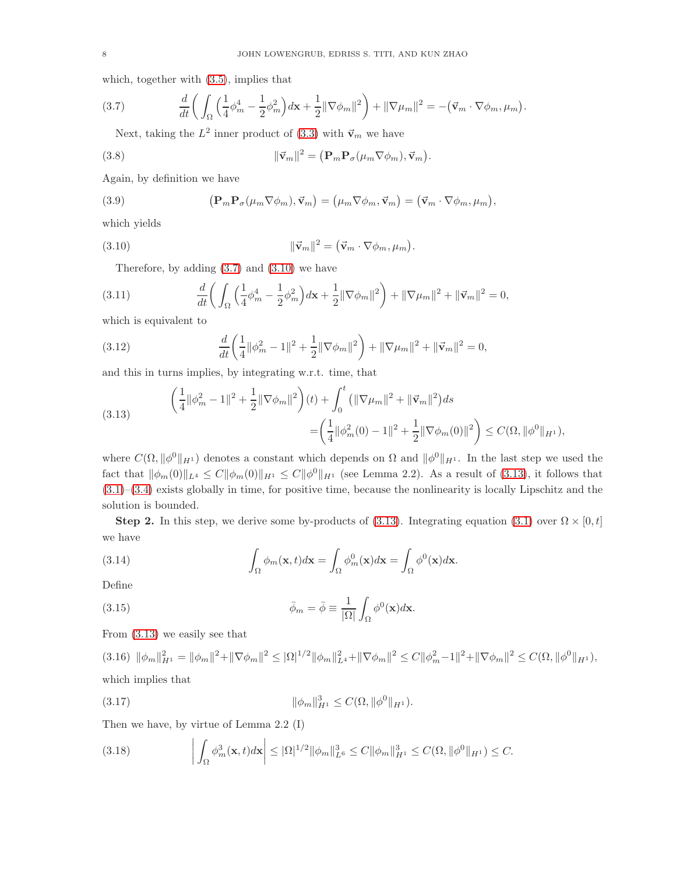which, together with [\(3.5\)](#page-6-1), implies that

(3.7) 
$$
\frac{d}{dt}\bigg(\int_{\Omega}\Big(\frac{1}{4}\phi_m^4-\frac{1}{2}\phi_m^2\Big)dx+\frac{1}{2}\|\nabla\phi_m\|^2\bigg)+\|\nabla\mu_m\|^2=-\big(\vec{\mathbf{v}}_m\cdot\nabla\phi_m,\mu_m\big).
$$

<span id="page-7-0"></span>Next, taking the  $L^2$  inner product of [\(3.3\)](#page-6-2) with  $\vec{v}_m$  we have

(3.8) 
$$
\|\vec{\mathbf{v}}_m\|^2 = (\mathbf{P}_m \mathbf{P}_\sigma(\mu_m \nabla \phi_m), \vec{\mathbf{v}}_m).
$$

Again, by definition we have

(3.9) 
$$
\left(\mathbf{P}_{m}\mathbf{P}_{\sigma}(\mu_{m}\nabla\phi_{m}),\vec{\mathbf{v}}_{m}\right)=\left(\mu_{m}\nabla\phi_{m},\vec{\mathbf{v}}_{m}\right)=\left(\vec{\mathbf{v}}_{m}\cdot\nabla\phi_{m},\mu_{m}\right),
$$

which yields

(3.10) 
$$
\|\vec{\mathbf{v}}_m\|^2 = (\vec{\mathbf{v}}_m \cdot \nabla \phi_m, \mu_m).
$$

<span id="page-7-6"></span><span id="page-7-1"></span>Therefore, by adding  $(3.7)$  and  $(3.10)$  we have

(3.11) 
$$
\frac{d}{dt}\left(\int_{\Omega}\left(\frac{1}{4}\phi_m^4-\frac{1}{2}\phi_m^2\right)dx+\frac{1}{2}\|\nabla\phi_m\|^2\right)+\|\nabla\mu_m\|^2+\|\vec{v}_m\|^2=0,
$$

which is equivalent to

(3.12) 
$$
\frac{d}{dt} \left( \frac{1}{4} ||\phi_m^2 - 1||^2 + \frac{1}{2} ||\nabla \phi_m||^2 \right) + ||\nabla \mu_m||^2 + ||\vec{\mathbf{v}}_m||^2 = 0,
$$

and this in turns implies, by integrating w.r.t. time, that

<span id="page-7-2"></span>(3.13) 
$$
\begin{aligned}\n\left(\frac{1}{4} ||\phi_m^2 - 1||^2 + \frac{1}{2} ||\nabla \phi_m||^2\right)(t) + \int_0^t \left( ||\nabla \mu_m||^2 + ||\vec{\mathbf{v}}_m||^2\right) ds \\
&= \left(\frac{1}{4} ||\phi_m^2(0) - 1||^2 + \frac{1}{2} ||\nabla \phi_m(0)||^2\right) \leq C(\Omega, ||\phi^0||_{H^1}),\n\end{aligned}
$$

where  $C(\Omega, \|\phi^0\|_{H^1})$  denotes a constant which depends on  $\Omega$  and  $\|\phi^0\|_{H^1}$ . In the last step we used the fact that  $\|\phi_m(0)\|_{L^4} \leq C \|\phi_m(0)\|_{H^1} \leq C \|\phi^0\|_{H^1}$  (see Lemma 2.2). As a result of [\(3.13\)](#page-7-2), it follows that [\(3.1\)](#page-6-0)–[\(3.4\)](#page-6-3) exists globally in time, for positive time, because the nonlinearity is locally Lipschitz and the solution is bounded.

Step 2. In this step, we derive some by-products of [\(3.13\)](#page-7-2). Integrating equation [\(3.1\)](#page-6-0) over  $\Omega \times [0, t]$ we have

<span id="page-7-3"></span>(3.14) 
$$
\int_{\Omega} \phi_m(\mathbf{x}, t) d\mathbf{x} = \int_{\Omega} \phi_m^0(\mathbf{x}) d\mathbf{x} = \int_{\Omega} \phi^0(\mathbf{x}) d\mathbf{x}.
$$

Define

(3.15) 
$$
\bar{\phi}_m = \bar{\phi} \equiv \frac{1}{|\Omega|} \int_{\Omega} \phi^0(\mathbf{x}) d\mathbf{x}.
$$

From [\(3.13\)](#page-7-2) we easily see that

<span id="page-7-5"></span> $(3.16)$   $\|\phi_m\|_{H^1}^2 = \|\phi_m\|^2 + \|\nabla\phi_m\|^2 \leq |\Omega|^{1/2} \|\phi_m\|_{L^4}^2 + \|\nabla\phi_m\|^2 \leq C \|\phi_m^2 - 1\|^2 + \|\nabla\phi_m\|^2 \leq C(\Omega, \|\phi^0\|_{H^1}),$ which implies that

(3.17) 
$$
\|\phi_m\|_{H^1}^3 \leq C(\Omega, \|\phi^0\|_{H^1}).
$$

Then we have, by virtue of Lemma 2.2 (I)

<span id="page-7-4"></span> $\mathcal{L}$ 

$$
(3.18) \qquad \left| \int_{\Omega} \phi_m^3(\mathbf{x}, t) d\mathbf{x} \right| \leq |\Omega|^{1/2} ||\phi_m||_{L^6}^3 \leq C ||\phi_m||_{H^1}^3 \leq C(\Omega, ||\phi^0||_{H^1}) \leq C.
$$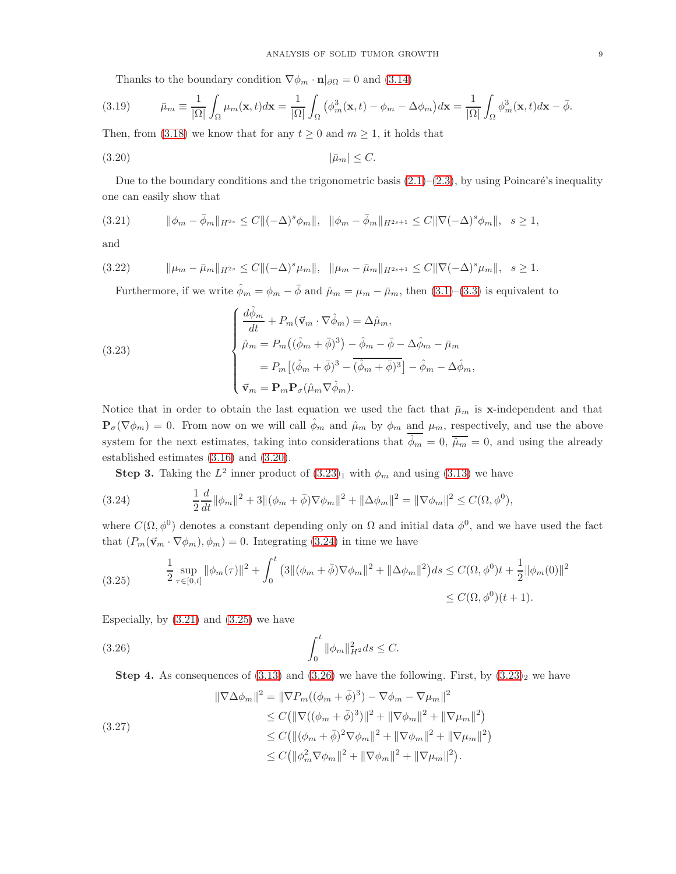<span id="page-8-0"></span>Thanks to the boundary condition  $\nabla \phi_m \cdot \mathbf{n}|_{\partial\Omega} = 0$  and [\(3.14\)](#page-7-3)

(3.19) 
$$
\bar{\mu}_m \equiv \frac{1}{|\Omega|} \int_{\Omega} \mu_m(\mathbf{x}, t) d\mathbf{x} = \frac{1}{|\Omega|} \int_{\Omega} (\phi_m^3(\mathbf{x}, t) - \phi_m - \Delta \phi_m) d\mathbf{x} = \frac{1}{|\Omega|} \int_{\Omega} \phi_m^3(\mathbf{x}, t) d\mathbf{x} - \bar{\phi}.
$$

Then, from [\(3.18\)](#page-7-4) we know that for any  $t \geq 0$  and  $m \geq 1$ , it holds that

$$
(3.20) \t\t |\bar{\mu}_m| \le C.
$$

Due to the boundary conditions and the trigonometric basis  $(2.1)$ – $(2.3)$ , by using Poincaré's inequality one can easily show that

<span id="page-8-3"></span>
$$
(3.21) \t\t ||\phi_m - \bar{\phi}_m||_{H^{2s}} \le C ||(-\Delta)^s \phi_m||, \t ||\phi_m - \bar{\phi}_m||_{H^{2s+1}} \le C ||\nabla(-\Delta)^s \phi_m||, \t s \ge 1,
$$

and

$$
(3.22) \t\t ||\mu_m - \bar{\mu}_m||_{H^{2s}} \leq C||(-\Delta)^s \mu_m||, \t ||\mu_m - \bar{\mu}_m||_{H^{2s+1}} \leq C||\nabla(-\Delta)^s \mu_m||, \t s \geq 1.
$$

<span id="page-8-7"></span><span id="page-8-1"></span>Furthermore, if we write  $\hat{\phi}_m = \phi_m - \bar{\phi}$  and  $\hat{\mu}_m = \mu_m - \bar{\mu}_m$ , then  $(3.1)$ – $(3.3)$  is equivalent to

(3.23)  

$$
\begin{cases}\n\frac{d\hat{\phi}_m}{dt} + P_m(\vec{\mathbf{v}}_m \cdot \nabla \hat{\phi}_m) = \Delta \hat{\mu}_m, \\
\hat{\mu}_m = P_m((\hat{\phi}_m + \bar{\phi})^3) - \hat{\phi}_m - \bar{\phi} - \Delta \hat{\phi}_m - \bar{\mu}_m \\
= P_m[(\hat{\phi}_m + \bar{\phi})^3 - (\hat{\phi}_m + \bar{\phi})^3] - \hat{\phi}_m - \Delta \hat{\phi}_m, \\
\vec{\mathbf{v}}_m = \mathbf{P}_m \mathbf{P}_\sigma(\hat{\mu}_m \nabla \hat{\phi}_m).\n\end{cases}
$$

Notice that in order to obtain the last equation we used the fact that  $\bar{\mu}_m$  is x-independent and that  $\mathbf{P}_{\sigma}(\nabla \phi_m) = 0$ . From now on we will call  $\hat{\phi}_m$  and  $\hat{\mu}_m$  by  $\phi_m$  and  $\mu_m$ , respectively, and use the above system for the next estimates, taking into considerations that  $\phi_m = 0$ ,  $\overline{\phi_m} = 0$ , and using the already established estimates [\(3.16\)](#page-7-5) and [\(3.20\)](#page-8-0).

<span id="page-8-2"></span>**Step 3.** Taking the  $L^2$  inner product of  $(3.23)_1$  $(3.23)_1$  $(3.23)_1$  with  $\phi_m$  and using  $(3.13)$  we have

(3.24) 
$$
\frac{1}{2}\frac{d}{dt}\|\phi_m\|^2 + 3\|(\phi_m + \bar{\phi})\nabla\phi_m\|^2 + \|\Delta\phi_m\|^2 = \|\nabla\phi_m\|^2 \leq C(\Omega, \phi^0),
$$

where  $C(\Omega, \phi^0)$  denotes a constant depending only on  $\Omega$  and initial data  $\phi^0$ , and we have used the fact that  $(P_m(\vec{v}_m \cdot \nabla \phi_m), \phi_m) = 0$ . Integrating [\(3.24\)](#page-8-2) in time we have

<span id="page-8-4"></span>
$$
(3.25) \qquad \frac{1}{2} \sup_{\tau \in [0,t]} \|\phi_m(\tau)\|^2 + \int_0^t \left(3\|(\phi_m + \bar{\phi})\nabla\phi_m\|^2 + \|\Delta\phi_m\|^2\right) ds \le C(\Omega, \phi^0)t + \frac{1}{2}\|\phi_m(0)\|^2 \le C(\Omega, \phi^0)(t+1).
$$

Especially, by  $(3.21)$  and  $(3.25)$  we have

(3.26) 
$$
\int_0^t \|\phi_m\|_{H^2}^2 ds \leq C.
$$

<span id="page-8-6"></span><span id="page-8-5"></span>**Step 4.** As consequences of  $(3.13)$  and  $(3.26)$  we have the following. First, by  $(3.23)_2$  $(3.23)_2$  $(3.23)_2$  we have

$$
\|\nabla \Delta \phi_m\|^2 = \|\nabla P_m((\phi_m + \bar{\phi})^3) - \nabla \phi_m - \nabla \mu_m\|^2
$$
  
\n
$$
\leq C \big( \|\nabla ((\phi_m + \bar{\phi})^3)\|^2 + \|\nabla \phi_m\|^2 + \|\nabla \mu_m\|^2 \big)
$$
  
\n
$$
\leq C \big( \|(\phi_m + \bar{\phi})^2 \nabla \phi_m\|^2 + \|\nabla \phi_m\|^2 + \|\nabla \mu_m\|^2 \big)
$$
  
\n
$$
\leq C \big( \|\phi_m^2 \nabla \phi_m\|^2 + \|\nabla \phi_m\|^2 + \|\nabla \mu_m\|^2 \big).
$$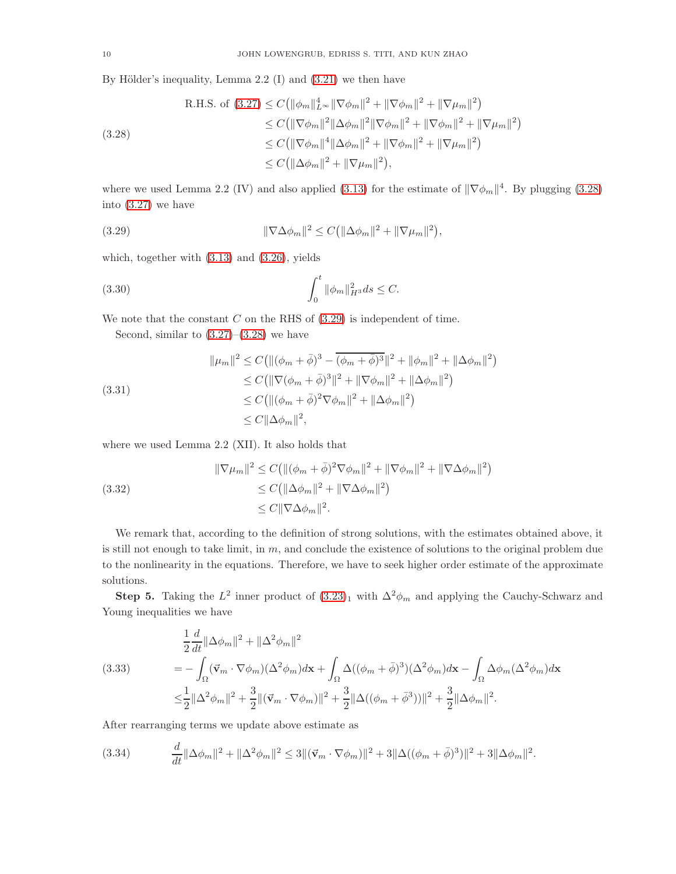By Hölder's inequality, Lemma 2.2  $(I)$  and  $(3.21)$  we then have

<span id="page-9-0"></span>8.4.1.1.1.2. If the following matrices is given by:

\n
$$
R.H.S. \text{ of } (3.27) \leq C \left( \|\phi_m\|_{L^\infty}^4 \|\nabla \phi_m\|^2 + \|\nabla \phi_m\|^2 + \|\nabla \mu_m\|^2 \right)
$$
\n
$$
\leq C \left( \|\nabla \phi_m\|^2 \|\Delta \phi_m\|^2 \|\nabla \phi_m\|^2 + \|\nabla \phi_m\|^2 + \|\nabla \mu_m\|^2 \right)
$$
\n
$$
\leq C \left( \|\nabla \phi_m\|^4 \|\Delta \phi_m\|^2 + \|\nabla \phi_m\|^2 + \|\nabla \mu_m\|^2 \right)
$$
\n
$$
\leq C \left( \|\Delta \phi_m\|^2 + \|\nabla \mu_m\|^2 \right),
$$

where we used Lemma 2.2 (IV) and also applied [\(3.13\)](#page-7-2) for the estimate of  $\|\nabla \phi_m\|^4$ . By plugging [\(3.28\)](#page-9-0) into [\(3.27\)](#page-8-6) we have

<span id="page-9-1"></span>(3.29) 
$$
\|\nabla \Delta \phi_m\|^2 \leq C \left(\|\Delta \phi_m\|^2 + \|\nabla \mu_m\|^2\right),
$$

which, together with [\(3.13\)](#page-7-2) and [\(3.26\)](#page-8-5), yields

(3.30) 
$$
\int_0^t \|\phi_m\|_{H^3}^2 ds \leq C.
$$

We note that the constant  $C$  on the RHS of  $(3.29)$  is independent of time.

<span id="page-9-5"></span><span id="page-9-3"></span>Second, similar to  $(3.27)$ – $(3.28)$  we have

$$
\|\mu_m\|^2 \le C \left( \|(\phi_m + \bar{\phi})^3 - \overline{(\phi_m + \bar{\phi})^3} \|^2 + \|\phi_m\|^2 + \|\Delta\phi_m\|^2 \right) \n\le C \left( \|\nabla(\phi_m + \bar{\phi})^3\|^2 + \|\nabla\phi_m\|^2 + \|\Delta\phi_m\|^2 \right) \n\le C \left( \|(\phi_m + \bar{\phi})^2 \nabla\phi_m\|^2 + \|\Delta\phi_m\|^2 \right) \n\le C \|\Delta\phi_m\|^2,
$$

where we used Lemma 2.2 (XII). It also holds that

<span id="page-9-4"></span>(3.32) 
$$
\|\nabla \mu_m\|^2 \le C \left( \|(\phi_m + \bar{\phi})^2 \nabla \phi_m\|^2 + \|\nabla \phi_m\|^2 + \|\nabla \Delta \phi_m\|^2 \right) \n\le C \left( \|\Delta \phi_m\|^2 + \|\nabla \Delta \phi_m\|^2 \right) \n\le C \|\nabla \Delta \phi_m\|^2.
$$

We remark that, according to the definition of strong solutions, with the estimates obtained above, it is still not enough to take limit, in  $m$ , and conclude the existence of solutions to the original problem due to the nonlinearity in the equations. Therefore, we have to seek higher order estimate of the approximate solutions.

**Step 5.** Taking the  $L^2$  inner product of  $(3.23)_1$  $(3.23)_1$  $(3.23)_1$  with  $\Delta^2 \phi_m$  and applying the Cauchy-Schwarz and Young inequalities we have

<span id="page-9-6"></span>
$$
\frac{1}{2}\frac{d}{dt}\|\Delta\phi_m\|^2 + \|\Delta^2\phi_m\|^2
$$
\n
$$
(3.33) \qquad \qquad = -\int_{\Omega} (\vec{v}_m \cdot \nabla\phi_m)(\Delta^2\phi_m) d\mathbf{x} + \int_{\Omega} \Delta((\phi_m + \bar{\phi})^3)(\Delta^2\phi_m) d\mathbf{x} - \int_{\Omega} \Delta\phi_m(\Delta^2\phi_m) d\mathbf{x}
$$
\n
$$
\leq \frac{1}{2} \|\Delta^2\phi_m\|^2 + \frac{3}{2} \|(\vec{v}_m \cdot \nabla\phi_m)\|^2 + \frac{3}{2} \|\Delta((\phi_m + \bar{\phi}^3))\|^2 + \frac{3}{2} \|\Delta\phi_m\|^2.
$$

After rearranging terms we update above estimate as

<span id="page-9-2"></span>
$$
(3.34) \qquad \frac{d}{dt} \|\Delta \phi_m\|^2 + \|\Delta^2 \phi_m\|^2 \le 3 \|\left(\vec{\mathbf{v}}_m \cdot \nabla \phi_m\right)\|^2 + 3 \|\Delta((\phi_m + \bar{\phi})^3)\|^2 + 3 \|\Delta \phi_m\|^2.
$$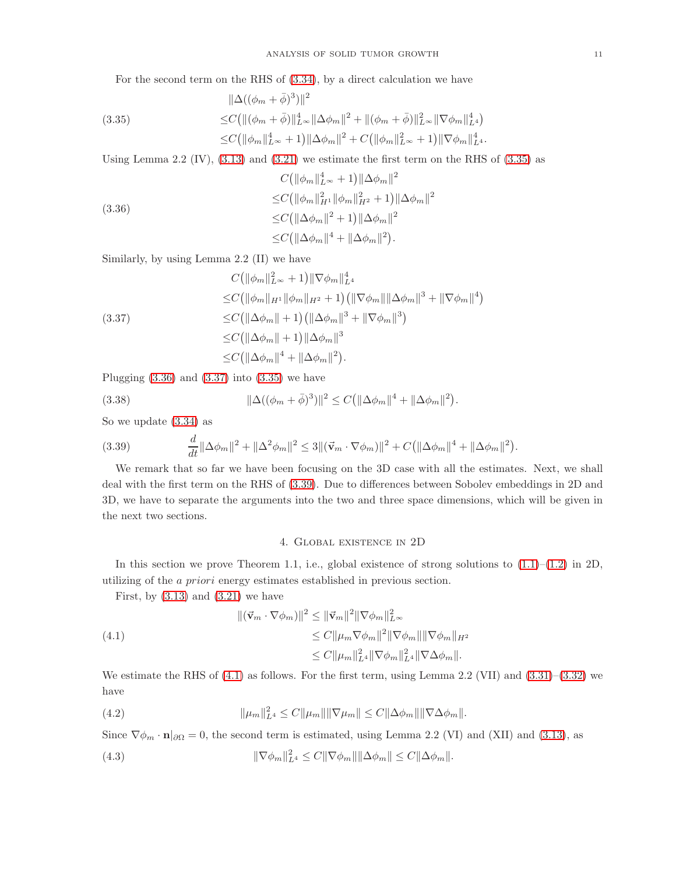<span id="page-10-0"></span>For the second term on the RHS of [\(3.34\)](#page-9-2), by a direct calculation we have

$$
\|\Delta((\phi_m + \bar{\phi})^3)\|^2
$$
  
(3.35)  

$$
\leq C \left( \|(\phi_m + \bar{\phi})\|_{L^\infty}^4 \|\Delta \phi_m\|^2 + \|(\phi_m + \bar{\phi})\|_{L^\infty}^2 \|\nabla \phi_m\|_{L^4}^4 \right)
$$
  

$$
\leq C \left( \|\phi_m\|_{L^\infty}^4 + 1\right) \|\Delta \phi_m\|^2 + C \left( \|\phi_m\|_{L^\infty}^2 + 1\right) \|\nabla \phi_m\|_{L^4}^4.
$$

Using Lemma 2.2 (IV),  $(3.13)$  and  $(3.21)$  we estimate the first term on the RHS of  $(3.35)$  as

<span id="page-10-1"></span>
$$
C(\|\phi_m\|_{L^{\infty}}^4 + 1) \|\Delta\phi_m\|^2
$$
  
\n
$$
\leq C(\|\phi_m\|_{H^1}^2 \|\phi_m\|_{H^2}^2 + 1) \|\Delta\phi_m\|^2
$$
  
\n
$$
\leq C(\|\Delta\phi_m\|^2 + 1) \|\Delta\phi_m\|^2
$$
  
\n
$$
\leq C(\|\Delta\phi_m\|^2 + \|\Delta\phi_m\|^2).
$$

Similarly, by using Lemma 2.2 (II) we have

<span id="page-10-2"></span>
$$
C(\|\phi_m\|_{L^{\infty}}^2 + 1) \|\nabla \phi_m\|_{L^4}^4
$$
  
\n
$$
\leq C(\|\phi_m\|_{H^1} \|\phi_m\|_{H^2} + 1) (\|\nabla \phi_m\| \|\Delta \phi_m\|^3 + \|\nabla \phi_m\|^4)
$$
  
\n
$$
\leq C(\|\Delta \phi_m\| + 1) (\|\Delta \phi_m\|^3 + \|\nabla \phi_m\|^3)
$$
  
\n
$$
\leq C(\|\Delta \phi_m\| + 1) \|\Delta \phi_m\|^3
$$
  
\n
$$
\leq C(\|\Delta \phi_m\|^4 + \|\Delta \phi_m\|^2).
$$

Plugging  $(3.36)$  and  $(3.37)$  into  $(3.35)$  we have

<span id="page-10-7"></span>(3.38) 
$$
\|\Delta((\phi_m+\bar{\phi})^3)\|^2 \le C(\|\Delta\phi_m\|^4 + \|\Delta\phi_m\|^2).
$$

So we update [\(3.34\)](#page-9-2) as

<span id="page-10-3"></span>(3.39) 
$$
\frac{d}{dt} \|\Delta \phi_m\|^2 + \|\Delta^2 \phi_m\|^2 \le 3 \|(\vec{v}_m \cdot \nabla \phi_m)\|^2 + C \left(\|\Delta \phi_m\|^4 + \|\Delta \phi_m\|^2\right).
$$

We remark that so far we have been focusing on the 3D case with all the estimates. Next, we shall deal with the first term on the RHS of [\(3.39\)](#page-10-3). Due to differences between Sobolev embeddings in 2D and 3D, we have to separate the arguments into the two and three space dimensions, which will be given in the next two sections.

#### <span id="page-10-4"></span>4. Global existence in 2D

In this section we prove Theorem 1.1, i.e., global existence of strong solutions to  $(1.1)$ – $(1.2)$  in 2D, utilizing of the a priori energy estimates established in previous section.

First, by  $(3.13)$  and  $(3.21)$  we have

(4.1) 
$$
\|(\vec{v}_m \cdot \nabla \phi_m)\|^2 \leq \|\vec{v}_m\|^2 \|\nabla \phi_m\|_{L^\infty}^2 \leq C \|\mu_m \nabla \phi_m\|^2 \|\nabla \phi_m\| \|\nabla \phi_m\|_{H^2} \leq C \|\mu_m\|_{L^4}^2 \|\nabla \phi_m\|_{L^4}^2 \|\nabla \Delta \phi_m\|.
$$

We estimate the RHS of [\(4.1\)](#page-10-4) as follows. For the first term, using Lemma 2.2 (VII) and [\(3.31\)](#page-9-3)–[\(3.32\)](#page-9-4) we have

<span id="page-10-5"></span>(4.2) 
$$
\|\mu_m\|_{L^4}^2 \leq C \|\mu_m\| \|\nabla \mu_m\| \leq C \|\Delta \phi_m\| \|\nabla \Delta \phi_m\|.
$$

Since  $\nabla \phi_m \cdot \mathbf{n} |_{\partial \Omega} = 0$ , the second term is estimated, using Lemma 2.2 (VI) and (XII) and [\(3.13\)](#page-7-2), as

<span id="page-10-6"></span>(4.3) 
$$
\|\nabla \phi_m\|_{L^4}^2 \leq C\|\nabla \phi_m\| \|\Delta \phi_m\| \leq C\|\Delta \phi_m\|.
$$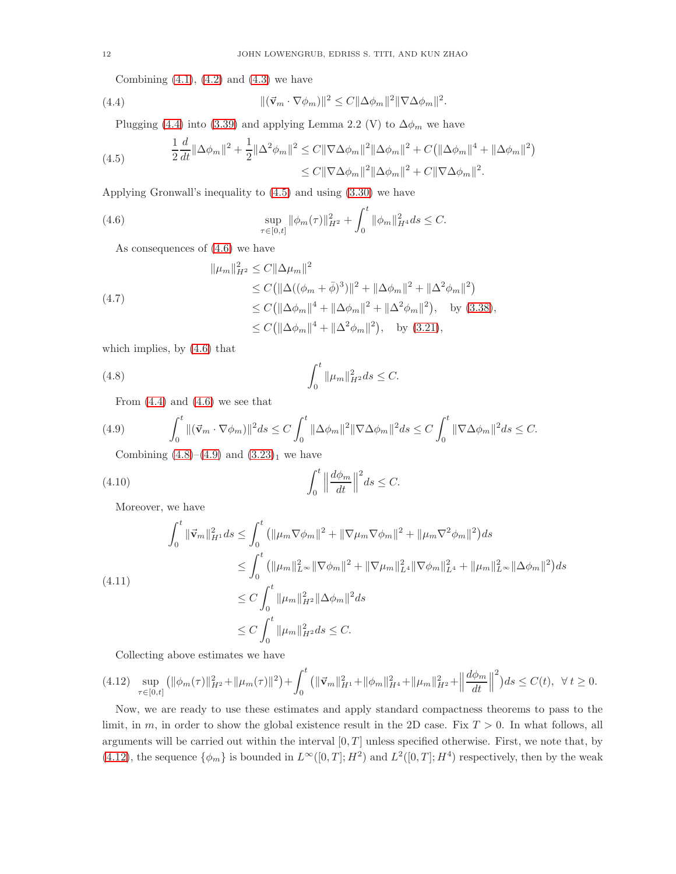<span id="page-11-0"></span>Combining  $(4.1)$ ,  $(4.2)$  and  $(4.3)$  we have

(4.4) 
$$
\|(\vec{\mathbf{v}}_m \cdot \nabla \phi_m)\|^2 \leq C \|\Delta \phi_m\|^2 \|\nabla \Delta \phi_m\|^2.
$$

<span id="page-11-1"></span>Plugging [\(4.4\)](#page-11-0) into [\(3.39\)](#page-10-3) and applying Lemma 2.2 (V) to  $\Delta\phi_m$  we have

(4.5) 
$$
\frac{1}{2}\frac{d}{dt}\|\Delta\phi_m\|^2 + \frac{1}{2}\|\Delta^2\phi_m\|^2 \leq C\|\nabla\Delta\phi_m\|^2\|\Delta\phi_m\|^2 + C(\|\Delta\phi_m\|^4 + \|\Delta\phi_m\|^2) \leq C\|\nabla\Delta\phi_m\|^2\|\Delta\phi_m\|^2 + C\|\nabla\Delta\phi_m\|^2.
$$

Applying Gronwall's inequality to [\(4.5\)](#page-11-1) and using [\(3.30\)](#page-9-5) we have

(4.6) 
$$
\sup_{\tau \in [0,t]} \|\phi_m(\tau)\|_{H^2}^2 + \int_0^t \|\phi_m\|_{H^4}^2 ds \leq C.
$$

<span id="page-11-6"></span><span id="page-11-2"></span>As consequences of [\(4.6\)](#page-11-2) we have

$$
\|\mu_m\|_{H^2}^2 \le C \|\Delta\mu_m\|^2
$$
  
\n
$$
\le C \|\Delta(\phi_m + \bar{\phi})^3\|^2 + \|\Delta\phi_m\|^2 + \|\Delta^2\phi_m\|^2)
$$
  
\n
$$
\le C \|\Delta\phi_m\|^4 + \|\Delta\phi_m\|^2 + \|\Delta^2\phi_m\|^2, \text{ by (3.38)},
$$
  
\n
$$
\le C \|\Delta\phi_m\|^4 + \|\Delta^2\phi_m\|^2, \text{ by (3.38)},
$$

which implies, by [\(4.6\)](#page-11-2) that

(4.8) 
$$
\int_0^t \|\mu_m\|_{H^2}^2 ds \leq C.
$$

<span id="page-11-4"></span><span id="page-11-3"></span>From  $(4.4)$  and  $(4.6)$  we see that

$$
(4.9) \qquad \int_0^t \|(\vec{\mathbf{v}}_m \cdot \nabla \phi_m)\|^2 ds \le C \int_0^t \|\Delta \phi_m\|^2 \|\nabla \Delta \phi_m\|^2 ds \le C \int_0^t \|\nabla \Delta \phi_m\|^2 ds \le C.
$$

Combining  $(4.8)$ – $(4.9)$  and  $(3.23)$  $(3.23)$ <sub>1</sub> we have

(4.10) 
$$
\int_0^t \left\| \frac{d\phi_m}{dt} \right\|^2 ds \leq C.
$$

Moreover, we have

$$
\int_{0}^{t} \|\vec{v}_{m}\|_{H^{1}}^{2} ds \leq \int_{0}^{t} (\|\mu_{m}\nabla\phi_{m}\|^{2} + \|\nabla\mu_{m}\nabla\phi_{m}\|^{2} + \|\mu_{m}\nabla^{2}\phi_{m}\|^{2}) ds
$$
  
\n
$$
\leq \int_{0}^{t} (\|\mu_{m}\|_{L^{\infty}}^{2} \|\nabla\phi_{m}\|^{2} + \|\nabla\mu_{m}\|_{L^{4}}^{2} \|\nabla\phi_{m}\|_{L^{4}}^{2} + \|\mu_{m}\|_{L^{\infty}}^{2} \|\Delta\phi_{m}\|^{2}) ds
$$
  
\n
$$
\leq C \int_{0}^{t} \|\mu_{m}\|_{H^{2}}^{2} \|\Delta\phi_{m}\|^{2} ds
$$
  
\n
$$
\leq C \int_{0}^{t} \|\mu_{m}\|_{H^{2}}^{2} ds \leq C.
$$

<span id="page-11-5"></span>Collecting above estimates we have

$$
(4.12) \ \ \sup_{\tau \in [0,t]} \left( \|\phi_m(\tau)\|_{H^2}^2 + \|\mu_m(\tau)\|^2 \right) + \int_0^t \left( \|\vec{\mathbf{v}}_m\|_{H^1}^2 + \|\phi_m\|_{H^4}^2 + \|\mu_m\|_{H^2}^2 + \left\|\frac{d\phi_m}{dt}\right\|^2 \right) ds \le C(t), \ \ \forall \ t \ge 0.
$$

Now, we are ready to use these estimates and apply standard compactness theorems to pass to the limit, in m, in order to show the global existence result in the 2D case. Fix  $T > 0$ . In what follows, all arguments will be carried out within the interval  $[0, T]$  unless specified otherwise. First, we note that, by [\(4.12\)](#page-11-5), the sequence  $\{\phi_m\}$  is bounded in  $L^{\infty}([0,T]; H^2)$  and  $L^2([0,T]; H^4)$  respectively, then by the weak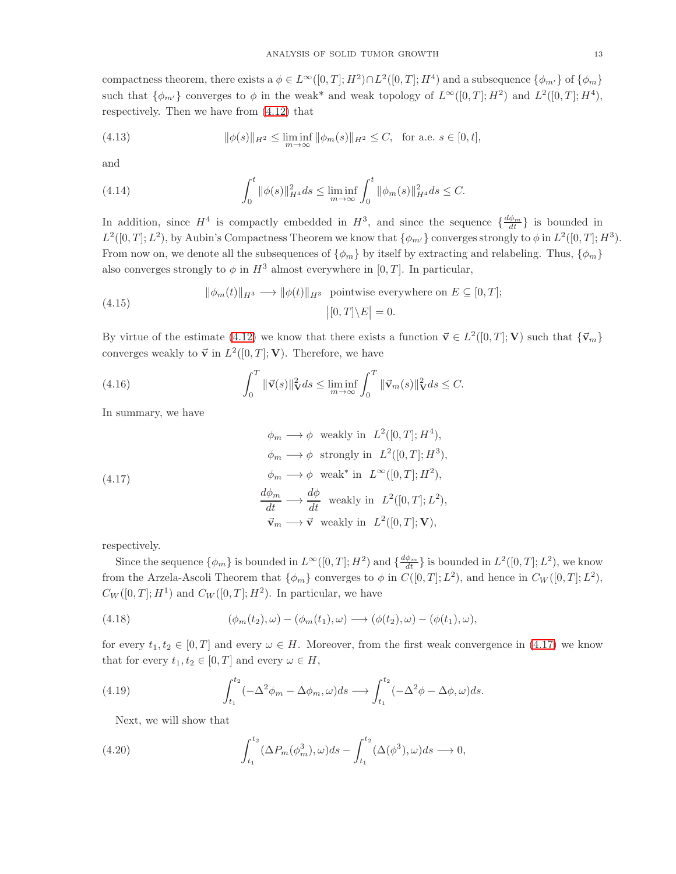compactness theorem, there exists a  $\phi \in L^{\infty}([0,T];H^2) \cap L^2([0,T];H^4)$  and a subsequence  $\{\phi_{m'}\}$  of  $\{\phi_m\}$ such that  $\{\phi_{m'}\}$  converges to  $\phi$  in the weak\* and weak topology of  $L^{\infty}([0,T]; H^2)$  and  $L^2([0,T]; H^4)$ , respectively. Then we have from [\(4.12\)](#page-11-5) that

(4.13) 
$$
\|\phi(s)\|_{H^2} \le \liminf_{m \to \infty} \|\phi_m(s)\|_{H^2} \le C, \text{ for a.e. } s \in [0, t],
$$

and

(4.14) 
$$
\int_0^t \|\phi(s)\|_{H^4}^2 ds \le \liminf_{m \to \infty} \int_0^t \|\phi_m(s)\|_{H^4}^2 ds \le C.
$$

In addition, since  $H^4$  is compactly embedded in  $H^3$ , and since the sequence  $\{\frac{d\phi_m}{dt}\}$  is bounded in  $L^2([0,T]; L^2)$ , by Aubin's Compactness Theorem we know that  $\{\phi_{m'}\}$  converges strongly to  $\phi$  in  $L^2([0,T]; H^3)$ . From now on, we denote all the subsequences of  $\{\phi_m\}$  by itself by extracting and relabeling. Thus,  $\{\phi_m\}$ also converges strongly to  $\phi$  in  $H^3$  almost everywhere in [0, T]. In particular,

<span id="page-12-4"></span>(4.15) 
$$
\|\phi_m(t)\|_{H^3} \longrightarrow \|\phi(t)\|_{H^3} \text{ pointwise everywhere on } E \subseteq [0, T];
$$

$$
\big|[0, T] \setminus E\big| = 0.
$$

By virtue of the estimate [\(4.12\)](#page-11-5) we know that there exists a function  $\vec{v} \in L^2([0,T]; V)$  such that  $\{\vec{v}_m\}$ converges weakly to  $\vec{v}$  in  $L^2([0,T]; V)$ . Therefore, we have

(4.16) 
$$
\int_0^T \|\vec{v}(s)\|_{\mathbf{V}}^2 ds \le \liminf_{m \to \infty} \int_0^T \|\vec{v}_m(s)\|_{\mathbf{V}}^2 ds \le C.
$$

In summary, we have

<span id="page-12-0"></span>(4.17)  
\n
$$
\phi_m \longrightarrow \phi \text{ weakly in } L^2([0, T]; H^4),
$$
\n
$$
\phi_m \longrightarrow \phi \text{ strongly in } L^2([0, T]; H^3),
$$
\n
$$
\phi_m \longrightarrow \phi \text{ weak* in } L^{\infty}([0, T]; H^2),
$$
\n
$$
\frac{d\phi_m}{dt} \longrightarrow \frac{d\phi}{dt} \text{ weakly in } L^2([0, T]; L^2),
$$
\n
$$
\vec{v}_m \longrightarrow \vec{v} \text{ weakly in } L^2([0, T]; V),
$$

respectively.

Since the sequence  $\{\phi_m\}$  is bounded in  $L^{\infty}([0,T]; H^2)$  and  $\{\frac{d\phi_m}{dt}\}\$ is bounded in  $L^2([0,T]; L^2)$ , we know from the Arzela-Ascoli Theorem that  $\{\phi_m\}$  converges to  $\phi$  in  $C([0,T]; L^2)$ , and hence in  $C_W([0,T]; L^2)$ ,  $C_W([0,T]; H<sup>1</sup>)$  and  $C_W([0,T]; H<sup>2</sup>)$ . In particular, we have

<span id="page-12-3"></span>(4.18) 
$$
(\phi_m(t_2), \omega) - (\phi_m(t_1), \omega) \longrightarrow (\phi(t_2), \omega) - (\phi(t_1), \omega),
$$

for every  $t_1, t_2 \in [0, T]$  and every  $\omega \in H$ . Moreover, from the first weak convergence in [\(4.17\)](#page-12-0) we know that for every  $t_1, t_2 \in [0, T]$  and every  $\omega \in H$ ,

(4.19) 
$$
\int_{t_1}^{t_2} (-\Delta^2 \phi_m - \Delta \phi_m, \omega) ds \longrightarrow \int_{t_1}^{t_2} (-\Delta^2 \phi - \Delta \phi, \omega) ds.
$$

<span id="page-12-2"></span><span id="page-12-1"></span>Next, we will show that

(4.20) 
$$
\int_{t_1}^{t_2} (\Delta P_m(\phi_m^3), \omega) ds - \int_{t_1}^{t_2} (\Delta(\phi^3), \omega) ds \longrightarrow 0,
$$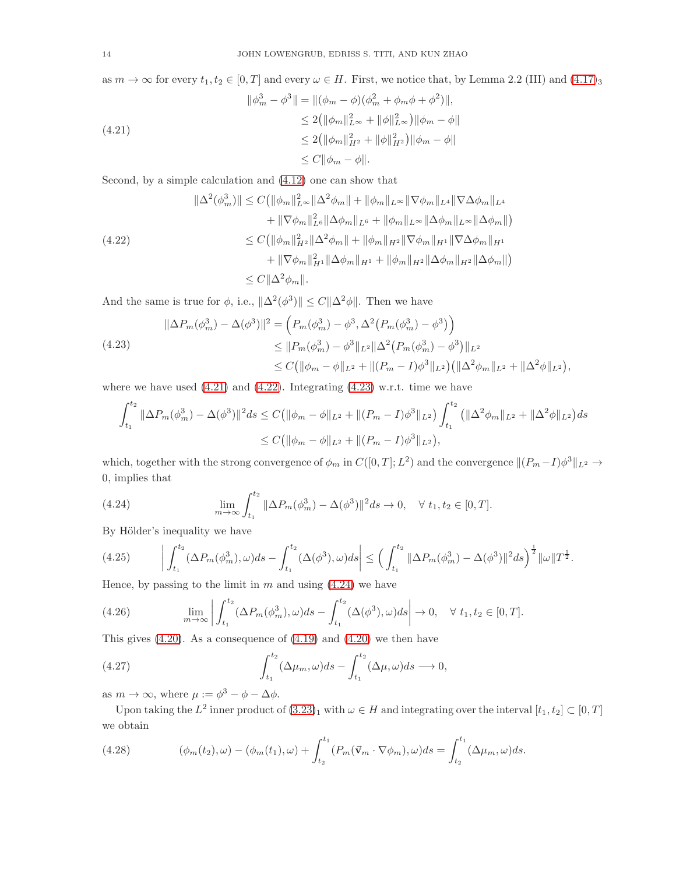as  $m \to \infty$  for every  $t_1, t_2 \in [0, T]$  and every  $\omega \in H$ . First, we notice that, by Lemma 2.2 (III) and (4.[17\)](#page-12-0)<sub>3</sub>

<span id="page-13-0"></span>
$$
\|\phi_m^3 - \phi^3\| = \|(\phi_m - \phi)(\phi_m^2 + \phi_m\phi + \phi^2)\|,
$$
  
\n
$$
\leq 2(\|\phi_m\|_{L^\infty}^2 + \|\phi\|_{L^\infty}^2)\|\phi_m - \phi\|
$$
  
\n
$$
\leq 2(\|\phi_m\|_{H^2}^2 + \|\phi\|_{H^2}^2)\|\phi_m - \phi\|
$$
  
\n
$$
\leq C\|\phi_m - \phi\|.
$$

Second, by a simple calculation and [\(4.12\)](#page-11-5) one can show that

<span id="page-13-1"></span>
$$
\|\Delta^{2}(\phi_{m}^{3})\| \leq C(\|\phi_{m}\|_{L^{\infty}}^{2}\|\Delta^{2}\phi_{m}\| + \|\phi_{m}\|_{L^{\infty}}\|\nabla\phi_{m}\|_{L^{4}}\|\nabla\Delta\phi_{m}\|_{L^{4}} \n+ \|\nabla\phi_{m}\|_{L^{6}}^{2}\|\Delta\phi_{m}\|_{L^{6}} + \|\phi_{m}\|_{L^{\infty}}\|\Delta\phi_{m}\|_{L^{\infty}}\|\Delta\phi_{m}\|)
$$
\n(4.22)\n
$$
\leq C(\|\phi_{m}\|_{H^{2}}^{2}\|\Delta^{2}\phi_{m}\| + \|\phi_{m}\|_{H^{2}}\|\nabla\phi_{m}\|_{H^{1}}\|\nabla\Delta\phi_{m}\|_{H^{1}} \n+ \|\nabla\phi_{m}\|_{H^{1}}^{2}\|\Delta\phi_{m}\|_{H^{1}} + \|\phi_{m}\|_{H^{2}}\|\Delta\phi_{m}\|_{H^{2}}\|\Delta\phi_{m}\|)
$$
\n
$$
\leq C\|\Delta^{2}\phi_{m}\|.
$$

And the same is true for  $\phi$ , i.e.,  $\|\Delta^2(\phi^3)\| \leq C\|\Delta^2\phi\|$ . Then we have

<span id="page-13-2"></span>
$$
\|\Delta P_m(\phi_m^3) - \Delta(\phi^3)\|^2 = \left(P_m(\phi_m^3) - \phi^3, \Delta^2 \left(P_m(\phi_m^3) - \phi^3\right)\right)
$$
  

$$
\leq \|P_m(\phi_m^3) - \phi^3\|_{L^2} \|\Delta^2 \left(P_m(\phi_m^3) - \phi^3\right)\|_{L^2}
$$
  

$$
\leq C \left(\|\phi_m - \phi\|_{L^2} + \|(P_m - I)\phi^3\|_{L^2}\right) \left(\|\Delta^2 \phi_m\|_{L^2} + \|\Delta^2 \phi\|_{L^2}\right),
$$

where we have used  $(4.21)$  and  $(4.22)$ . Integrating  $(4.23)$  w.r.t. time we have

$$
\int_{t_1}^{t_2} \|\Delta P_m(\phi_m^3) - \Delta(\phi^3)\|^2 ds \le C \left( \|\phi_m - \phi\|_{L^2} + \|(P_m - I)\phi^3\|_{L^2} \right) \int_{t_1}^{t_2} \left( \|\Delta^2 \phi_m\|_{L^2} + \|\Delta^2 \phi\|_{L^2} \right) ds
$$
  

$$
\le C \left( \|\phi_m - \phi\|_{L^2} + \|(P_m - I)\phi^3\|_{L^2} \right),
$$

which, together with the strong convergence of  $\phi_m$  in  $C([0,T];L^2)$  and the convergence  $||(P_m-I)\phi^3||_{L^2} \to$ 0, implies that

<span id="page-13-3"></span>(4.24) 
$$
\lim_{m \to \infty} \int_{t_1}^{t_2} \|\Delta P_m(\phi_m^3) - \Delta(\phi^3)\|^2 ds \to 0, \quad \forall \ t_1, t_2 \in [0, T].
$$

By Hölder's inequality we have

$$
(4.25) \qquad \left| \int_{t_1}^{t_2} (\Delta P_m(\phi_m^3), \omega) ds - \int_{t_1}^{t_2} (\Delta(\phi^3), \omega) ds \right| \le \left( \int_{t_1}^{t_2} ||\Delta P_m(\phi_m^3) - \Delta(\phi^3)||^2 ds \right)^{\frac{1}{2}} \|\omega\| T^{\frac{1}{2}}.
$$
\nThese, by passing to the limit, in  $m$  and using (4.24) we have

Hence, by passing to the limit in  $m$  and using  $(4.24)$  we have

(4.26) 
$$
\lim_{m \to \infty} \left| \int_{t_1}^{t_2} (\Delta P_m(\phi_m^3), \omega) ds - \int_{t_1}^{t_2} (\Delta(\phi^3), \omega) ds \right| \to 0, \quad \forall \ t_1, t_2 \in [0, T].
$$

This gives  $(4.20)$ . As a consequence of  $(4.19)$  and  $(4.20)$  we then have

<span id="page-13-4"></span>(4.27) 
$$
\int_{t_1}^{t_2} (\Delta \mu_m, \omega) ds - \int_{t_1}^{t_2} (\Delta \mu, \omega) ds \longrightarrow 0,
$$

as  $m \to \infty$ , where  $\mu := \phi^3 - \phi - \Delta \phi$ .

Upon taking the  $L^2$  inner product of  $(3.23)_1$  $(3.23)_1$  $(3.23)_1$  with  $\omega \in H$  and integrating over the interval  $[t_1, t_2] \subset [0, T]$ we obtain

<span id="page-13-5"></span>(4.28) 
$$
(\phi_m(t_2), \omega) - (\phi_m(t_1), \omega) + \int_{t_2}^{t_1} (P_m(\vec{v}_m \cdot \nabla \phi_m), \omega) ds = \int_{t_2}^{t_1} (\Delta \mu_m, \omega) ds.
$$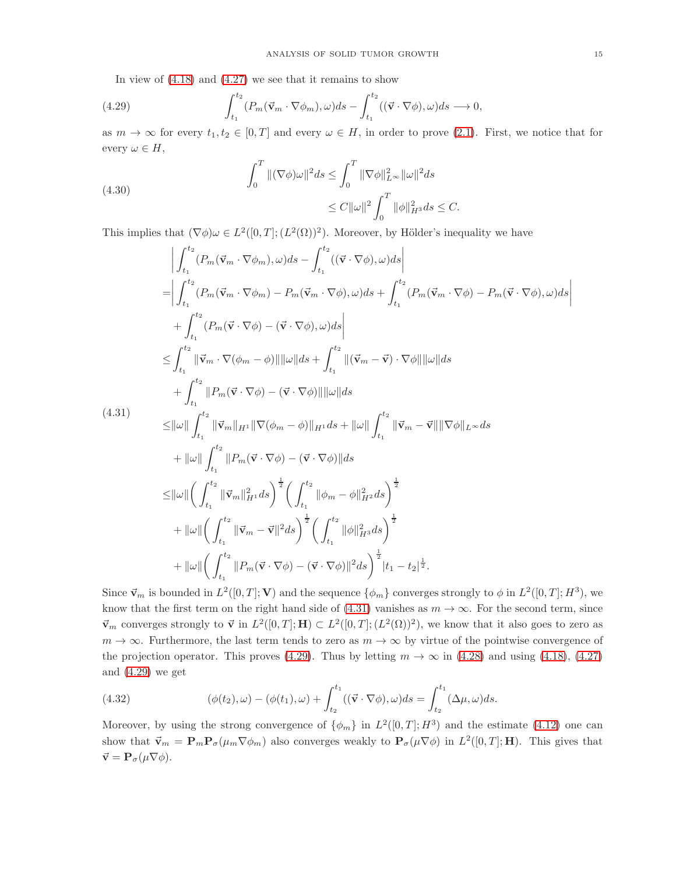<span id="page-14-1"></span>In view of  $(4.18)$  and  $(4.27)$  we see that it remains to show

(4.29) 
$$
\int_{t_1}^{t_2} (P_m(\vec{\mathbf{v}}_m \cdot \nabla \phi_m), \omega) ds - \int_{t_1}^{t_2} ((\vec{\mathbf{v}} \cdot \nabla \phi), \omega) ds \longrightarrow 0,
$$

as  $m \to \infty$  for every  $t_1, t_2 \in [0, T]$  and every  $\omega \in H$ , in order to prove [\(2.1\)](#page-6-4). First, we notice that for every  $\omega \in H$ ,

(4.30)  

$$
\int_0^T ||(\nabla \phi)\omega||^2 ds \le \int_0^T ||\nabla \phi||_{L^\infty}^2 ||\omega||^2 ds
$$

$$
\le C ||\omega||^2 \int_0^T ||\phi||_{H^3}^2 ds \le C.
$$

This implies that  $(\nabla \phi) \omega \in L^2([0, T]; (L^2(\Omega))^2)$ . Moreover, by Hölder's inequality we have

<span id="page-14-0"></span>
$$
\begin{split}\n&\left|\int_{t_1}^{t_2} (P_m(\vec{v}_m \cdot \nabla \phi_m), \omega) ds - \int_{t_1}^{t_2} ((\vec{v} \cdot \nabla \phi), \omega) ds \right| \\
&= \left|\int_{t_1}^{t_2} (P_m(\vec{v}_m \cdot \nabla \phi_m) - P_m(\vec{v}_m \cdot \nabla \phi), \omega) ds + \int_{t_1}^{t_2} (P_m(\vec{v}_m \cdot \nabla \phi) - P_m(\vec{v} \cdot \nabla \phi), \omega) ds \right| \\
&+ \int_{t_1}^{t_2} (P_m(\vec{v} \cdot \nabla \phi) - (\vec{v} \cdot \nabla \phi), \omega) ds \right| \\
&\leq & \int_{t_1}^{t_2} ||\vec{v}_m \cdot \nabla (\phi_m - \phi)|| ||\omega|| ds + \int_{t_1}^{t_2} ||(\vec{v}_m - \vec{v}) \cdot \nabla \phi|| ||\omega|| ds \\
&+ \int_{t_1}^{t_2} ||P_m(\vec{v} \cdot \nabla \phi) - (\vec{v} \cdot \nabla \phi)|| ||\omega|| ds \\
&\leq & \|\omega\| \int_{t_1}^{t_2} ||\vec{v}_m||_{H^1} ||\nabla (\phi_m - \phi)||_{H^1} ds + ||\omega|| \int_{t_1}^{t_2} ||\vec{v}_m - \vec{v}|| ||\nabla \phi||_{L^{\infty}} ds \\
&+ ||\omega|| \int_{t_1}^{t_2} ||P_m(\vec{v} \cdot \nabla \phi) - (\vec{v} \cdot \nabla \phi)|| ds \\
&\leq & \|\omega\| \left(\int_{t_1}^{t_2} ||\vec{v}_m||_{H^1}^2 ds \right)^{\frac{1}{2}} \left(\int_{t_1}^{t_2} ||\phi_m - \phi||_{H^2}^2 ds \right)^{\frac{1}{2}} \\
&+ ||\omega|| \left(\int_{t_1}^{t_2} ||\vec{v}_m - \vec{v}||^2 ds \right)^{\frac{1}{2}} \left(\int_{t_1}^{t_2} ||\phi||_{H^3}^2 ds \right)^{\frac{1}{2}} \\
&+ ||\omega|| \left(\int_{t_1}^{t_2} ||P_m(\vec{v} \cdot \nabla \phi) - (\vec{v} \cdot \nabla \
$$

Since  $\vec{\mathbf{v}}_m$  is bounded in  $L^2([0,T]; \mathbf{V})$  and the sequence  $\{\phi_m\}$  converges strongly to  $\phi$  in  $L^2([0,T]; H^3)$ , we know that the first term on the right hand side of [\(4.31\)](#page-14-0) vanishes as  $m \to \infty$ . For the second term, since  $\vec{\mathbf{v}}_m$  converges strongly to  $\vec{\mathbf{v}}$  in  $L^2([0,T];\mathbf{H}) \subset L^2([0,T];(L^2(\Omega))^2)$ , we know that it also goes to zero as  $m \to \infty$ . Furthermore, the last term tends to zero as  $m \to \infty$  by virtue of the pointwise convergence of the projection operator. This proves [\(4.29\)](#page-14-1). Thus by letting  $m \to \infty$  in [\(4.28\)](#page-13-5) and using [\(4.18\)](#page-12-3), [\(4.27\)](#page-13-4) and [\(4.29\)](#page-14-1) we get

(4.32) 
$$
(\phi(t_2), \omega) - (\phi(t_1), \omega) + \int_{t_2}^{t_1} ((\vec{\mathbf{v}} \cdot \nabla \phi), \omega) ds = \int_{t_2}^{t_1} (\Delta \mu, \omega) ds.
$$

Moreover, by using the strong convergence of  $\{\phi_m\}$  in  $L^2([0,T];H^3)$  and the estimate [\(4.12\)](#page-11-5) one can show that  $\vec{\mathbf{v}}_m = \mathbf{P}_m \mathbf{P}_{\sigma}(\mu_m \nabla \phi_m)$  also converges weakly to  $\mathbf{P}_{\sigma}(\mu \nabla \phi)$  in  $L^2([0,T];\mathbf{H})$ . This gives that  $\vec{\mathbf{v}} = \mathbf{P}_{\sigma}(\mu \nabla \phi).$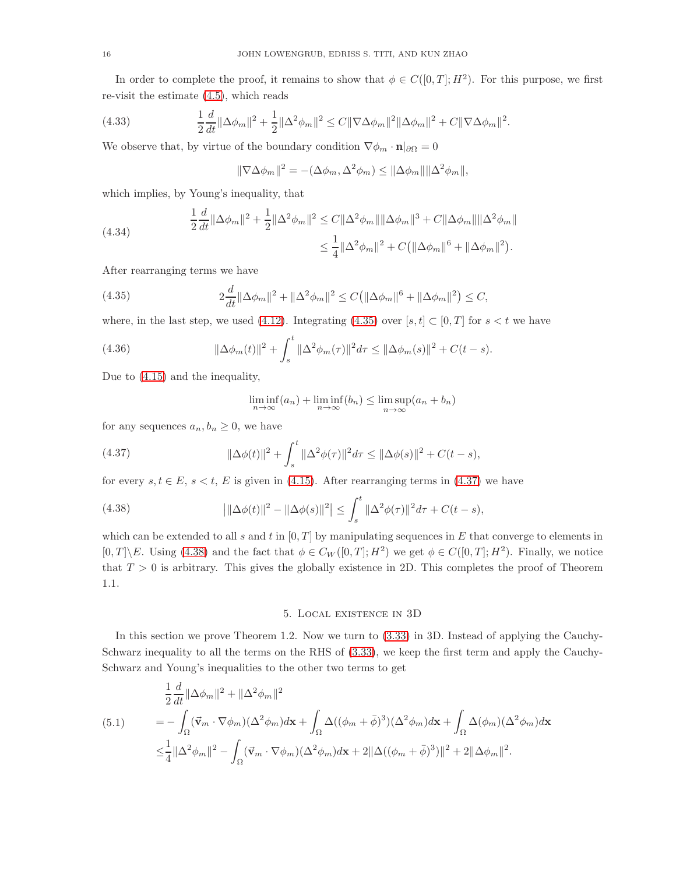In order to complete the proof, it remains to show that  $\phi \in C([0,T]; H^2)$ . For this purpose, we first re-visit the estimate [\(4.5\)](#page-11-1), which reads

(4.33) 
$$
\frac{1}{2}\frac{d}{dt}\|\Delta\phi_m\|^2 + \frac{1}{2}\|\Delta^2\phi_m\|^2 \leq C\|\nabla\Delta\phi_m\|^2\|\Delta\phi_m\|^2 + C\|\nabla\Delta\phi_m\|^2.
$$

We observe that, by virtue of the boundary condition  $\nabla \phi_m \cdot \mathbf{n}|_{\partial \Omega} = 0$ 

$$
\|\nabla \Delta \phi_m\|^2 = -(\Delta \phi_m, \Delta^2 \phi_m) \le \|\Delta \phi_m\| \|\Delta^2 \phi_m\|,
$$

which implies, by Young's inequality, that

(4.34) 
$$
\frac{1}{2}\frac{d}{dt}\|\Delta\phi_m\|^2 + \frac{1}{2}\|\Delta^2\phi_m\|^2 \leq C\|\Delta^2\phi_m\|\|\Delta\phi_m\|^3 + C\|\Delta\phi_m\|\|\Delta^2\phi_m\|
$$

$$
\leq \frac{1}{4}\|\Delta^2\phi_m\|^2 + C(\|\Delta\phi_m\|^6 + \|\Delta\phi_m\|^2).
$$

After rearranging terms we have

(4.35) 
$$
2\frac{d}{dt}\|\Delta\phi_m\|^2 + \|\Delta^2\phi_m\|^2 \le C(\|\Delta\phi_m\|^6 + \|\Delta\phi_m\|^2) \le C,
$$

where, in the last step, we used [\(4.12\)](#page-11-5). Integrating [\(4.35\)](#page-15-0) over  $[s, t] \subset [0, T]$  for  $s < t$  we have

(4.36) 
$$
\|\Delta \phi_m(t)\|^2 + \int_s^t \|\Delta^2 \phi_m(\tau)\|^2 d\tau \le \|\Delta \phi_m(s)\|^2 + C(t-s).
$$

Due to [\(4.15\)](#page-12-4) and the inequality,

<span id="page-15-2"></span><span id="page-15-1"></span><span id="page-15-0"></span>
$$
\liminf_{n \to \infty} (a_n) + \liminf_{n \to \infty} (b_n) \le \limsup_{n \to \infty} (a_n + b_n)
$$

for any sequences  $a_n, b_n \geq 0$ , we have

(4.37) 
$$
\|\Delta \phi(t)\|^2 + \int_s^t \|\Delta^2 \phi(\tau)\|^2 d\tau \le \|\Delta \phi(s)\|^2 + C(t-s),
$$

for every  $s, t \in E$ ,  $s < t$ , E is given in [\(4.15\)](#page-12-4). After rearranging terms in [\(4.37\)](#page-15-1) we have

(4.38) 
$$
\left|\|\Delta\phi(t)\|^2 - \|\Delta\phi(s)\|^2\right| \le \int_s^t \|\Delta^2\phi(\tau)\|^2 d\tau + C(t-s),
$$

which can be extended to all s and t in  $[0, T]$  by manipulating sequences in E that converge to elements in  $[0, T] \backslash E$ . Using [\(4.38\)](#page-15-2) and the fact that  $\phi \in C_W([0, T]; H^2)$  we get  $\phi \in C([0, T]; H^2)$ . Finally, we notice that  $T > 0$  is arbitrary. This gives the globally existence in 2D. This completes the proof of Theorem 1.1.

#### 5. Local existence in 3D

In this section we prove Theorem 1.2. Now we turn to [\(3.33\)](#page-9-6) in 3D. Instead of applying the Cauchy-Schwarz inequality to all the terms on the RHS of [\(3.33\)](#page-9-6), we keep the first term and apply the Cauchy-Schwarz and Young's inequalities to the other two terms to get

<span id="page-15-3"></span>
$$
\frac{1}{2}\frac{d}{dt}\|\Delta\phi_m\|^2 + \|\Delta^2\phi_m\|^2
$$
\n
$$
(5.1) \qquad = -\int_{\Omega} (\vec{v}_m \cdot \nabla\phi_m)(\Delta^2\phi_m) d\mathbf{x} + \int_{\Omega} \Delta((\phi_m + \bar{\phi})^3)(\Delta^2\phi_m) d\mathbf{x} + \int_{\Omega} \Delta(\phi_m)(\Delta^2\phi_m) d\mathbf{x}
$$
\n
$$
\leq \frac{1}{4}\|\Delta^2\phi_m\|^2 - \int_{\Omega} (\vec{v}_m \cdot \nabla\phi_m)(\Delta^2\phi_m) d\mathbf{x} + 2\|\Delta((\phi_m + \bar{\phi})^3)\|^2 + 2\|\Delta\phi_m\|^2.
$$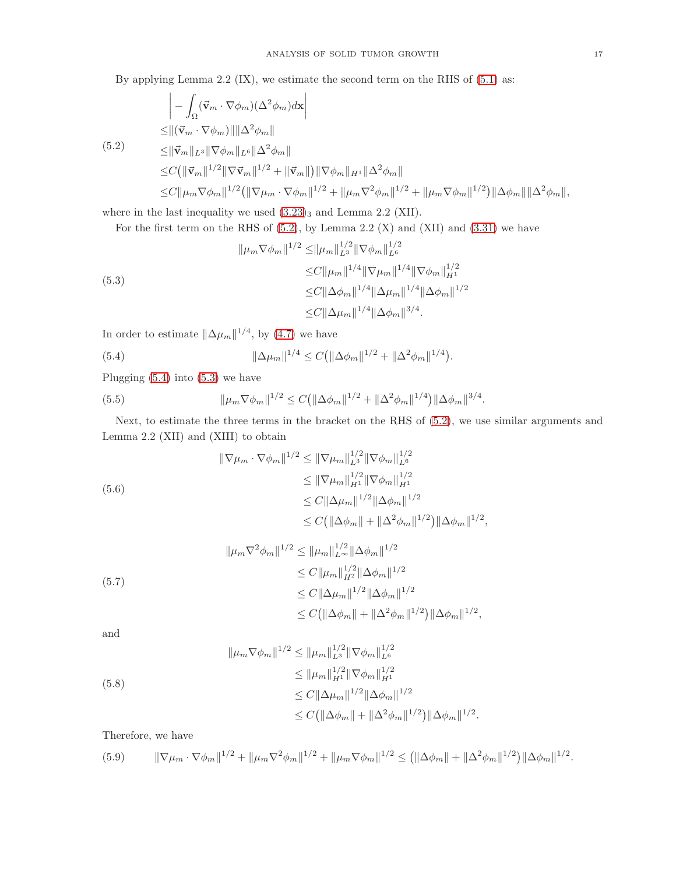By applying Lemma 2.2 (IX), we estimate the second term on the RHS of [\(5.1\)](#page-15-3) as:

<span id="page-16-0"></span>
$$
\begin{aligned}\n&\left| -\int_{\Omega} (\vec{v}_m \cdot \nabla \phi_m)(\Delta^2 \phi_m) d\mathbf{x} \right| \\
&\leq \|\left(\vec{v}_m \cdot \nabla \phi_m\right)\| \|\Delta^2 \phi_m\| \\
&\leq \|\vec{v}_m\|_{L^3} \|\nabla \phi_m\|_{L^6} \|\Delta^2 \phi_m\| \\
&\leq C \left(\|\vec{v}_m\|^{1/2} \|\nabla \vec{v}_m\|^{1/2} + \|\vec{v}_m\|\right) \|\nabla \phi_m\|_{H^1} \|\Delta^2 \phi_m\| \\
&\leq C \|\mu_m \nabla \phi_m\|^{1/2} \left(\|\nabla \mu_m \cdot \nabla \phi_m\|^{1/2} + \|\mu_m \nabla^2 \phi_m\|^{1/2} + \|\mu_m \nabla \phi_m\|^{1/2}\right) \|\Delta \phi_m\| \|\Delta^2 \phi_m\|,\n\end{aligned}
$$

where in the last inequality we used  $(3.23)_3$  $(3.23)_3$  $(3.23)_3$  and Lemma 2.2 (XII).

<span id="page-16-2"></span>For the first term on the RHS of [\(5.2\)](#page-16-0), by Lemma 2.2 (X) and (XII) and [\(3.31\)](#page-9-3) we have

$$
\|\mu_m \nabla \phi_m\|^{1/2} \le \|\mu_m\|_{L^3}^{1/2} \|\nabla \phi_m\|_{L^6}^{1/2}
$$
  
\n
$$
\le C \|\mu_m\|^{1/4} \|\nabla \mu_m\|^{1/4} \|\nabla \phi_m\|_{H^1}^{1/2}
$$
  
\n
$$
\le C \|\Delta \phi_m\|^{1/4} \|\Delta \mu_m\|^{1/4} \|\Delta \phi_m\|^{1/2}
$$
  
\n
$$
\le C \|\Delta \mu_m\|^{1/4} \|\Delta \phi_m\|^{3/4}.
$$

In order to estimate  $\|\Delta\mu_m\|^{1/4}$ , by [\(4.7\)](#page-11-6) we have

<span id="page-16-1"></span>(5.4) 
$$
\|\Delta \mu_m\|^{1/4} \le C \big( \|\Delta \phi_m\|^{1/2} + \|\Delta^2 \phi_m\|^{1/4} \big).
$$

Plugging [\(5.4\)](#page-16-1) into [\(5.3\)](#page-16-2) we have

<span id="page-16-3"></span>(5.5) 
$$
\|\mu_m \nabla \phi_m\|^{1/2} \le C \left( \|\Delta \phi_m\|^{1/2} + \|\Delta^2 \phi_m\|^{1/4} \right) \|\Delta \phi_m\|^{3/4}.
$$

Next, to estimate the three terms in the bracket on the RHS of [\(5.2\)](#page-16-0), we use similar arguments and Lemma 2.2 (XII) and (XIII) to obtain

$$
\|\nabla \mu_m \cdot \nabla \phi_m\|^{1/2} \le \|\nabla \mu_m\|_{L^3}^{1/2} \|\nabla \phi_m\|_{L^6}^{1/2}
$$
  
\n
$$
\le \|\nabla \mu_m\|_{H^1}^{1/2} \|\nabla \phi_m\|_{H^1}^{1/2}
$$
  
\n
$$
\le C \|\Delta \mu_m\|^{1/2} \|\Delta \phi_m\|^{1/2}
$$
  
\n
$$
\le C \|\Delta \phi_m\| + \|\Delta^2 \phi_m\|^{1/2} \|\Delta \phi_m\|^{1/2},
$$

$$
\|\mu_m \nabla^2 \phi_m\|^{1/2} \le \|\mu_m\|_{L^\infty}^{1/2} \|\Delta \phi_m\|^{1/2}
$$
  
\n
$$
\le C \|\mu_m\|_{H^2}^{1/2} \|\Delta \phi_m\|^{1/2}
$$
  
\n
$$
\le C \|\Delta \mu_m\|^{1/2} \|\Delta \phi_m\|^{1/2}
$$
  
\n
$$
\le C \|\Delta \mu_m\|^{1/2} \|\Delta \phi_m\|^{1/2}
$$
  
\n
$$
\le C \|\Delta \phi_m\| + \|\Delta^2 \phi_m\|^{1/2} \|\Delta \phi_m\|^{1/2},
$$

and

$$
\|\mu_m \nabla \phi_m\|^{1/2} \le \|\mu_m\|_{L^3}^{1/2} \|\nabla \phi_m\|_{L^6}^{1/2}
$$
  
\n
$$
\le \|\mu_m\|_{H^1}^{1/2} \|\nabla \phi_m\|_{H^1}^{1/2}
$$
  
\n
$$
\le C \|\Delta \mu_m\|^{1/2} \|\Delta \phi_m\|^{1/2}
$$
  
\n
$$
\le C \|\Delta \phi_m\| + \|\Delta^2 \phi_m\|^{1/2} \|\Delta \phi_m\|^{1/2}.
$$

Therefore, we have

<span id="page-16-4"></span>
$$
(5.9) \qquad \|\nabla \mu_m \cdot \nabla \phi_m\|^{1/2} + \|\mu_m \nabla^2 \phi_m\|^{1/2} + \|\mu_m \nabla \phi_m\|^{1/2} \le \left(\|\Delta \phi_m\| + \|\Delta^2 \phi_m\|^{1/2}\right) \|\Delta \phi_m\|^{1/2}.
$$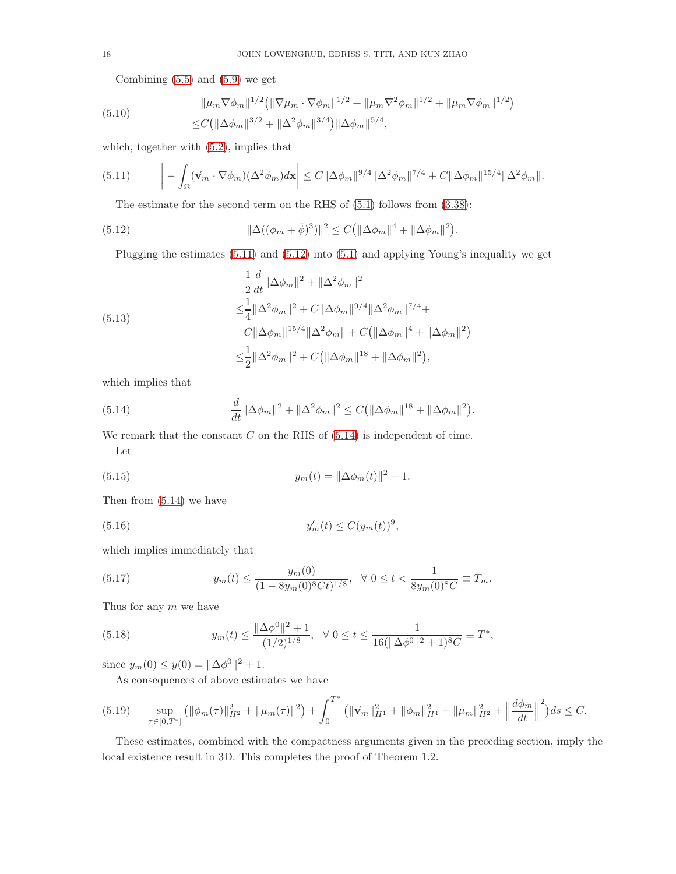Combining  $(5.5)$  and  $(5.9)$  we get

(5.10) 
$$
\|\mu_m \nabla \phi_m\|^{1/2} \left( \|\nabla \mu_m \cdot \nabla \phi_m\|^{1/2} + \|\mu_m \nabla^2 \phi_m\|^{1/2} + \|\mu_m \nabla \phi_m\|^{1/2} \right)
$$

$$
\leq C \left( \|\Delta \phi_m\|^{3/2} + \|\Delta^2 \phi_m\|^{3/4} \right) \|\Delta \phi_m\|^{5/4},
$$

which, together with [\(5.2\)](#page-16-0), implies that

$$
(5.11) \qquad \left| - \int_{\Omega} (\vec{v}_m \cdot \nabla \phi_m)(\Delta^2 \phi_m) d\mathbf{x} \right| \leq C \|\Delta \phi_m\|^{9/4} \|\Delta^2 \phi_m\|^{7/4} + C \|\Delta \phi_m\|^{15/4} \|\Delta^2 \phi_m\|.
$$

<span id="page-17-1"></span><span id="page-17-0"></span>The estimate for the second term on the RHS of [\(5.1\)](#page-15-3) follows from [\(3.38\)](#page-10-7):

(5.12) 
$$
\|\Delta((\phi_m+\bar{\phi})^3)\|^2 \le C(\|\Delta\phi_m\|^4 + \|\Delta\phi_m\|^2).
$$

Plugging the estimates [\(5.11\)](#page-17-0) and [\(5.12\)](#page-17-1) into [\(5.1\)](#page-15-3) and applying Young's inequality we get

(5.13)  
\n
$$
\frac{1}{2} \frac{d}{dt} ||\Delta \phi_m||^2 + ||\Delta^2 \phi_m||^2
$$
\n
$$
\leq \frac{1}{4} ||\Delta^2 \phi_m||^2 + C ||\Delta \phi_m||^{9/4} ||\Delta^2 \phi_m||^{7/4} + C ||\Delta \phi_m||^{15/4} ||\Delta^2 \phi_m|| + C (||\Delta \phi_m||^4 + ||\Delta \phi_m||^2)
$$
\n
$$
\leq \frac{1}{2} ||\Delta^2 \phi_m||^2 + C (||\Delta \phi_m||^{18} + ||\Delta \phi_m||^2),
$$

which implies that

<span id="page-17-2"></span>(5.14) 
$$
\frac{d}{dt} \|\Delta \phi_m\|^2 + \|\Delta^2 \phi_m\|^2 \le C \left(\|\Delta \phi_m\|^{18} + \|\Delta \phi_m\|^2\right).
$$

We remark that the constant  $C$  on the RHS of  $(5.14)$  is independent of time. Let

(5.15) 
$$
y_m(t) = ||\Delta \phi_m(t)||^2 + 1.
$$

Then from [\(5.14\)](#page-17-2) we have

(5.16) 
$$
y'_m(t) \le C(y_m(t))^9,
$$

which implies immediately that

(5.17) 
$$
y_m(t) \le \frac{y_m(0)}{(1 - 8y_m(0)^8 Ct)^{1/8}}, \quad \forall \ 0 \le t < \frac{1}{8y_m(0)^8C} \equiv T_m.
$$

Thus for any  $m$  we have

(5.18) 
$$
y_m(t) \le \frac{\|\Delta \phi^0\|^2 + 1}{(1/2)^{1/8}}, \quad \forall \ 0 \le t \le \frac{1}{16(\|\Delta \phi^0\|^2 + 1)^8 C} \equiv T^*,
$$

since  $y_m(0) \le y(0) = ||\Delta \phi^0||^2 + 1.$ 

<span id="page-17-3"></span>As consequences of above estimates we have

$$
(5.19) \quad \sup_{\tau \in [0,T^*]} \left( \|\phi_m(\tau)\|_{H^2}^2 + \|\mu_m(\tau)\|^2 \right) + \int_0^{T^*} \left( \|\vec{\mathbf{v}}_m\|_{H^1}^2 + \|\phi_m\|_{H^4}^2 + \|\mu_m\|_{H^2}^2 + \left\|\frac{d\phi_m}{dt}\right\|^2 \right) ds \leq C.
$$

These estimates, combined with the compactness arguments given in the preceding section, imply the local existence result in 3D. This completes the proof of Theorem 1.2.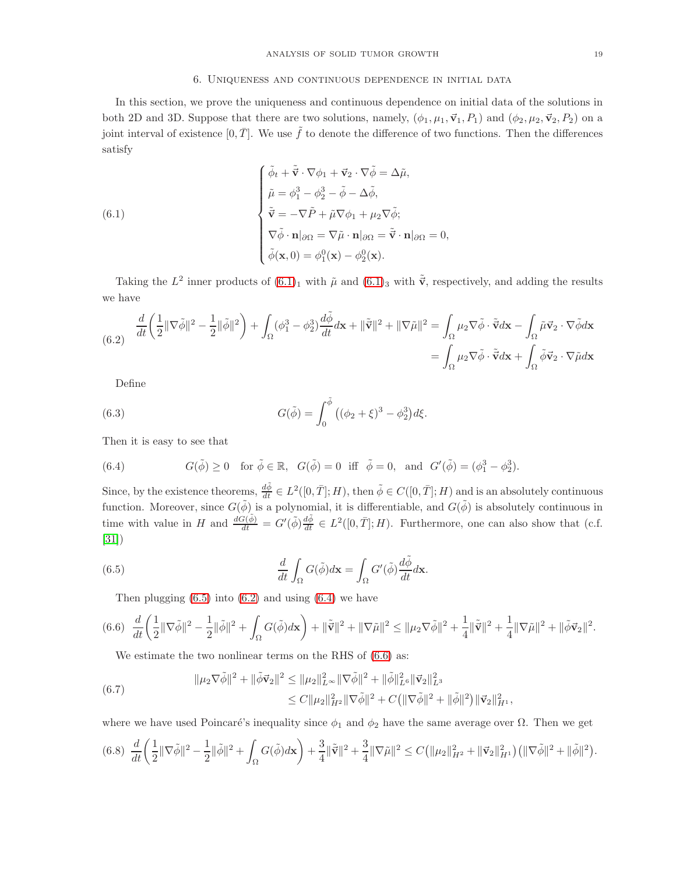### <span id="page-18-0"></span>6. Uniqueness and continuous dependence in initial data

In this section, we prove the uniqueness and continuous dependence on initial data of the solutions in both 2D and 3D. Suppose that there are two solutions, namely,  $(\phi_1, \mu_1, \vec{v}_1, P_1)$  and  $(\phi_2, \mu_2, \vec{v}_2, P_2)$  on a joint interval of existence  $[0, \overline{T}]$ . We use  $\tilde{f}$  to denote the difference of two functions. Then the differences satisfy

(6.1)  
\n
$$
\begin{cases}\n\tilde{\phi}_t + \tilde{\vec{\mathbf{v}}} \cdot \nabla \phi_1 + \vec{\mathbf{v}}_2 \cdot \nabla \tilde{\phi} = \Delta \tilde{\mu}, \\
\tilde{\mu} = \phi_1^3 - \phi_2^3 - \tilde{\phi} - \Delta \tilde{\phi}, \\
\tilde{\vec{\mathbf{v}}} = -\nabla \tilde{P} + \tilde{\mu} \nabla \phi_1 + \mu_2 \nabla \tilde{\phi}; \\
\nabla \tilde{\phi} \cdot \mathbf{n}|_{\partial \Omega} = \nabla \tilde{\mu} \cdot \mathbf{n}|_{\partial \Omega} = \tilde{\vec{\mathbf{v}}} \cdot \mathbf{n}|_{\partial \Omega} = 0, \\
\tilde{\phi}(\mathbf{x}, 0) = \phi_1^0(\mathbf{x}) - \phi_2^0(\mathbf{x}).\n\end{cases}
$$

Taking the  $L^2$  inner products of  $(6.1)_1$  with  $\tilde{\mu}$  and  $(6.1)_3$  with  $\tilde{\vec{v}}$ , respectively, and adding the results we have

<span id="page-18-2"></span>
$$
\frac{d}{dt} \left( \frac{1}{2} \| \nabla \tilde{\phi} \|^2 - \frac{1}{2} \| \tilde{\phi} \|^2 \right) + \int_{\Omega} (\phi_1^3 - \phi_2^3) \frac{d \tilde{\phi}}{dt} d\mathbf{x} + \| \tilde{\mathbf{v}} \|^2 + \| \nabla \tilde{\mu} \|^2 = \int_{\Omega} \mu_2 \nabla \tilde{\phi} \cdot \tilde{\mathbf{v}} d\mathbf{x} - \int_{\Omega} \tilde{\mu} \vec{\mathbf{v}}_2 \cdot \nabla \tilde{\phi} d\mathbf{x}
$$
  
= 
$$
\int_{\Omega} \mu_2 \nabla \tilde{\phi} \cdot \tilde{\mathbf{v}} d\mathbf{x} + \int_{\Omega} \tilde{\phi} \vec{\mathbf{v}}_2 \cdot \nabla \tilde{\mu} d\mathbf{x}
$$

Define

(6.3) 
$$
G(\tilde{\phi}) = \int_0^{\tilde{\phi}} ((\phi_2 + \xi)^3 - \phi_2^3) d\xi.
$$

Then it is easy to see that

<span id="page-18-3"></span>(6.4) 
$$
G(\tilde{\phi}) \ge 0
$$
 for  $\tilde{\phi} \in \mathbb{R}$ ,  $G(\tilde{\phi}) = 0$  iff  $\tilde{\phi} = 0$ , and  $G'(\tilde{\phi}) = (\phi_1^3 - \phi_2^3)$ .

Since, by the existence theorems,  $\frac{d\tilde{\phi}}{dt} \in L^2([0,\bar{T}];H)$ , then  $\tilde{\phi} \in C([0,\bar{T}];H)$  and is an absolutely continuous function. Moreover, since  $G(\tilde{\phi})$  is a polynomial, it is differentiable, and  $G(\tilde{\phi})$  is absolutely continuous in time with value in H and  $\frac{dG(\tilde{\phi})}{dt} = G'(\tilde{\phi})\frac{d\tilde{\phi}}{dt} \in L^2([0,\bar{T}];H)$ . Furthermore, one can also show that (c.f. [\[31\]](#page-35-7))

(6.5) 
$$
\frac{d}{dt} \int_{\Omega} G(\tilde{\phi}) d\mathbf{x} = \int_{\Omega} G'(\tilde{\phi}) \frac{d\tilde{\phi}}{dt} d\mathbf{x}.
$$

<span id="page-18-1"></span>Then plugging  $(6.5)$  into  $(6.2)$  and using  $(6.4)$  we have

<span id="page-18-4"></span>
$$
(6.6)\ \ \frac{d}{dt}\bigg(\frac{1}{2}\|\nabla\tilde{\phi}\|^2-\frac{1}{2}\|\tilde{\phi}\|^2+\int_{\Omega}G(\tilde{\phi})d\mathbf{x}\bigg)+\|\tilde{\mathbf{v}}\|^2+\|\nabla\tilde{\mu}\|^2\leq \|\mu_2\nabla\tilde{\phi}\|^2+\frac{1}{4}\|\tilde{\mathbf{v}}\|^2+\frac{1}{4}\|\nabla\tilde{\mu}\|^2+\|\tilde{\phi}\vec{\mathbf{v}}_2\|^2.
$$

We estimate the two nonlinear terms on the RHS of  $(6.6)$  as:

(6.7) 
$$
\|\mu_2 \nabla \tilde{\phi}\|^2 + \|\tilde{\phi} \vec{\mathbf{v}}_2\|^2 \le \|\mu_2\|_{L^{\infty}}^2 \|\nabla \tilde{\phi}\|^2 + \|\tilde{\phi}\|_{L^6}^2 \|\vec{\mathbf{v}}_2\|_{L^3}^2 \le C \|\mu_2\|_{H^2}^2 \|\nabla \tilde{\phi}\|^2 + C \left(\|\nabla \tilde{\phi}\|^2 + \|\tilde{\phi}\|^2\right) \|\vec{\mathbf{v}}_2\|_{H^1}^2,
$$

where we have used Poincaré's inequality since  $\phi_1$  and  $\phi_2$  have the same average over  $\Omega$ . Then we get

<span id="page-18-5"></span>
$$
(6.8)\ \ \frac{d}{dt}\bigg(\frac{1}{2}\|\nabla\tilde{\phi}\|^2-\frac{1}{2}\|\tilde{\phi}\|^2+\int_{\Omega}G(\tilde{\phi})d\mathbf{x}\bigg)+\frac{3}{4}\|\tilde{\mathbf{v}}\|^2+\frac{3}{4}\|\nabla\tilde{\mu}\|^2\leq C\big(\|\mu_2\|_{H^2}^2+\|\vec{\mathbf{v}}_2\|_{H^1}^2\big)\big(\|\nabla\tilde{\phi}\|^2+\|\tilde{\phi}\|^2\big).
$$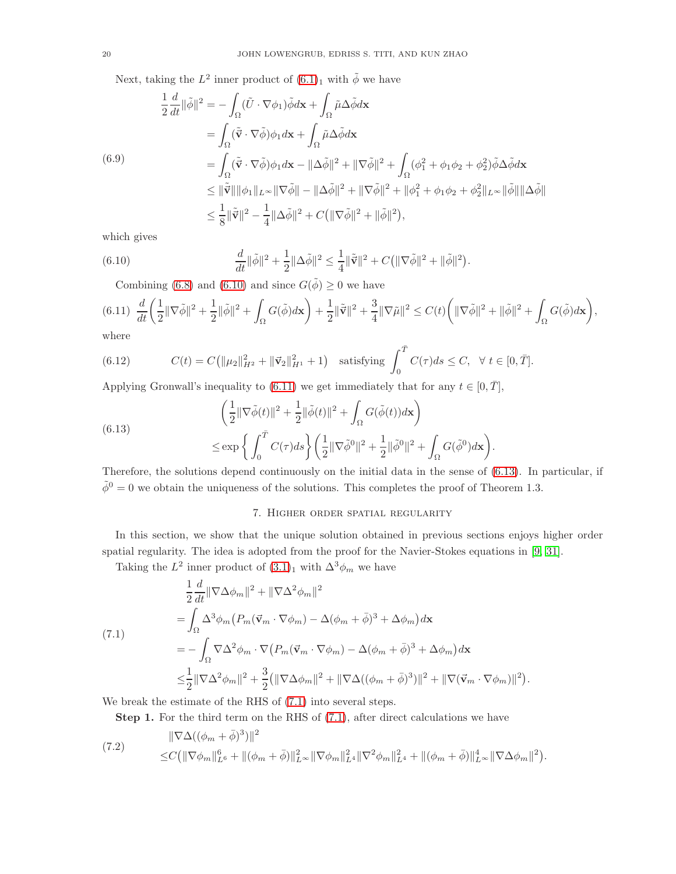Next, taking the  $L^2$  inner product of  $(6.1)_1$  with  $\tilde{\phi}$  we have

$$
\frac{1}{2}\frac{d}{dt}\|\tilde{\phi}\|^2 = -\int_{\Omega} (\tilde{U} \cdot \nabla \phi_1) \tilde{\phi} d\mathbf{x} + \int_{\Omega} \tilde{\mu} \Delta \tilde{\phi} d\mathbf{x}
$$
\n
$$
= \int_{\Omega} (\tilde{\mathbf{v}} \cdot \nabla \tilde{\phi}) \phi_1 d\mathbf{x} + \int_{\Omega} \tilde{\mu} \Delta \tilde{\phi} d\mathbf{x}
$$
\n(6.9)\n
$$
= \int_{\Omega} (\tilde{\mathbf{v}} \cdot \nabla \tilde{\phi}) \phi_1 d\mathbf{x} - \|\Delta \tilde{\phi}\|^2 + \|\nabla \tilde{\phi}\|^2 + \int_{\Omega} (\phi_1^2 + \phi_1 \phi_2 + \phi_2^2) \tilde{\phi} \Delta \tilde{\phi} d\mathbf{x}
$$
\n
$$
\leq \|\tilde{\mathbf{v}}\| \|\phi_1\|_{L^\infty} \|\nabla \tilde{\phi}\| - \|\Delta \tilde{\phi}\|^2 + \|\nabla \tilde{\phi}\|^2 + \|\phi_1^2 + \phi_1 \phi_2 + \phi_2^2\|_{L^\infty} \|\tilde{\phi}\| \|\Delta \tilde{\phi}\|
$$
\n
$$
\leq \frac{1}{8} \|\tilde{\mathbf{v}}\|^2 - \frac{1}{4} \|\Delta \tilde{\phi}\|^2 + C \left( \|\nabla \tilde{\phi}\|^2 + \|\tilde{\phi}\|^2 \right),
$$

which gives

(6.10) 
$$
\frac{d}{dt}\|\tilde{\phi}\|^2 + \frac{1}{2}\|\Delta\tilde{\phi}\|^2 \le \frac{1}{4}\|\tilde{\vec{v}}\|^2 + C(\|\nabla\tilde{\phi}\|^2 + \|\tilde{\phi}\|^2)
$$

<span id="page-19-1"></span><span id="page-19-0"></span>Combining [\(6.8\)](#page-18-5) and [\(6.10\)](#page-19-0) and since  $G(\tilde{\phi}) \ge 0$  we have

$$
(6.11)\ \ \frac{d}{dt}\bigg(\frac{1}{2}\|\nabla\tilde{\phi}\|^2+\frac{1}{2}\|\tilde{\phi}\|^2+\int_{\Omega}G(\tilde{\phi})d\mathbf{x}\bigg)+\frac{1}{2}\|\tilde{\mathbf{v}}\|^2+\frac{3}{4}\|\nabla\tilde{\mu}\|^2\leq C(t)\bigg(\|\nabla\tilde{\phi}\|^2+\|\tilde{\phi}\|^2+\int_{\Omega}G(\tilde{\phi})d\mathbf{x}\bigg),
$$
 where

.

.

.

where

(6.12) 
$$
C(t) = C(\|\mu_2\|_{H^2}^2 + \|\vec{\mathbf{v}}_2\|_{H^1}^2 + 1) \text{ satisfying } \int_0^{\bar{T}} C(\tau) ds \leq C, \ \forall \ t \in [0, \bar{T}].
$$

Applying Gronwall's inequality to [\(6.11\)](#page-19-1) we get immediately that for any  $t \in [0, \overline{T}]$ ,

(6.13) 
$$
\left(\frac{1}{2} \|\nabla \tilde{\phi}(t)\|^2 + \frac{1}{2} \|\tilde{\phi}(t)\|^2 + \int_{\Omega} G(\tilde{\phi}(t)) d\mathbf{x}\right) \le \exp\left\{\int_0^T C(\tau) ds\right\} \left(\frac{1}{2} \|\nabla \tilde{\phi}^0\|^2 + \frac{1}{2} \|\tilde{\phi}^0\|^2 + \int_{\Omega} G(\tilde{\phi}^0) d\mathbf{x}\right)
$$

Therefore, the solutions depend continuously on the initial data in the sense of [\(6.13\)](#page-19-2). In particular, if  $\tilde{\phi}^0 = 0$  we obtain the uniqueness of the solutions. This completes the proof of Theorem 1.3.

## <span id="page-19-2"></span>7. Higher order spatial regularity

In this section, we show that the unique solution obtained in previous sections enjoys higher order spatial regularity. The idea is adopted from the proof for the Navier-Stokes equations in [\[9,](#page-34-11) [31\]](#page-35-7).

Taking the  $L^2$  inner product of  $(3.1)_1$  $(3.1)_1$  $(3.1)_1$  with  $\Delta^3 \phi_m$  we have

<span id="page-19-3"></span>
$$
\frac{1}{2} \frac{d}{dt} \|\nabla \Delta \phi_m\|^2 + \|\nabla \Delta^2 \phi_m\|^2
$$
\n
$$
= \int_{\Omega} \Delta^3 \phi_m \left(P_m(\vec{v}_m \cdot \nabla \phi_m) - \Delta(\phi_m + \bar{\phi})^3 + \Delta \phi_m\right) d\mathbf{x}
$$
\n(7.1)\n
$$
= -\int_{\Omega} \nabla \Delta^2 \phi_m \cdot \nabla \left(P_m(\vec{v}_m \cdot \nabla \phi_m) - \Delta(\phi_m + \bar{\phi})^3 + \Delta \phi_m\right) d\mathbf{x}
$$
\n
$$
\leq \frac{1}{2} \|\nabla \Delta^2 \phi_m\|^2 + \frac{3}{2} \left(\|\nabla \Delta \phi_m\|^2 + \|\nabla \Delta((\phi_m + \bar{\phi})^3)\|^2 + \|\nabla(\vec{v}_m \cdot \nabla \phi_m)\|^2\right)
$$

We break the estimate of the RHS of [\(7.1\)](#page-19-3) into several steps.

<span id="page-19-4"></span>Step 1. For the third term on the RHS of  $(7.1)$ , after direct calculations we have

(7.2) 
$$
\|\nabla\Delta((\phi_m+\bar{\phi})^3)\|^2 \leq C\big(\|\nabla\phi_m\|_{L^6}^6+\|(\phi_m+\bar{\phi})\|_{L^\infty}^2\|\nabla\phi_m\|_{L^4}^2\|\nabla^2\phi_m\|_{L^4}^2+\|(\phi_m+\bar{\phi})\|_{L^\infty}^4\|\nabla\Delta\phi_m\|^2\big).
$$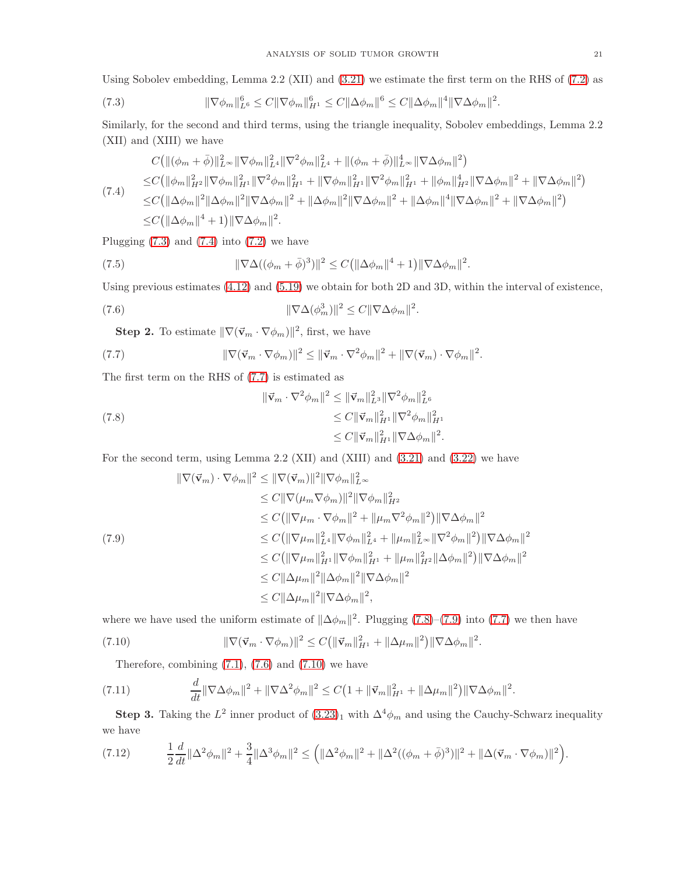Using Sobolev embedding, Lemma 2.2 (XII) and [\(3.21\)](#page-8-3) we estimate the first term on the RHS of [\(7.2\)](#page-19-4) as

<span id="page-20-0"></span>(7.3) 
$$
\|\nabla \phi_m\|_{L^6}^6 \leq C \|\nabla \phi_m\|_{H^1}^6 \leq C \|\Delta \phi_m\|^6 \leq C \|\Delta \phi_m\|^4 \|\nabla \Delta \phi_m\|^2.
$$

Similarly, for the second and third terms, using the triangle inequality, Sobolev embeddings, Lemma 2.2 (XII) and (XIII) we have

<span id="page-20-1"></span>
$$
C(||(\phi_m + \bar{\phi})||_{L^{\infty}}^2 ||\nabla \phi_m||_{L^4}^2 ||\nabla^2 \phi_m||_{L^4}^2 + ||(\phi_m + \bar{\phi})||_{L^{\infty}}^4 ||\nabla \Delta \phi_m||^2)
$$
  
\n
$$
\leq C(||\phi_m||_{H^2}^2 ||\nabla \phi_m||_{H^1}^2 ||\nabla^2 \phi_m||_{H^1}^2 + ||\nabla \phi_m||_{H^1}^2 ||\nabla^2 \phi_m||_{H^1}^2 + ||\phi_m||_{H^2}^4 ||\nabla \Delta \phi_m||^2 + ||\nabla \Delta \phi_m||^2)
$$
  
\n
$$
\leq C(||\Delta \phi_m||^2 ||\Delta \phi_m||^2 ||\nabla \Delta \phi_m||^2 + ||\Delta \phi_m||^2 ||\nabla \Delta \phi_m||^2 + ||\Delta \phi_m||^2 ||\nabla \Delta \phi_m||^2 + ||\nabla \Delta \phi_m||^2 + ||\nabla \Delta \phi_m||^2)
$$
  
\n
$$
\leq C(||\Delta \phi_m||^4 + 1) ||\nabla \Delta \phi_m||^2.
$$

Plugging  $(7.3)$  and  $(7.4)$  into  $(7.2)$  we have

(7.5) 
$$
\|\nabla\Delta((\phi_m+\bar{\phi})^3)\|^2 \le C(\|\Delta\phi_m\|^4+1)\|\nabla\Delta\phi_m\|^2.
$$

Using previous estimates [\(4.12\)](#page-11-5) and [\(5.19\)](#page-17-3) we obtain for both 2D and 3D, within the interval of existence,

(7.6) 
$$
\|\nabla\Delta(\phi_m^3)\|^2 \leq C\|\nabla\Delta\phi_m\|^2.
$$

<span id="page-20-5"></span><span id="page-20-2"></span>**Step 2.** To estimate  $\|\nabla(\vec{v}_m \cdot \nabla \phi_m)\|^2$ , first, we have

(7.7) 
$$
\|\nabla(\vec{\mathbf{v}}_m\cdot\nabla\phi_m)\|^2 \leq \|\vec{\mathbf{v}}_m\cdot\nabla^2\phi_m\|^2 + \|\nabla(\vec{\mathbf{v}}_m)\cdot\nabla\phi_m\|^2.
$$

The first term on the RHS of [\(7.7\)](#page-20-2) is estimated as

<span id="page-20-3"></span>(7.8) 
$$
\|\vec{\mathbf{v}}_m \cdot \nabla^2 \phi_m\|^2 \leq \|\vec{\mathbf{v}}_m\|_{L^3}^2 \|\nabla^2 \phi_m\|_{L^6}^2 \leq C \|\vec{\mathbf{v}}_m\|_{H^1}^2 \|\nabla^2 \phi_m\|_{H^1}^2 \leq C \|\vec{\mathbf{v}}_m\|_{H^1}^2 \|\nabla \Delta \phi_m\|^2.
$$

For the second term, using Lemma 2.2 (XII) and (XIII) and [\(3.21\)](#page-8-3) and [\(3.22\)](#page-8-7) we have

<span id="page-20-4"></span>
$$
\|\nabla(\vec{v}_m) \cdot \nabla \phi_m\|^2 \le \|\nabla(\vec{v}_m)\|^2 \|\nabla \phi_m\|_{L^\infty}^2
$$
  
\n
$$
\le C \|\nabla(\mu_m \nabla \phi_m)\|^2 \|\nabla \phi_m\|_{H^2}^2
$$
  
\n
$$
\le C \|\nabla(\mu_m \cdot \nabla \phi_m)\|^2 + \|\mu_m \nabla^2 \phi_m\|^2) \|\nabla \Delta \phi_m\|^2
$$
  
\n(7.9)  
\n
$$
\le C \|\nabla \mu_m\|_{L^4}^2 \|\nabla \phi_m\|_{L^4}^2 + \|\mu_m\|_{L^\infty}^2 \|\nabla^2 \phi_m\|^2) \|\nabla \Delta \phi_m\|^2
$$
  
\n
$$
\le C \|\nabla \mu_m\|_{H^1}^2 \|\nabla \phi_m\|_{H^1}^2 + \|\mu_m\|_{H^2}^2 \|\Delta \phi_m\|^2) \|\nabla \Delta \phi_m\|^2
$$
  
\n
$$
\le C \|\Delta \mu_m\|^2 \|\Delta \phi_m\|^2 \|\nabla \Delta \phi_m\|^2
$$
  
\n
$$
\le C \|\Delta \mu_m\|^2 \|\nabla \Delta \phi_m\|^2,
$$

where we have used the uniform estimate of  $\|\Delta\phi_m\|^2$ . Plugging [\(7.8\)](#page-20-3)–[\(7.9\)](#page-20-4) into [\(7.7\)](#page-20-2) we then have

(7.10) 
$$
\|\nabla(\vec{v}_m \cdot \nabla \phi_m)\|^2 \le C \left(\|\vec{v}_m\|_{H^1}^2 + \|\Delta \mu_m\|^2\right) \|\nabla \Delta \phi_m\|^2.
$$

<span id="page-20-8"></span><span id="page-20-6"></span>Therefore, combining  $(7.1)$ ,  $(7.6)$  and  $(7.10)$  we have

(7.11) 
$$
\frac{d}{dt} \|\nabla \Delta \phi_m\|^2 + \|\nabla \Delta^2 \phi_m\|^2 \leq C \left(1 + \|\vec{\mathbf{v}}_m\|_{H^1}^2 + \|\Delta \mu_m\|^2\right) \|\nabla \Delta \phi_m\|^2.
$$

**Step 3.** Taking the  $L^2$  inner product of  $(3.23)_1$  $(3.23)_1$  $(3.23)_1$  with  $\Delta^4\phi_m$  and using the Cauchy-Schwarz inequality we have

<span id="page-20-7"></span>
$$
(7.12) \qquad \frac{1}{2}\frac{d}{dt}\|\Delta^2\phi_m\|^2 + \frac{3}{4}\|\Delta^3\phi_m\|^2 \leq \left(\|\Delta^2\phi_m\|^2 + \|\Delta^2((\phi_m + \bar{\phi})^3)\|^2 + \|\Delta(\vec{v}_m \cdot \nabla \phi_m)\|^2\right).
$$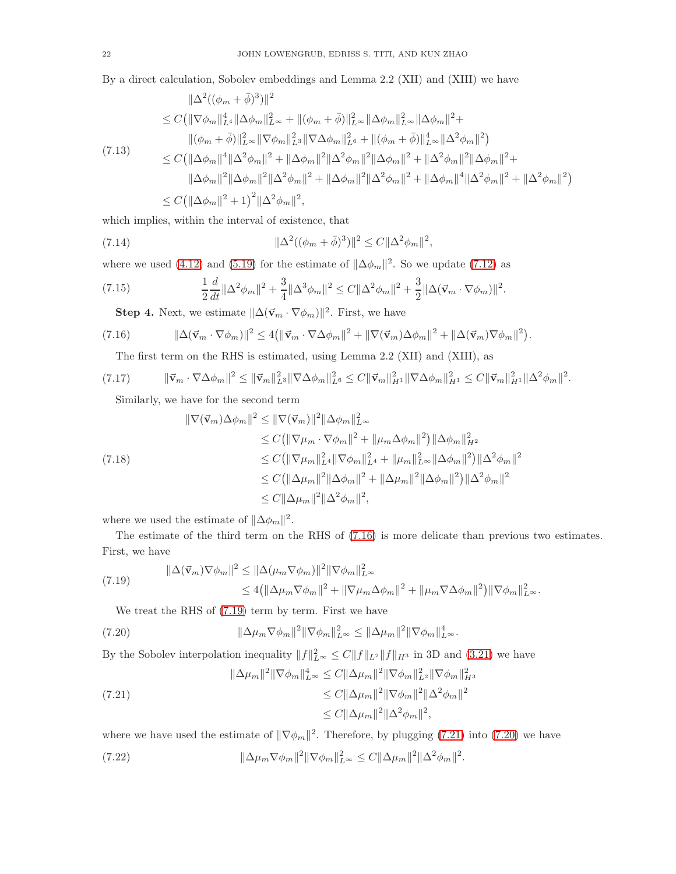By a direct calculation, Sobolev embeddings and Lemma 2.2 (XII) and (XIII) we have

$$
\|\Delta^{2}((\phi_{m}+\bar{\phi})^{3})\|^{2}
$$
\n
$$
\leq C(\|\nabla\phi_{m}\|_{L^{4}}^{4}\|\Delta\phi_{m}\|_{L^{\infty}}^{2}+\|(\phi_{m}+\bar{\phi})\|_{L^{\infty}}^{2}\|\Delta\phi_{m}\|_{L^{\infty}}^{2}\|\Delta\phi_{m}\|^{2}+\|(\phi_{m}+\bar{\phi})\|_{L^{\infty}}^{2}\|\nabla\phi_{m}\|_{L^{8}}^{2}+\|(\phi_{m}+\bar{\phi})\|_{L^{\infty}}^{4}\|\Delta^{2}\phi_{m}\|^{2})
$$
\n(7.13)\n
$$
\leq C(\|\Delta\phi_{m}\|^{4}\|\Delta^{2}\phi_{m}\|^{2}+\|\Delta\phi_{m}\|^{2}\|\Delta^{2}\phi_{m}\|^{2}\|\Delta\phi_{m}\|^{2}+\|\Delta^{2}\phi_{m}\|^{2}\|\Delta\phi_{m}\|^{2}+\|\Delta^{2}\phi_{m}\|^{2}\|\Delta\phi_{m}\|^{2}+\|\Delta\phi_{m}\|^{2}\|\Delta\phi_{m}\|^{2}+\|\Delta\phi_{m}\|^{4}\|\Delta^{2}\phi_{m}\|^{2}+\|\Delta^{2}\phi_{m}\|^{2}+\|\Delta^{2}\phi_{m}\|^{2}+\|\Delta^{2}\phi_{m}\|^{2}+\|\Delta^{2}\phi_{m}\|^{2}+\|\Delta^{2}\phi_{m}\|^{2}+\|\Delta^{2}\phi_{m}\|^{2}+\|\Delta^{2}\phi_{m}\|^{2}+\|\Delta^{2}\phi_{m}\|^{2}+2\|\Delta\phi_{m}\|^{2}+\|\Delta\phi_{m}\|^{2}+\|\Delta^{2}\phi_{m}\|^{2}+2\|\Delta\phi_{m}\|^{2}+\|\Delta\phi_{m}\|^{2}+\|\Delta\phi_{m}\|^{2}+\|\Delta\phi_{m}\|^{2}+\|\Delta\phi_{m}\|^{2}+\|\Delta\phi_{m}\|^{2}+\|\Delta\phi_{m}\|^{2}+\|\Delta\phi_{m}\|^{2}+\|\Delta\phi_{m}\|^{2}+\|\Delta\phi_{m}\|^{2}+\|\Delta\phi_{m}\|^{2}+\|\Delta\phi_{m}\|^{2}+\|\Delta\phi_{m}\|^{2}+\|\Delta\phi_{m}\|^{2}+\|\Delta\phi_{m}\|^{2}+\|\Delta\phi_{m}\|^{2}+\|\Delta\phi_{m}\|^{2}+\|\Delta\phi_{m}\|^{2}+\|\Delta\phi
$$

which implies, within the interval of existence, that

(7.14) 
$$
\|\Delta^2((\phi_m+\bar{\phi})^3)\|^2 \leq C\|\Delta^2\phi_m\|^2,
$$

where we used [\(4.12\)](#page-11-5) and [\(5.19\)](#page-17-3) for the estimate of  $\|\Delta\phi_m\|^2$ . So we update [\(7.12\)](#page-20-7) as

(7.15) 
$$
\frac{1}{2}\frac{d}{dt}\|\Delta^2\phi_m\|^2 + \frac{3}{4}\|\Delta^3\phi_m\|^2 \leq C\|\Delta^2\phi_m\|^2 + \frac{3}{2}\|\Delta(\vec{v}_m\cdot\nabla\phi_m)\|^2.
$$

<span id="page-21-7"></span><span id="page-21-0"></span>**Step 4.** Next, we estimate  $\|\Delta(\vec{v}_m \cdot \nabla \phi_m)\|^2$ . First, we have

(7.16) 
$$
\|\Delta(\vec{\mathbf{v}}_m\cdot\nabla\phi_m)\|^2 \leq 4(\|\vec{\mathbf{v}}_m\cdot\nabla\Delta\phi_m\|^2 + \|\nabla(\vec{\mathbf{v}}_m)\Delta\phi_m\|^2 + \|\Delta(\vec{\mathbf{v}}_m)\nabla\phi_m\|^2).
$$

<span id="page-21-5"></span>The first term on the RHS is estimated, using Lemma 2.2 (XII) and (XIII), as

$$
(7.17) \t\t ||\vec{v}_m \cdot \nabla \Delta \phi_m||^2 \le ||\vec{v}_m||_{L^3}^2 ||\nabla \Delta \phi_m||_{L^6}^2 \le C ||\vec{v}_m||_{H^1}^2 ||\nabla \Delta \phi_m||_{H^1}^2 \le C ||\vec{v}_m||_{H^1}^2 ||\Delta^2 \phi_m||^2.
$$

<span id="page-21-6"></span>Similarly, we have for the second term

$$
\|\nabla(\vec{v}_m)\Delta\phi_m\|^2 \le \|\nabla(\vec{v}_m)\|^2 \|\Delta\phi_m\|_{L^\infty}^2
$$
  
\n
$$
\le C(\|\nabla\mu_m \cdot \nabla\phi_m\|^2 + \|\mu_m\Delta\phi_m\|^2) \|\Delta\phi_m\|_{H^2}^2
$$
  
\n(7.18)  
\n
$$
\le C(\|\nabla\mu_m\|_{L^4}^2 \|\nabla\phi_m\|_{L^4}^2 + \|\mu_m\|_{L^\infty}^2 \|\Delta\phi_m\|^2) \|\Delta^2\phi_m\|^2
$$
  
\n
$$
\le C(\|\Delta\mu_m\|^2 \|\Delta\phi_m\|^2 + \|\Delta\mu_m\|^2 \|\Delta\phi_m\|^2) \|\Delta^2\phi_m\|^2
$$
  
\n
$$
\le C\|\Delta\mu_m\|^2 \|\Delta^2\phi_m\|^2,
$$

where we used the estimate of  $\|\Delta\phi_m\|^2$ .

The estimate of the third term on the RHS of [\(7.16\)](#page-21-0) is more delicate than previous two estimates. First, we have

$$
||\Delta(\vec{v}_m)\nabla\phi_m||^2 \le ||\Delta(\mu_m\nabla\phi_m)||^2 ||\nabla\phi_m||_{L^\infty}^2
$$
  

$$
\le 4(||\Delta\mu_m\nabla\phi_m||^2 + ||\nabla\mu_m\Delta\phi_m||^2 + ||\mu_m\nabla\Delta\phi_m||^2) ||\nabla\phi_m||_{L^\infty}^2.
$$

<span id="page-21-3"></span><span id="page-21-1"></span>We treat the RHS of [\(7.19\)](#page-21-1) term by term. First we have

(7.20) 
$$
\|\Delta \mu_m \nabla \phi_m\|^2 \|\nabla \phi_m\|_{L^\infty}^2 \leq \|\Delta \mu_m\|^2 \|\nabla \phi_m\|_{L^\infty}^4.
$$

By the Sobolev interpolation inequality  $||f||_{L^{\infty}}^2 \leq C||f||_{L^2}||f||_{H^3}$  in 3D and [\(3.21\)](#page-8-3) we have

<span id="page-21-2"></span>
$$
\|\Delta\mu_m\|^2 \|\nabla\phi_m\|_{L^\infty}^4 \le C \|\Delta\mu_m\|^2 \|\nabla\phi_m\|_{L^2}^2 \|\nabla\phi_m\|_{H^3}^2
$$
  

$$
\le C \|\Delta\mu_m\|^2 \|\nabla\phi_m\|^2 \|\Delta^2\phi_m\|^2
$$
  

$$
\le C \|\Delta\mu_m\|^2 \|\Delta^2\phi_m\|^2,
$$
  

$$
\le C \|\Delta\mu_m\|^2 \|\Delta^2\phi_m\|^2,
$$

where we have used the estimate of  $\|\nabla \phi_m\|^2$ . Therefore, by plugging [\(7.21\)](#page-21-2) into [\(7.20\)](#page-21-3) we have

<span id="page-21-4"></span>(7.22) 
$$
\|\Delta \mu_m \nabla \phi_m\|^2 \|\nabla \phi_m\|_{L^\infty}^2 \leq C \|\Delta \mu_m\|^2 \|\Delta^2 \phi_m\|^2.
$$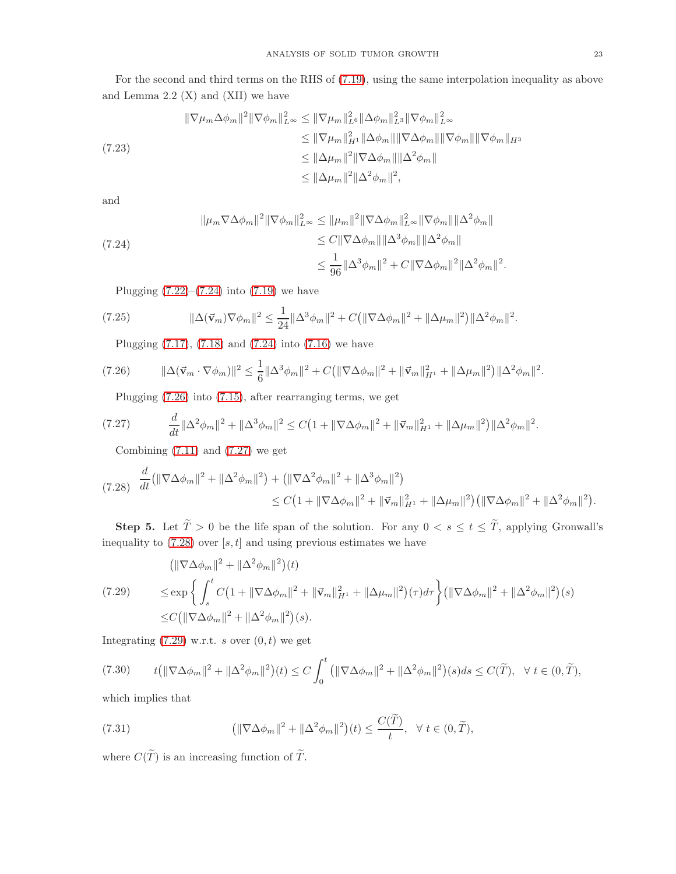For the second and third terms on the RHS of [\(7.19\)](#page-21-1), using the same interpolation inequality as above and Lemma  $2.2 \text{ (X)}$  and  $\text{(XII)}$  we have

$$
\|\nabla \mu_m \Delta \phi_m\|^2 \|\nabla \phi_m\|_{L^{\infty}}^2 \le \|\nabla \mu_m\|_{L^6}^2 \|\Delta \phi_m\|_{L^3}^2 \|\nabla \phi_m\|_{L^{\infty}}^2
$$
  
\n
$$
\le \|\nabla \mu_m\|_{H^1}^2 \|\Delta \phi_m\| \|\nabla \Delta \phi_m\| \|\nabla \phi_m\| \|\nabla \phi_m\| \|_{H^3}
$$
  
\n
$$
\le \|\Delta \mu_m\|^2 \|\nabla \Delta \phi_m\| \|\Delta^2 \phi_m\|
$$
  
\n
$$
\le \|\Delta \mu_m\|^2 \|\Delta^2 \phi_m\|^2,
$$

and

<span id="page-22-0"></span>
$$
\|\mu_m \nabla \Delta \phi_m\|^2 \|\nabla \phi_m\|_{L^\infty}^2 \le \|\mu_m\|^2 \|\nabla \Delta \phi_m\|_{L^\infty}^2 \|\nabla \phi_m\| \|\Delta^2 \phi_m\|
$$
  
\n(7.24)  
\n
$$
\le C \|\nabla \Delta \phi_m\| \|\Delta^3 \phi_m\| \|\Delta^2 \phi_m\|
$$
  
\n
$$
\le \frac{1}{96} \|\Delta^3 \phi_m\|^2 + C \|\nabla \Delta \phi_m\|^2 \|\Delta^2 \phi_m\|^2
$$

Plugging  $(7.22)$ – $(7.24)$  into  $(7.19)$  we have

(7.25) 
$$
\|\Delta(\vec{\mathbf{v}}_m)\nabla\phi_m\|^2 \leq \frac{1}{24}\|\Delta^3\phi_m\|^2 + C(\|\nabla\Delta\phi_m\|^2 + \|\Delta\mu_m\|^2)\|\Delta^2\phi_m\|^2.
$$

<span id="page-22-1"></span>Plugging [\(7.17\)](#page-21-5), [\(7.18\)](#page-21-6) and [\(7.24\)](#page-22-0) into [\(7.16\)](#page-21-0) we have

$$
(7.26) \t ||\Delta(\vec{\mathbf{v}}_m \cdot \nabla \phi_m)||^2 \leq \frac{1}{6} ||\Delta^3 \phi_m||^2 + C(||\nabla \Delta \phi_m||^2 + ||\vec{\mathbf{v}}_m||_{H^1}^2 + ||\Delta \mu_m||^2) ||\Delta^2 \phi_m||^2.
$$

<span id="page-22-2"></span>Plugging [\(7.26\)](#page-22-1) into [\(7.15\)](#page-21-7), after rearranging terms, we get

$$
(7.27) \t \frac{d}{dt} \|\Delta^2 \phi_m\|^2 + \|\Delta^3 \phi_m\|^2 \le C \big(1 + \|\nabla \Delta \phi_m\|^2 + \|\vec{v}_m\|_{H^1}^2 + \|\Delta \mu_m\|^2\big) \|\Delta^2 \phi_m\|^2.
$$

Combining  $(7.11)$  and  $(7.27)$  we get

<span id="page-22-3"></span>
$$
(7.28) \frac{d}{dt}(\|\nabla\Delta\phi_m\|^2 + \|\Delta^2\phi_m\|^2) + (\|\nabla\Delta^2\phi_m\|^2 + \|\Delta^3\phi_m\|^2) \leq C\left(1 + \|\nabla\Delta\phi_m\|^2 + \|\vec{v}_m\|_{H^1}^2 + \|\Delta\mu_m\|^2\right) \left(\|\nabla\Delta\phi_m\|^2 + \|\Delta^2\phi_m\|^2\right).
$$

**Step 5.** Let  $\widetilde{T} > 0$  be the life span of the solution. For any  $0 < s \le t \le \widetilde{T}$ , applying Gronwall's inequality to  $(7.28)$  over  $[s, t]$  and using previous estimates we have

<span id="page-22-4"></span>
$$
(\|\nabla\Delta\phi_m\|^2 + \|\Delta^2\phi_m\|^2)(t)
$$
  
(7.29) 
$$
\leq \exp\left\{\int_s^t C\left(1 + \|\nabla\Delta\phi_m\|^2 + \|\vec{v}_m\|_{H^1}^2 + \|\Delta\mu_m\|^2\right)(\tau)d\tau\right\} (\|\nabla\Delta\phi_m\|^2 + \|\Delta^2\phi_m\|^2)(s)
$$

$$
\leq C\left(\|\nabla\Delta\phi_m\|^2 + \|\Delta^2\phi_m\|^2\right)(s).
$$

Integrating  $(7.29)$  w.r.t. s over  $(0, t)$  we get

$$
(7.30) \t t(\|\nabla\Delta\phi_m\|^2 + \|\Delta^2\phi_m\|^2)(t) \le C\int_0^t \left(\|\nabla\Delta\phi_m\|^2 + \|\Delta^2\phi_m\|^2\right)(s)ds \le C(\widetilde{T}), \quad \forall \ t \in (0,\widetilde{T}),
$$

which implies that

<span id="page-22-5"></span>(7.31) 
$$
\left(\|\nabla\Delta\phi_m\|^2 + \|\Delta^2\phi_m\|^2\right)(t) \leq \frac{C(\tilde{T})}{t}, \quad \forall \ t \in (0,\tilde{T}),
$$

where  $C(\widetilde{T})$  is an increasing function of  $\widetilde{T}$ .

.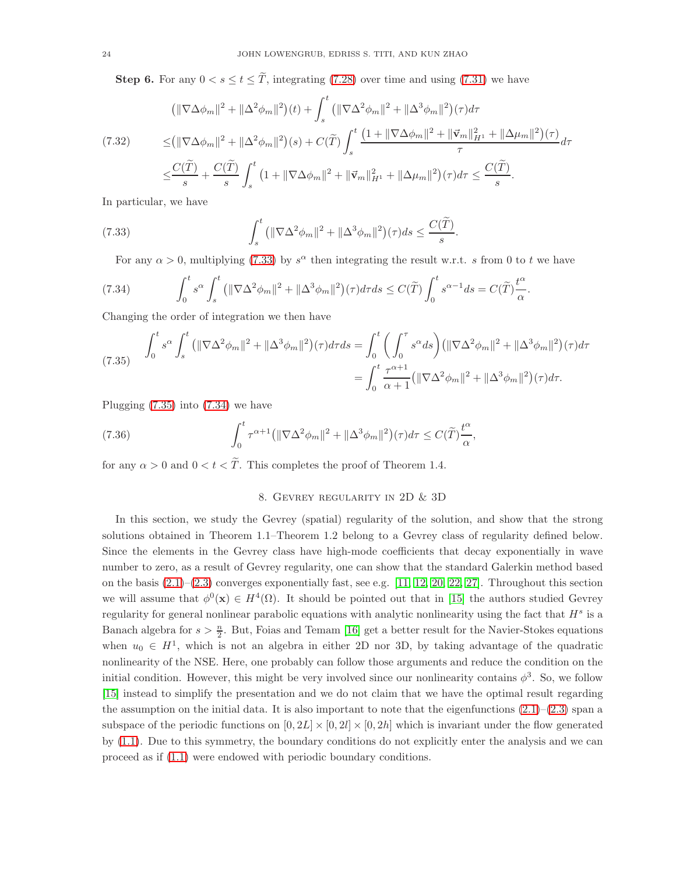**Step 6.** For any  $0 < s \le t \le \tilde{T}$ , integrating [\(7.28\)](#page-22-3) over time and using [\(7.31\)](#page-22-5) we have

$$
(\|\nabla\Delta\phi_m\|^2 + \|\Delta^2\phi_m\|^2)(t) + \int_s^t \left(\|\nabla\Delta^2\phi_m\|^2 + \|\Delta^3\phi_m\|^2\right)(\tau)d\tau
$$
  
(7.32)
$$
\leq (\|\nabla\Delta\phi_m\|^2 + \|\Delta^2\phi_m\|^2)(s) + C(\widetilde{T})\int_s^t \frac{(1 + \|\nabla\Delta\phi_m\|^2 + \|\vec{v}_m\|_{H^1}^2 + \|\Delta\mu_m\|^2)(\tau)}{\tau}d\tau
$$

$$
\leq \frac{C(\widetilde{T})}{s} + \frac{C(\widetilde{T})}{s}\int_s^t (1 + \|\nabla\Delta\phi_m\|^2 + \|\vec{v}_m\|_{H^1}^2 + \|\Delta\mu_m\|^2)(\tau)d\tau \leq \frac{C(\widetilde{T})}{s}.
$$

In particular, we have

(7.33) 
$$
\int_{s}^{t} \left( \|\nabla \Delta^{2} \phi_{m}\|^{2} + \|\Delta^{3} \phi_{m}\|^{2} \right) (\tau) ds \leq \frac{C(\widetilde{T})}{s}
$$

<span id="page-23-2"></span><span id="page-23-0"></span>For any  $\alpha > 0$ , multiplying [\(7.33\)](#page-23-0) by  $s^{\alpha}$  then integrating the result w.r.t. s from 0 to t we have

.

(7.34) 
$$
\int_0^t s^{\alpha} \int_s^t \left( \|\nabla \Delta^2 \phi_m\|^2 + \|\Delta^3 \phi_m\|^2 \right) (\tau) d\tau ds \leq C(\widetilde{T}) \int_0^t s^{\alpha - 1} ds = C(\widetilde{T}) \frac{t^{\alpha}}{\alpha}.
$$

Changing the order of integration we then have

<span id="page-23-1"></span>
$$
(7.35) \quad \int_0^t s^\alpha \int_s^t \left( \|\nabla \Delta^2 \phi_m\|^2 + \|\Delta^3 \phi_m\|^2 \right) (\tau) d\tau ds = \int_0^t \left( \int_0^\tau s^\alpha ds \right) \left( \|\nabla \Delta^2 \phi_m\|^2 + \|\Delta^3 \phi_m\|^2 \right) (\tau) d\tau = \int_0^t \frac{\tau^{\alpha+1}}{\alpha+1} \left( \|\nabla \Delta^2 \phi_m\|^2 + \|\Delta^3 \phi_m\|^2 \right) (\tau) d\tau.
$$

Plugging [\(7.35\)](#page-23-1) into [\(7.34\)](#page-23-2) we have

(7.36) 
$$
\int_0^t \tau^{\alpha+1} \left( \|\nabla \Delta^2 \phi_m\|^2 + \|\Delta^3 \phi_m\|^2 \right) (\tau) d\tau \leq C(\widetilde{T}) \frac{t^{\alpha}}{\alpha},
$$

for any  $\alpha > 0$  and  $0 < t < \tilde{T}$ . This completes the proof of Theorem 1.4.

## 8. Gevrey regularity in 2D & 3D

In this section, we study the Gevrey (spatial) regularity of the solution, and show that the strong solutions obtained in Theorem 1.1–Theorem 1.2 belong to a Gevrey class of regularity defined below. Since the elements in the Gevrey class have high-mode coefficients that decay exponentially in wave number to zero, as a result of Gevrey regularity, one can show that the standard Galerkin method based on the basis  $(2.1)$ – $(2.3)$  converges exponentially fast, see e.g. [\[11,](#page-34-14) [12,](#page-34-15) [20,](#page-34-16) [22,](#page-34-17) [27\]](#page-35-8). Throughout this section we will assume that  $\phi^0(\mathbf{x}) \in H^4(\Omega)$ . It should be pointed out that in [\[15\]](#page-34-12) the authors studied Gevrey regularity for general nonlinear parabolic equations with analytic nonlinearity using the fact that  $H^s$  is a Banach algebra for  $s > \frac{n}{2}$ . But, Foias and Temam [\[16\]](#page-34-13) get a better result for the Navier-Stokes equations when  $u_0 \in H^1$ , which is not an algebra in either 2D nor 3D, by taking advantage of the quadratic nonlinearity of the NSE. Here, one probably can follow those arguments and reduce the condition on the initial condition. However, this might be very involved since our nonlinearity contains  $\phi^3$ . So, we follow [\[15\]](#page-34-12) instead to simplify the presentation and we do not claim that we have the optimal result regarding the assumption on the initial data. It is also important to note that the eigenfunctions  $(2.1)$ – $(2.3)$  span a subspace of the periodic functions on  $[0, 2L] \times [0, 2l] \times [0, 2h]$  which is invariant under the flow generated by [\(1.1\)](#page-0-0). Due to this symmetry, the boundary conditions do not explicitly enter the analysis and we can proceed as if [\(1.1\)](#page-0-0) were endowed with periodic boundary conditions.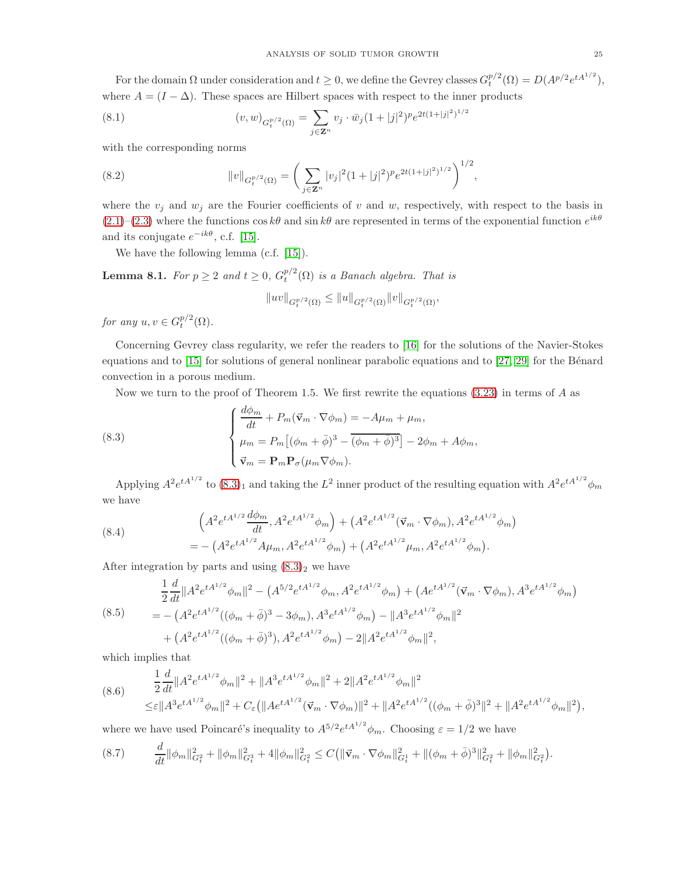For the domain  $\Omega$  under consideration and  $t \geq 0$ , we define the Gevrey classes  $G_t^{p/2}(\Omega) = D(A^{p/2}e^{tA^{1/2}})$ , where  $A = (I - \Delta)$ . These spaces are Hilbert spaces with respect to the inner products

(8.1) 
$$
(v, w)_{G_t^{p/2}(\Omega)} = \sum_{j \in \mathbf{Z}^n} v_j \cdot \bar{w}_j (1 + |j|^2)^p e^{2t(1 + |j|^2)^{1/2}}
$$

with the corresponding norms

(8.2) 
$$
||v||_{G_t^{p/2}(\Omega)} = \left(\sum_{j \in \mathbf{Z}^n} |v_j|^2 (1+|j|^2)^p e^{2t(1+|j|^2)^{1/2}}\right)^{1/2},
$$

where the  $v_j$  and  $w_j$  are the Fourier coefficients of v and w, respectively, with respect to the basis in  $(2.1)$ – $(2.3)$  where the functions cos k $\theta$  and sin k $\theta$  are represented in terms of the exponential function  $e^{ik\theta}$ and its conjugate  $e^{-ik\theta}$ , c.f. [\[15\]](#page-34-12).

We have the following lemma (c.f. [\[15\]](#page-34-12)).

**Lemma 8.1.** For  $p \ge 2$  and  $t \ge 0$ ,  $G_t^{p/2}(\Omega)$  is a Banach algebra. That is

$$
||uv||_{G_t^{p/2}(\Omega)} \le ||u||_{G_t^{p/2}(\Omega)} ||v||_{G_t^{p/2}(\Omega)},
$$

for any  $u, v \in G_t^{p/2}(\Omega)$ .

Concerning Gevrey class regularity, we refer the readers to [\[16\]](#page-34-13) for the solutions of the Navier-Stokes equations and to  $[15]$  for solutions of general nonlinear parabolic equations and to  $[27, 29]$  $[27, 29]$  for the Bénard convection in a porous medium.

<span id="page-24-0"></span>Now we turn to the proof of Theorem 1.5. We first rewrite the equations  $(3.23)$  in terms of A as

(8.3)  

$$
\begin{cases}\n\frac{d\phi_m}{dt} + P_m(\vec{v}_m \cdot \nabla \phi_m) = -A\mu_m + \mu_m, \\
\mu_m = P_m[(\phi_m + \bar{\phi})^3 - (\phi_m + \bar{\phi})^3] - 2\phi_m + A\phi_m, \\
\vec{v}_m = \mathbf{P}_m \mathbf{P}_\sigma(\mu_m \nabla \phi_m).\n\end{cases}
$$

Applying  $A^2 e^{tA^{1/2}}$  to  $(8.3)_1$  $(8.3)_1$  $(8.3)_1$  and taking the  $L^2$  inner product of the resulting equation with  $A^2 e^{tA^{1/2}} \phi_m$ we have

(8.4) 
$$
\left(A^2 e^{tA^{1/2}} \frac{d\phi_m}{dt}, A^2 e^{tA^{1/2}} \phi_m\right) + \left(A^2 e^{tA^{1/2}} (\vec{v}_m \cdot \nabla \phi_m), A^2 e^{tA^{1/2}} \phi_m\right) = -\left(A^2 e^{tA^{1/2}} A \mu_m, A^2 e^{tA^{1/2}} \phi_m\right) + \left(A^2 e^{tA^{1/2}} \mu_m, A^2 e^{tA^{1/2}} \phi_m\right).
$$

After integration by parts and using  $(8.3)_2$  $(8.3)_2$  $(8.3)_2$  we have

$$
\frac{1}{2}\frac{d}{dt}\|A^2 e^{tA^{1/2}}\phi_m\|^2 - \left(A^{5/2} e^{tA^{1/2}}\phi_m, A^2 e^{tA^{1/2}}\phi_m\right) + \left(Ae^{tA^{1/2}}(\vec{v}_m\cdot\nabla\phi_m), A^3 e^{tA^{1/2}}\phi_m\right)
$$
\n
$$
= -\left(A^2 e^{tA^{1/2}}((\phi_m + \bar{\phi})^3 - 3\phi_m), A^3 e^{tA^{1/2}}\phi_m\right) - \|A^3 e^{tA^{1/2}}\phi_m\|^2
$$
\n
$$
+ \left(A^2 e^{tA^{1/2}}((\phi_m + \bar{\phi})^3), A^2 e^{tA^{1/2}}\phi_m\right) - 2\|A^2 e^{tA^{1/2}}\phi_m\|^2,
$$

which implies that

$$
(8.6) \qquad \frac{1}{2}\frac{d}{dt}\|A^2e^{tA^{1/2}}\phi_m\|^2 + \|A^3e^{tA^{1/2}}\phi_m\|^2 + 2\|A^2e^{tA^{1/2}}\phi_m\|^2
$$
  

$$
\leq \varepsilon \|A^3e^{tA^{1/2}}\phi_m\|^2 + C_{\varepsilon}(\|Ae^{tA^{1/2}}(\vec{v}_m \cdot \nabla \phi_m)\|^2 + \|A^2e^{tA^{1/2}}((\phi_m + \bar{\phi})^3\|^2 + \|A^2e^{tA^{1/2}}\phi_m\|^2),
$$

where we have used Poincaré's inequality to  $A^{5/2}e^{tA^{1/2}}\phi_m$ . Choosing  $\varepsilon = 1/2$  we have

<span id="page-24-1"></span>
$$
(8.7) \qquad \frac{d}{dt} \|\phi_m\|_{G_t^2}^2 + \|\phi_m\|_{G_t^3}^2 + 4\|\phi_m\|_{G_t^2}^2 \leq C \left(\|\vec{\mathbf{v}}_m \cdot \nabla \phi_m\|_{G_t^1}^2 + \|(\phi_m + \bar{\phi})^3\|_{G_t^2}^2 + \|\phi_m\|_{G_t^2}^2\right).
$$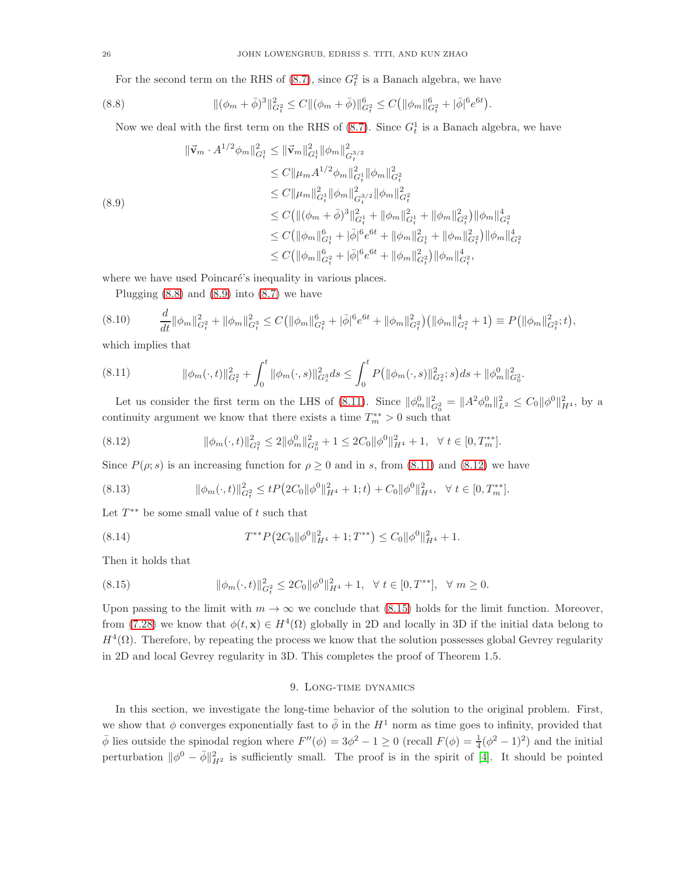<span id="page-25-0"></span>For the second term on the RHS of  $(8.7)$ , since  $G_t^2$  is a Banach algebra, we have

(8.8) 
$$
\|(\phi_m + \bar{\phi})^3\|_{G_t^2}^2 \le C \|(\phi_m + \bar{\phi})\|_{G_t^2}^6 \le C (|\phi_m\|_{G_t^2}^6 + |\bar{\phi}|^6 e^{6t}).
$$

Now we deal with the first term on the RHS of  $(8.7)$ . Since  $G_t^1$  is a Banach algebra, we have

<span id="page-25-1"></span>
$$
\begin{split} \|\vec{\mathbf{v}}_{m} \cdot A^{1/2} \phi_{m}\|_{G_{t}^{1}}^{2} &\leq \|\vec{\mathbf{v}}_{m}\|_{G_{t}^{1}}^{2} \|\phi_{m}\|_{G_{t}^{3/2}}^{2} \\ &\leq C \|\mu_{m} A^{1/2} \phi_{m}\|_{G_{t}^{1}}^{2} \|\phi_{m}\|_{G_{t}^{2}}^{2} \\ &\leq C \|\mu_{m}\|_{G_{t}^{1}}^{2} \|\phi_{m}\|_{G_{t}^{2}}^{2} \\ &\leq C \|\mu_{m}\|_{G_{t}^{1}}^{2} \|\phi_{m}\|_{G_{t}^{2}}^{2} \\ &\leq C \big( \|(\phi_{m} + \bar{\phi})^{3}\|_{G_{t}^{1}}^{2} + \|\phi_{m}\|_{G_{t}^{1}}^{2} + \|\phi_{m}\|_{G_{t}^{2}}^{2} \big) \|\phi_{m}\|_{G_{t}^{2}}^{4} \\ &\leq C \big( \|\phi_{m}\|_{G_{t}^{1}}^{6} + |\bar{\phi}|^{6} e^{6t} + \|\phi_{m}\|_{G_{t}^{1}}^{2} + \|\phi_{m}\|_{G_{t}^{2}}^{2} \big) \|\phi_{m}\|_{G_{t}^{2}}^{4} \\ &\leq C \big( \|\phi_{m}\|_{G_{t}^{2}}^{6} + |\bar{\phi}|^{6} e^{6t} + \|\phi_{m}\|_{G_{t}^{2}}^{2} \big) \|\phi_{m}\|_{G_{t}^{2}}^{4}, \end{split}
$$

where we have used Poincaré's inequality in various places.

Plugging  $(8.8)$  and  $(8.9)$  into  $(8.7)$  we have

$$
(8.10) \t \frac{d}{dt} \|\phi_m\|_{G_t^2}^2 + \|\phi_m\|_{G_t^3}^2 \leq C \big( \|\phi_m\|_{G_t^2}^6 + |\bar{\phi}|^6 e^{6t} + \|\phi_m\|_{G_t^2}^2 \big) \big( \|\phi_m\|_{G_t^2}^4 + 1 \big) \equiv P \big( \|\phi_m\|_{G_t^2}^2; t \big),
$$

which implies that

<span id="page-25-2"></span>(8.11) kφm(·, t)k 2 G<sup>2</sup> t + Z <sup>t</sup> 0 kφm(·, s)k 2 G<sup>3</sup> s ds ≤ Z <sup>t</sup> 0 P kφm(·, s)k 2 G<sup>2</sup> s ; s ds + kφ 0 mk 2 G<sup>2</sup> 0 .

Let us consider the first term on the LHS of [\(8.11\)](#page-25-2). Since  $\|\phi_m^0\|_{G_0^2}^2 = \|A^2 \phi_m^0\|_{L^2}^2 \leq C_0 \|\phi^0\|_{H^4}^2$ , by a continuity argument we know that there exists a time  $T_m^{**} > 0$  such that

<span id="page-25-3"></span>
$$
(8.12) \t\t ||\phi_m(\cdot,t)||_{G_t^2}^2 \le 2||\phi_m^0||_{G_0^2}^2 + 1 \le 2C_0 ||\phi^0||_{H^4}^2 + 1, \quad \forall \ t \in [0,T_m^{**}].
$$

Since  $P(\rho; s)$  is an increasing function for  $\rho \geq 0$  and in s, from [\(8.11\)](#page-25-2) and [\(8.12\)](#page-25-3) we have

$$
(8.13) \t\t ||\phi_m(\cdot,t)||^2_{G_t^2} \le tP\big(2C_0 \|\phi^0\|^2_{H^4} + 1;t\big) + C_0 \|\phi^0\|^2_{H^4}, \quad \forall \ t \in [0,T_m^{**}].
$$

Let  $T^{**}$  be some small value of  $t$  such that

(8.14) 
$$
T^{**}P\left(2C_0\|\phi^0\|_{H^4}^2 + 1;T^{**}\right) \leq C_0\|\phi^0\|_{H^4}^2 + 1.
$$

Then it holds that

<span id="page-25-4"></span>
$$
(8.15) \t\t\t ||\phi_m(\cdot,t)||^2_{G_t^2} \leq 2C_0 ||\phi^0||^2_{H^4} + 1, \quad \forall \ t \in [0,T^{**}], \quad \forall \ m \geq 0.
$$

Upon passing to the limit with  $m \to \infty$  we conclude that [\(8.15\)](#page-25-4) holds for the limit function. Moreover, from [\(7.28\)](#page-22-3) we know that  $\phi(t, \mathbf{x}) \in H^4(\Omega)$  globally in 2D and locally in 3D if the initial data belong to  $H^4(\Omega)$ . Therefore, by repeating the process we know that the solution possesses global Gevrey regularity in 2D and local Gevrey regularity in 3D. This completes the proof of Theorem 1.5.

#### 9. Long-time dynamics

In this section, we investigate the long-time behavior of the solution to the original problem. First, we show that  $\phi$  converges exponentially fast to  $\bar{\phi}$  in the  $H^1$  norm as time goes to infinity, provided that  $\bar{\phi}$  lies outside the spinodal region where  $F''(\phi) = 3\phi^2 - 1 \ge 0$  (recall  $F(\phi) = \frac{1}{4}(\phi^2 - 1)^2$ ) and the initial perturbation  $\|\phi^0 - \bar{\phi}\|^2_{H^2}$  is sufficiently small. The proof is in the spirit of [\[4\]](#page-34-5). It should be pointed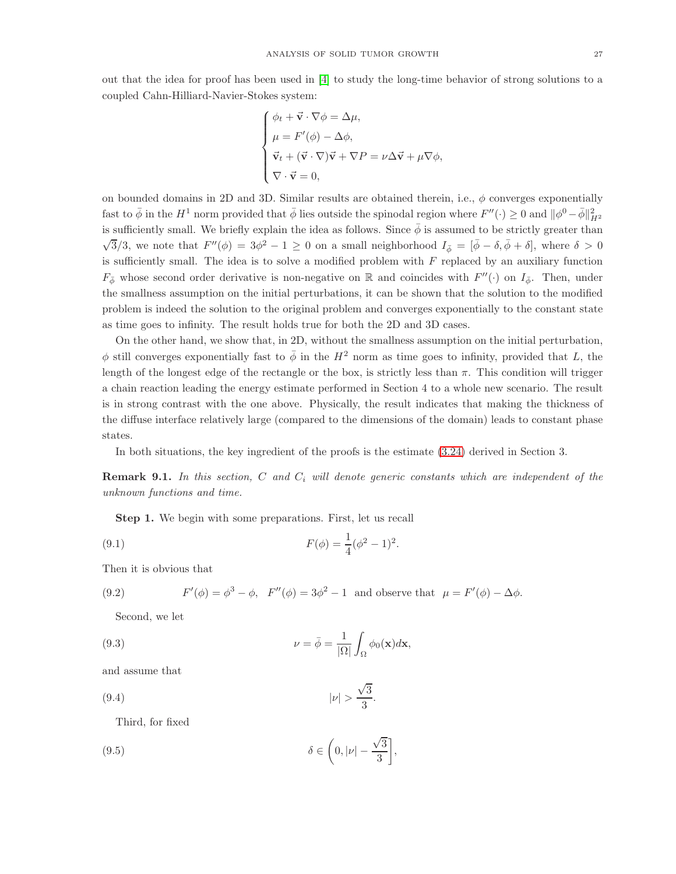out that the idea for proof has been used in [\[4\]](#page-34-5) to study the long-time behavior of strong solutions to a coupled Cahn-Hilliard-Navier-Stokes system:

$$
\begin{cases}\n\phi_t + \vec{\mathbf{v}} \cdot \nabla \phi = \Delta \mu, \\
\mu = F'(\phi) - \Delta \phi, \\
\vec{\mathbf{v}}_t + (\vec{\mathbf{v}} \cdot \nabla)\vec{\mathbf{v}} + \nabla P = \nu \Delta \vec{\mathbf{v}} + \mu \nabla \phi, \\
\nabla \cdot \vec{\mathbf{v}} = 0,\n\end{cases}
$$

on bounded domains in 2D and 3D. Similar results are obtained therein, i.e.,  $\phi$  converges exponentially fast to  $\bar{\phi}$  in the  $H^1$  norm provided that  $\bar{\phi}$  lies outside the spinodal region where  $F''(\cdot) \ge 0$  and  $\|\phi^0 - \bar{\phi}\|_{H^2}^2$ is sufficiently small. We briefly explain the idea as follows. Since  $\bar{\phi}$  is assumed to be strictly greater than  $\sqrt{3}/3$ , we note that  $F''(\phi) = 3\phi^2 - 1 \ge 0$  on a small neighborhood  $I_{\bar{\phi}} = [\bar{\phi} - \delta, \bar{\phi} + \delta]$ , where  $\delta > 0$ is sufficiently small. The idea is to solve a modified problem with  $F$  replaced by an auxiliary function  $F_{\phi}$  whose second order derivative is non-negative on R and coincides with  $F''(\cdot)$  on  $I_{\bar{\phi}}$ . Then, under the smallness assumption on the initial perturbations, it can be shown that the solution to the modified problem is indeed the solution to the original problem and converges exponentially to the constant state as time goes to infinity. The result holds true for both the 2D and 3D cases.

On the other hand, we show that, in 2D, without the smallness assumption on the initial perturbation,  $\phi$  still converges exponentially fast to  $\bar{\phi}$  in the  $H^2$  norm as time goes to infinity, provided that L, the length of the longest edge of the rectangle or the box, is strictly less than  $\pi$ . This condition will trigger a chain reaction leading the energy estimate performed in Section 4 to a whole new scenario. The result is in strong contrast with the one above. Physically, the result indicates that making the thickness of the diffuse interface relatively large (compared to the dimensions of the domain) leads to constant phase states.

In both situations, the key ingredient of the proofs is the estimate [\(3.24\)](#page-8-2) derived in Section 3.

**Remark 9.1.** In this section, C and  $C_i$  will denote generic constants which are independent of the unknown functions and time.

Step 1. We begin with some preparations. First, let us recall

(9.1) 
$$
F(\phi) = \frac{1}{4}(\phi^2 - 1)^2.
$$

Then it is obvious that

(9.2) 
$$
F'(\phi) = \phi^3 - \phi
$$
,  $F''(\phi) = 3\phi^2 - 1$  and observe that  $\mu = F'(\phi) - \Delta\phi$ .

Second, we let

(9.3) 
$$
\nu = \bar{\phi} = \frac{1}{|\Omega|} \int_{\Omega} \phi_0(\mathbf{x}) d\mathbf{x},
$$

and assume that

$$
|\nu| > \frac{\sqrt{3}}{3}.
$$

<span id="page-26-0"></span>Third, for fixed

(9.5) 
$$
\delta \in \left(0, |\nu| - \frac{\sqrt{3}}{3}\right],
$$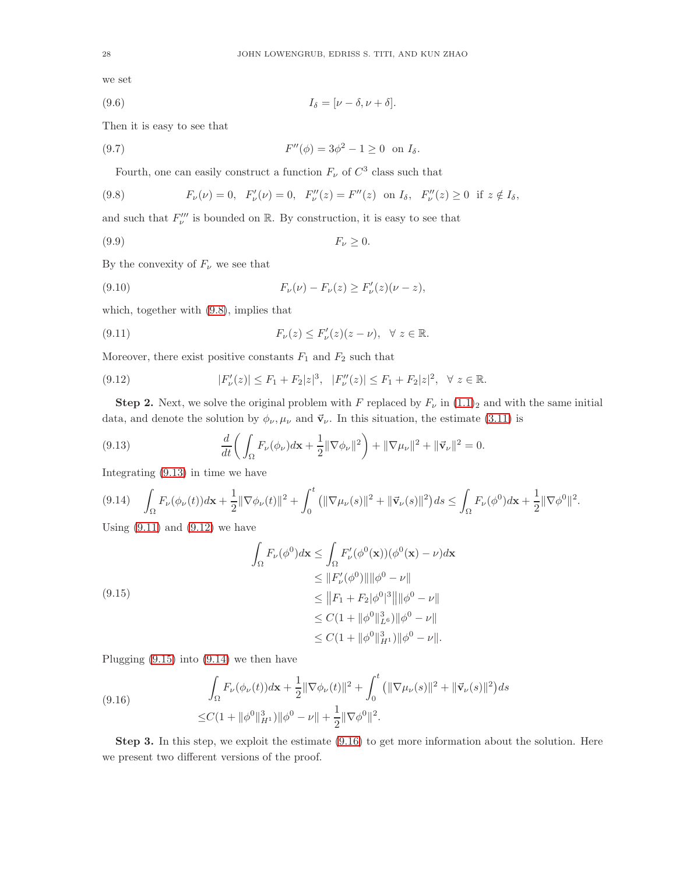we set

$$
(9.6) \t I\delta = [\nu - \delta, \nu + \delta].
$$

Then it is easy to see that

(9.7) 
$$
F''(\phi) = 3\phi^2 - 1 \ge 0 \text{ on } I_{\delta}.
$$

<span id="page-27-0"></span>Fourth, one can easily construct a function  $F_{\nu}$  of  $C^3$  class such that

(9.8) 
$$
F_{\nu}(\nu) = 0, \ \ F'_{\nu}(\nu) = 0, \ \ F''_{\nu}(z) = F''(z) \ \text{on } I_{\delta}, \ \ F''_{\nu}(z) \ge 0 \ \text{if } z \notin I_{\delta},
$$

and such that  $F^{\prime\prime\prime}_{\nu}$  is bounded on  $\mathbb R$ . By construction, it is easy to see that

$$
(9.9) \t\t\t F_{\nu} \ge 0.
$$

By the convexity of  $F_{\nu}$  we see that

(9.10) 
$$
F_{\nu}(\nu) - F_{\nu}(z) \geq F'_{\nu}(z)(\nu - z),
$$

which, together with [\(9.8\)](#page-27-0), implies that

<span id="page-27-2"></span>(9.11) 
$$
F_{\nu}(z) \leq F_{\nu}'(z)(z-\nu), \quad \forall \ z \in \mathbb{R}.
$$

Moreover, there exist positive constants  $F_1$  and  $F_2$  such that

<span id="page-27-3"></span>
$$
(9.12) \t\t |F'_{\nu}(z)| \le F_1 + F_2|z|^3, \t |F''_{\nu}(z)| \le F_1 + F_2|z|^2, \quad \forall \ z \in \mathbb{R}.
$$

**Step 2.** Next, we solve the original problem with F replaced by  $F_{\nu}$  in  $(1.1)_2$  and with the same initial data, and denote the solution by  $\phi_{\nu}, \mu_{\nu}$  and  $\vec{v}_{\nu}$ . In this situation, the estimate [\(3.11\)](#page-7-6) is

<span id="page-27-1"></span>(9.13) 
$$
\frac{d}{dt}\bigg(\int_{\Omega} F_{\nu}(\phi_{\nu})d\mathbf{x} + \frac{1}{2} \|\nabla \phi_{\nu}\|^2\bigg) + \|\nabla \mu_{\nu}\|^2 + \|\vec{\mathbf{v}}_{\nu}\|^2 = 0.
$$

Integrating [\(9.13\)](#page-27-1) in time we have

<span id="page-27-5"></span>
$$
(9.14)\quad \int_{\Omega} F_{\nu}(\phi_{\nu}(t)) d\mathbf{x} + \frac{1}{2} \|\nabla \phi_{\nu}(t)\|^2 + \int_0^t \left( \|\nabla \mu_{\nu}(s)\|^2 + \|\vec{\mathbf{v}}_{\nu}(s)\|^2 \right) ds \le \int_{\Omega} F_{\nu}(\phi^0) d\mathbf{x} + \frac{1}{2} \|\nabla \phi^0\|^2.
$$

Using  $(9.11)$  and  $(9.12)$  we have

<span id="page-27-4"></span>
$$
\int_{\Omega} F_{\nu}(\phi^0) d\mathbf{x} \le \int_{\Omega} F'_{\nu}(\phi^0(\mathbf{x})) (\phi^0(\mathbf{x}) - \nu) d\mathbf{x} \n\le \|F'_{\nu}(\phi^0)\| \|\phi^0 - \nu\| \n\le \|F_1 + F_2 |\phi^0|^3 \| \|\phi^0 - \nu\| \n\le C(1 + \|\phi^0\|_{L^6}^3) \|\phi^0 - \nu\| \n\le C(1 + \|\phi^0\|_{H^1}^3) \|\phi^0 - \nu\|.
$$

Plugging [\(9.15\)](#page-27-4) into [\(9.14\)](#page-27-5) we then have

<span id="page-27-6"></span>(9.16) 
$$
\int_{\Omega} F_{\nu}(\phi_{\nu}(t)) d\mathbf{x} + \frac{1}{2} ||\nabla \phi_{\nu}(t)||^2 + \int_0^t (||\nabla \mu_{\nu}(s)||^2 + ||\vec{\mathbf{v}}_{\nu}(s)||^2) ds
$$

$$
\leq C(1 + ||\phi^0||_{H^1}^3) ||\phi^0 - \nu|| + \frac{1}{2} ||\nabla \phi^0||^2.
$$

Step 3. In this step, we exploit the estimate [\(9.16\)](#page-27-6) to get more information about the solution. Here we present two different versions of the proof.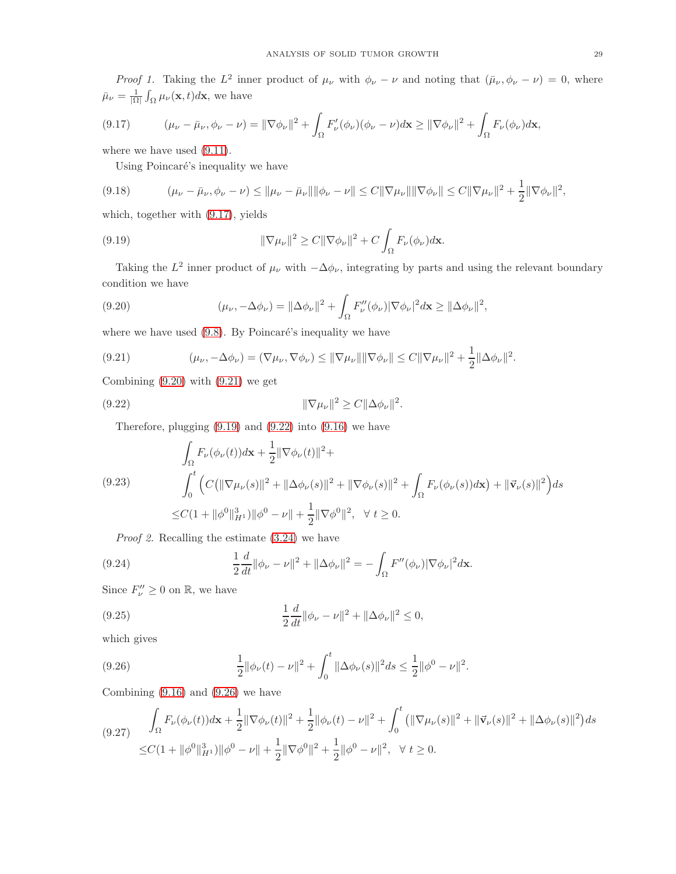*Proof 1.* Taking the  $L^2$  inner product of  $\mu_\nu$  with  $\phi_\nu - \nu$  and noting that  $(\bar{\mu}_\nu, \phi_\nu - \nu) = 0$ , where  $\bar{\mu}_{\nu} = \frac{1}{|\Omega|} \int_{\Omega} \mu_{\nu}(\mathbf{x}, t) d\mathbf{x}$ , we have

<span id="page-28-0"></span>
$$
(9.17) \qquad (\mu_\nu - \bar{\mu}_\nu, \phi_\nu - \nu) = \|\nabla \phi_\nu\|^2 + \int_{\Omega} F'_\nu(\phi_\nu)(\phi_\nu - \nu) d\mathbf{x} \ge \|\nabla \phi_\nu\|^2 + \int_{\Omega} F_\nu(\phi_\nu) d\mathbf{x},
$$

where we have used  $(9.11)$ .

Using Poincaré's inequality we have

$$
(9.18) \qquad (\mu_{\nu} - \bar{\mu}_{\nu}, \phi_{\nu} - \nu) \leq \|\mu_{\nu} - \bar{\mu}_{\nu}\| \|\phi_{\nu} - \nu\| \leq C \|\nabla \mu_{\nu}\| \|\nabla \phi_{\nu}\| \leq C \|\nabla \mu_{\nu}\|^2 + \frac{1}{2} \|\nabla \phi_{\nu}\|^2,
$$

which, together with [\(9.17\)](#page-28-0), yields

<span id="page-28-3"></span>(9.19) 
$$
\|\nabla \mu_{\nu}\|^2 \ge C \|\nabla \phi_{\nu}\|^2 + C \int_{\Omega} F_{\nu}(\phi_{\nu}) d\mathbf{x}.
$$

Taking the  $L^2$  inner product of  $\mu_\nu$  with  $-\Delta\phi_\nu$ , integrating by parts and using the relevant boundary condition we have

<span id="page-28-1"></span>(9.20) 
$$
(\mu_{\nu}, -\Delta\phi_{\nu}) = \|\Delta\phi_{\nu}\|^2 + \int_{\Omega} F_{\nu}''(\phi_{\nu})|\nabla\phi_{\nu}|^2 d\mathbf{x} \ge \|\Delta\phi_{\nu}\|^2,
$$

where we have used  $(9.8)$ . By Poincaré's inequality we have

<span id="page-28-2"></span>(9.21) 
$$
(\mu_{\nu}, -\Delta \phi_{\nu}) = (\nabla \mu_{\nu}, \nabla \phi_{\nu}) \leq \|\nabla \mu_{\nu}\| \|\nabla \phi_{\nu}\| \leq C \|\nabla \mu_{\nu}\|^2 + \frac{1}{2} \|\Delta \phi_{\nu}\|^2.
$$

Combining  $(9.20)$  with  $(9.21)$  we get

(9.22) 
$$
\|\nabla \mu_{\nu}\|^2 \ge C \|\Delta \phi_{\nu}\|^2.
$$

<span id="page-28-4"></span>Therefore, plugging [\(9.19\)](#page-28-3) and [\(9.22\)](#page-28-4) into [\(9.16\)](#page-27-6) we have

<span id="page-28-6"></span>
$$
\int_{\Omega} F_{\nu}(\phi_{\nu}(t)) d\mathbf{x} + \frac{1}{2} \|\nabla \phi_{\nu}(t)\|^{2} +
$$
\n
$$
(9.23) \qquad \int_{0}^{t} \left( C(\|\nabla \mu_{\nu}(s)\|^{2} + \|\Delta \phi_{\nu}(s)\|^{2} + \|\nabla \phi_{\nu}(s)\|^{2} + \int_{\Omega} F_{\nu}(\phi_{\nu}(s)) d\mathbf{x}\right) + \|\vec{\mathbf{v}}_{\nu}(s)\|^{2} \right) ds
$$
\n
$$
\leq C(1 + \|\phi^{0}\|_{H^{1}}^{3}) \|\phi^{0} - \nu\| + \frac{1}{2} \|\nabla \phi^{0}\|^{2}, \quad \forall \ t \geq 0.
$$

<span id="page-28-8"></span>Proof 2. Recalling the estimate [\(3.24\)](#page-8-2) we have

(9.24) 
$$
\frac{1}{2}\frac{d}{dt}\|\phi_{\nu}-\nu\|^2+\|\Delta\phi_{\nu}\|^2=-\int_{\Omega}F''(\phi_{\nu})|\nabla\phi_{\nu}|^2d\mathbf{x}.
$$

Since  $F_{\nu}^{\prime\prime} \geq 0$  on  $\mathbb{R}$ , we have

(9.25) 
$$
\frac{1}{2}\frac{d}{dt}\|\phi_{\nu}-\nu\|^2+\|\Delta\phi_{\nu}\|^2\leq 0,
$$

which gives

<span id="page-28-5"></span>(9.26) 
$$
\frac{1}{2} ||\phi_{\nu}(t) - \nu||^2 + \int_0^t ||\Delta \phi_{\nu}(s)||^2 ds \leq \frac{1}{2} ||\phi^0 - \nu||^2.
$$

Combining  $(9.16)$  and  $(9.26)$  we have

<span id="page-28-7"></span>
$$
(9.27) \int_{\Omega} F_{\nu}(\phi_{\nu}(t))d\mathbf{x} + \frac{1}{2} \|\nabla \phi_{\nu}(t)\|^{2} + \frac{1}{2} \|\phi_{\nu}(t) - \nu\|^{2} + \int_{0}^{t} \left( \|\nabla \mu_{\nu}(s)\|^{2} + \|\vec{\mathbf{v}}_{\nu}(s)\|^{2} + \|\Delta \phi_{\nu}(s)\|^{2} \right) ds
$$
  
 
$$
\leq C(1 + \|\phi^{0}\|_{H^{1}}^{3}) \|\phi^{0} - \nu\| + \frac{1}{2} \|\nabla \phi^{0}\|^{2} + \frac{1}{2} \|\phi^{0} - \nu\|^{2}, \quad \forall t \geq 0.
$$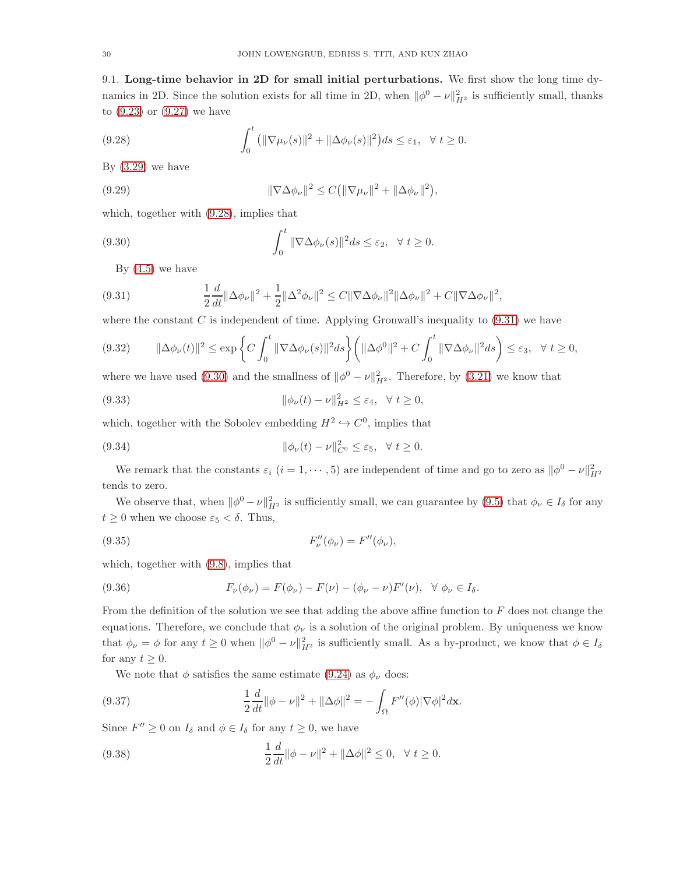9.1. Long-time behavior in 2D for small initial perturbations. We first show the long time dynamics in 2D. Since the solution exists for all time in 2D, when  $\|\phi^0 - \nu\|_{H^2}^2$  is sufficiently small, thanks to [\(9.23\)](#page-28-6) or [\(9.27\)](#page-28-7) we have

<span id="page-29-0"></span>(9.28) 
$$
\int_0^t \left( \|\nabla \mu_\nu(s)\|^2 + \|\Delta \phi_\nu(s)\|^2 \right) ds \leq \varepsilon_1, \quad \forall \ t \geq 0.
$$

By  $(3.29)$  we have

(9.29) 
$$
\|\nabla \Delta \phi_{\nu}\|^2 \le C \left(\|\nabla \mu_{\nu}\|^2 + \|\Delta \phi_{\nu}\|^2\right),
$$

which, together with [\(9.28\)](#page-29-0), implies that

(9.30) 
$$
\int_0^t \|\nabla \Delta \phi_\nu(s)\|^2 ds \leq \varepsilon_2, \quad \forall \ t \geq 0.
$$

<span id="page-29-2"></span><span id="page-29-1"></span>By  $(4.5)$  we have

(9.31) 
$$
\frac{1}{2}\frac{d}{dt}\|\Delta\phi_{\nu}\|^2 + \frac{1}{2}\|\Delta^2\phi_{\nu}\|^2 \leq C\|\nabla\Delta\phi_{\nu}\|^2\|\Delta\phi_{\nu}\|^2 + C\|\nabla\Delta\phi_{\nu}\|^2,
$$

where the constant  $C$  is independent of time. Applying Gronwall's inequality to  $(9.31)$  we have

$$
(9.32) \qquad \|\Delta\phi_{\nu}(t)\|^2 \le \exp\bigg\{C\int_0^t \|\nabla\Delta\phi_{\nu}(s)\|^2 ds\bigg\} \bigg(\|\Delta\phi^0\|^2 + C\int_0^t \|\nabla\Delta\phi_{\nu}\|^2 ds\bigg) \le \varepsilon_3, \quad \forall \ t \ge 0,
$$

where we have used [\(9.30\)](#page-29-2) and the smallness of  $\|\phi^0 - \nu\|_{H^2}^2$ . Therefore, by [\(3.21\)](#page-8-3) we know that

<span id="page-29-3"></span>(9.33) 
$$
\|\phi_{\nu}(t)-\nu\|_{H^2}^2 \leq \varepsilon_4, \quad \forall \ t \geq 0,
$$

which, together with the Sobolev embedding  $H^2 \hookrightarrow C^0$ , implies that

(9.34) 
$$
\|\phi_{\nu}(t)-\nu\|_{C^0}^2 \leq \varepsilon_5, \quad \forall \ t \geq 0.
$$

We remark that the constants  $\varepsilon_i$   $(i = 1, \dots, 5)$  are independent of time and go to zero as  $\|\phi^0 - \nu\|_{H^2}^2$ tends to zero.

We observe that, when  $\|\phi^0 - \nu\|_{H^2}^2$  is sufficiently small, we can guarantee by [\(9.5\)](#page-26-0) that  $\phi_\nu \in I_\delta$  for any  $t \geq 0$  when we choose  $\varepsilon_5 < \delta$ . Thus,

(9.35) 
$$
F''_{\nu}(\phi_{\nu}) = F''(\phi_{\nu}),
$$

which, together with [\(9.8\)](#page-27-0), implies that

(9.36) 
$$
F_{\nu}(\phi_{\nu}) = F(\phi_{\nu}) - F(\nu) - (\phi_{\nu} - \nu)F'(\nu), \ \ \forall \ \phi_{\nu} \in I_{\delta}.
$$

From the definition of the solution we see that adding the above affine function to  $F$  does not change the equations. Therefore, we conclude that  $\phi_{\nu}$  is a solution of the original problem. By uniqueness we know that  $\phi_{\nu} = \phi$  for any  $t \ge 0$  when  $\|\phi^0 - \nu\|_{H^2}^2$  is sufficiently small. As a by-product, we know that  $\phi \in I_{\delta}$ for any  $t \geq 0$ .

<span id="page-29-4"></span>We note that  $\phi$  satisfies the same estimate [\(9.24\)](#page-28-8) as  $\phi_{\nu}$  does:

(9.37) 
$$
\frac{1}{2}\frac{d}{dt}\|\phi - \nu\|^2 + \|\Delta\phi\|^2 = -\int_{\Omega} F''(\phi) |\nabla\phi|^2 d\mathbf{x}.
$$

Since  $F'' \ge 0$  on  $I_{\delta}$  and  $\phi \in I_{\delta}$  for any  $t \ge 0$ , we have

(9.38) 
$$
\frac{1}{2}\frac{d}{dt}\|\phi - \nu\|^2 + \|\Delta\phi\|^2 \le 0, \quad \forall \ t \ge 0.
$$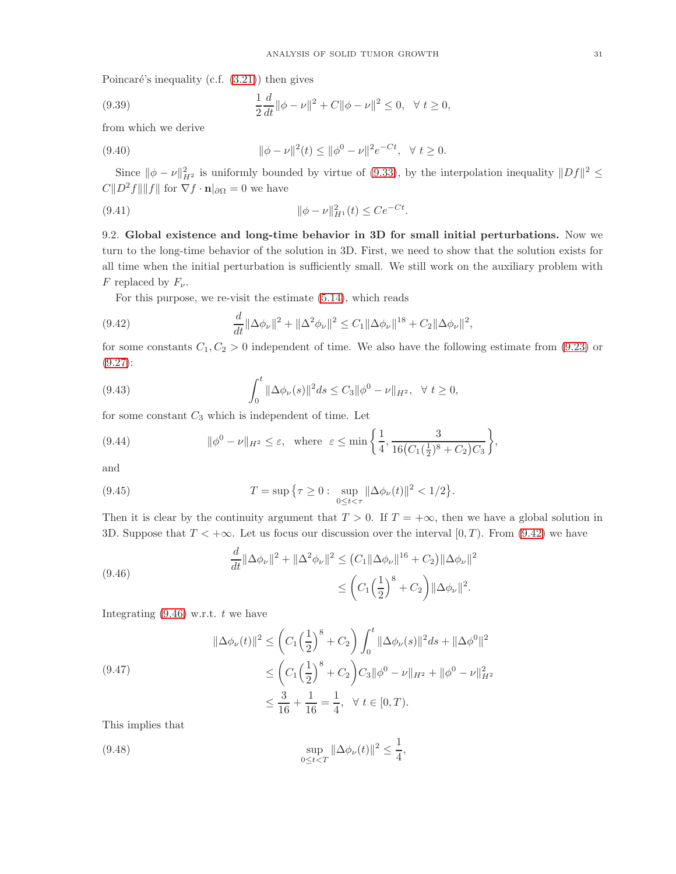Poincaré's inequality (c.f.  $(3.21)$ ) then gives

(9.39) 
$$
\frac{1}{2}\frac{d}{dt}\|\phi - \nu\|^2 + C\|\phi - \nu\|^2 \le 0, \quad \forall \ t \ge 0,
$$

from which we derive

(9.40) 
$$
\|\phi - \nu\|^2(t) \le \|\phi^0 - \nu\|^2 e^{-Ct}, \quad \forall \ t \ge 0.
$$

Since  $\|\phi - \nu\|_{H^2}^2$  is uniformly bounded by virtue of [\(9.33\)](#page-29-3), by the interpolation inequality  $||Df||^2 \le$  $C||D^2f|| ||f||$  for  $\nabla f \cdot \mathbf{n}|_{\partial\Omega} = 0$  we have

(9.41) 
$$
\|\phi - \nu\|_{H^1}^2(t) \le Ce^{-Ct}.
$$

9.2. Global existence and long-time behavior in 3D for small initial perturbations. Now we turn to the long-time behavior of the solution in 3D. First, we need to show that the solution exists for all time when the initial perturbation is sufficiently small. We still work on the auxiliary problem with F replaced by  $F_{\nu}$ .

<span id="page-30-0"></span>For this purpose, we re-visit the estimate [\(5.14\)](#page-17-2), which reads

(9.42) 
$$
\frac{d}{dt} \|\Delta \phi_{\nu}\|^2 + \|\Delta^2 \phi_{\nu}\|^2 \leq C_1 \|\Delta \phi_{\nu}\|^{18} + C_2 \|\Delta \phi_{\nu}\|^2,
$$

for some constants  $C_1, C_2 > 0$  independent of time. We also have the following estimate from [\(9.23\)](#page-28-6) or [\(9.27\)](#page-28-7):

(9.43) 
$$
\int_0^t \|\Delta \phi_\nu(s)\|^2 ds \leq C_3 \|\phi^0 - \nu\|_{H^2}, \quad \forall \ t \geq 0,
$$

for some constant  $C_3$  which is independent of time. Let

<span id="page-30-2"></span>(9.44) 
$$
\|\phi^0 - \nu\|_{H^2} \le \varepsilon, \text{ where } \varepsilon \le \min\left\{\frac{1}{4}, \frac{3}{16(C_1(\frac{1}{2})^8 + C_2)C_3}\right\},\
$$

and

(9.45) 
$$
T = \sup \{ \tau \ge 0 : \sup_{0 \le t < \tau} ||\Delta \phi_{\nu}(t)||^2 < 1/2 \}.
$$

Then it is clear by the continuity argument that  $T > 0$ . If  $T = +\infty$ , then we have a global solution in 3D. Suppose that  $T < +\infty$ . Let us focus our discussion over the interval [0, T]. From [\(9.42\)](#page-30-0) we have

<span id="page-30-1"></span>(9.46) 
$$
\frac{d}{dt} ||\Delta \phi_{\nu}||^{2} + ||\Delta^{2} \phi_{\nu}||^{2} \leq (C_{1} ||\Delta \phi_{\nu}||^{16} + C_{2}) ||\Delta \phi_{\nu}||^{2} \leq (C_{1} \left(\frac{1}{2}\right)^{8} + C_{2}) ||\Delta \phi_{\nu}||^{2}.
$$

Integrating  $(9.46)$  w.r.t. t we have

$$
\|\Delta\phi_{\nu}(t)\|^2 \leq \left(C_1\left(\frac{1}{2}\right)^8 + C_2\right) \int_0^t \|\Delta\phi_{\nu}(s)\|^2 ds + \|\Delta\phi^0\|^2
$$
  

$$
\leq \left(C_1\left(\frac{1}{2}\right)^8 + C_2\right) C_3 \|\phi^0 - \nu\|_{H^2} + \|\phi^0 - \nu\|_{H^2}^2
$$
  

$$
\leq \frac{3}{16} + \frac{1}{16} = \frac{1}{4}, \quad \forall \ t \in [0, T).
$$

This implies that

(9.48) 
$$
\sup_{0 \le t < T} \|\Delta \phi_{\nu}(t)\|^2 \le \frac{1}{4},
$$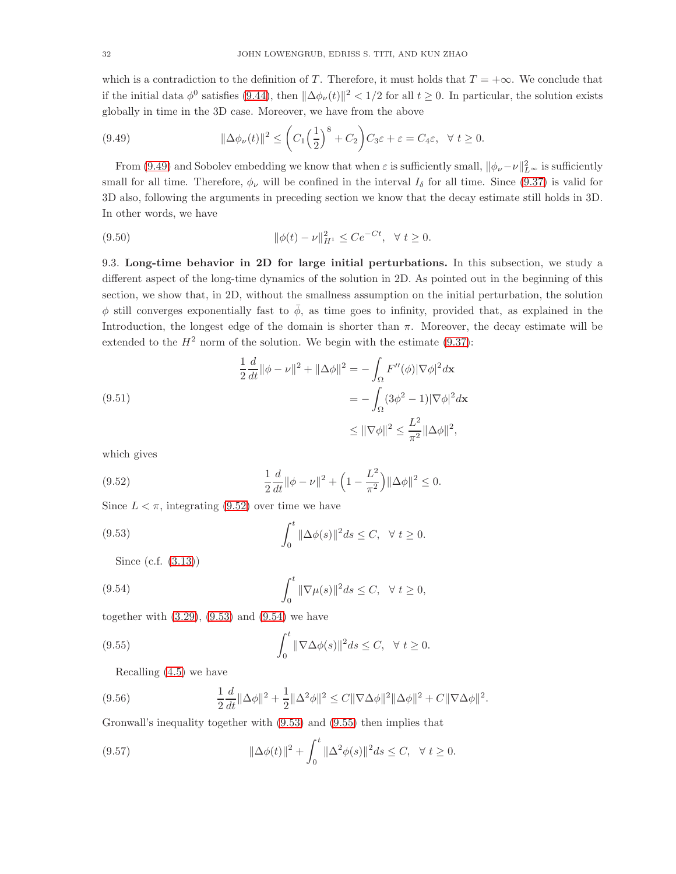which is a contradiction to the definition of T. Therefore, it must holds that  $T = +\infty$ . We conclude that if the initial data  $\phi^0$  satisfies [\(9.44\)](#page-30-2), then  $\|\Delta\phi_{\nu}(t)\|^2 < 1/2$  for all  $t \ge 0$ . In particular, the solution exists globally in time in the 3D case. Moreover, we have from the above

<span id="page-31-0"></span>(9.49) 
$$
\|\Delta \phi_{\nu}(t)\|^2 \leq \left(C_1 \left(\frac{1}{2}\right)^8 + C_2\right) C_3 \varepsilon + \varepsilon = C_4 \varepsilon, \quad \forall \ t \geq 0.
$$

From [\(9.49\)](#page-31-0) and Sobolev embedding we know that when  $\varepsilon$  is sufficiently small,  $\|\phi_\nu-\nu\|_{L^\infty}^2$  is sufficiently small for all time. Therefore,  $\phi_{\nu}$  will be confined in the interval  $I_{\delta}$  for all time. Since [\(9.37\)](#page-29-4) is valid for 3D also, following the arguments in preceding section we know that the decay estimate still holds in 3D. In other words, we have

(9.50) 
$$
\|\phi(t) - \nu\|_{H^1}^2 \le Ce^{-Ct}, \ \ \forall \ t \ge 0.
$$

9.3. Long-time behavior in 2D for large initial perturbations. In this subsection, we study a different aspect of the long-time dynamics of the solution in 2D. As pointed out in the beginning of this section, we show that, in 2D, without the smallness assumption on the initial perturbation, the solution  $\phi$  still converges exponentially fast to  $\bar{\phi}$ , as time goes to infinity, provided that, as explained in the Introduction, the longest edge of the domain is shorter than  $\pi$ . Moreover, the decay estimate will be extended to the  $H^2$  norm of the solution. We begin with the estimate [\(9.37\)](#page-29-4):

(9.51)  
\n
$$
\frac{1}{2}\frac{d}{dt}\|\phi - \nu\|^2 + \|\Delta\phi\|^2 = -\int_{\Omega} F''(\phi)|\nabla\phi|^2 d\mathbf{x}
$$
\n
$$
= -\int_{\Omega} (3\phi^2 - 1)|\nabla\phi|^2 d\mathbf{x}
$$
\n
$$
\leq \|\nabla\phi\|^2 \leq \frac{L^2}{\pi^2}\|\Delta\phi\|^2,
$$

which gives

<span id="page-31-1"></span>(9.52) 
$$
\frac{1}{2}\frac{d}{dt}\|\phi - \nu\|^2 + \left(1 - \frac{L^2}{\pi^2}\right)\|\Delta\phi\|^2 \le 0.
$$

Since  $L < \pi$ , integrating [\(9.52\)](#page-31-1) over time we have

(9.53) 
$$
\int_0^t \|\Delta \phi(s)\|^2 ds \leq C, \quad \forall \ t \geq 0.
$$

<span id="page-31-3"></span><span id="page-31-2"></span>Since (c.f. [\(3.13\)](#page-7-2))

(9.54) 
$$
\int_0^t \|\nabla \mu(s)\|^2 ds \leq C, \quad \forall \ t \geq 0,
$$

together with  $(3.29)$ ,  $(9.53)$  and  $(9.54)$  we have

(9.55) 
$$
\int_0^t \|\nabla \Delta \phi(s)\|^2 ds \leq C, \quad \forall \ t \geq 0.
$$

<span id="page-31-5"></span><span id="page-31-4"></span>Recalling [\(4.5\)](#page-11-1) we have

(9.56) 
$$
\frac{1}{2}\frac{d}{dt}\|\Delta\phi\|^2 + \frac{1}{2}\|\Delta^2\phi\|^2 \leq C\|\nabla\Delta\phi\|^2\|\Delta\phi\|^2 + C\|\nabla\Delta\phi\|^2.
$$

Gronwall's inequality together with [\(9.53\)](#page-31-2) and [\(9.55\)](#page-31-4) then implies that

(9.57) 
$$
\|\Delta \phi(t)\|^2 + \int_0^t \|\Delta^2 \phi(s)\|^2 ds \le C, \quad \forall \ t \ge 0.
$$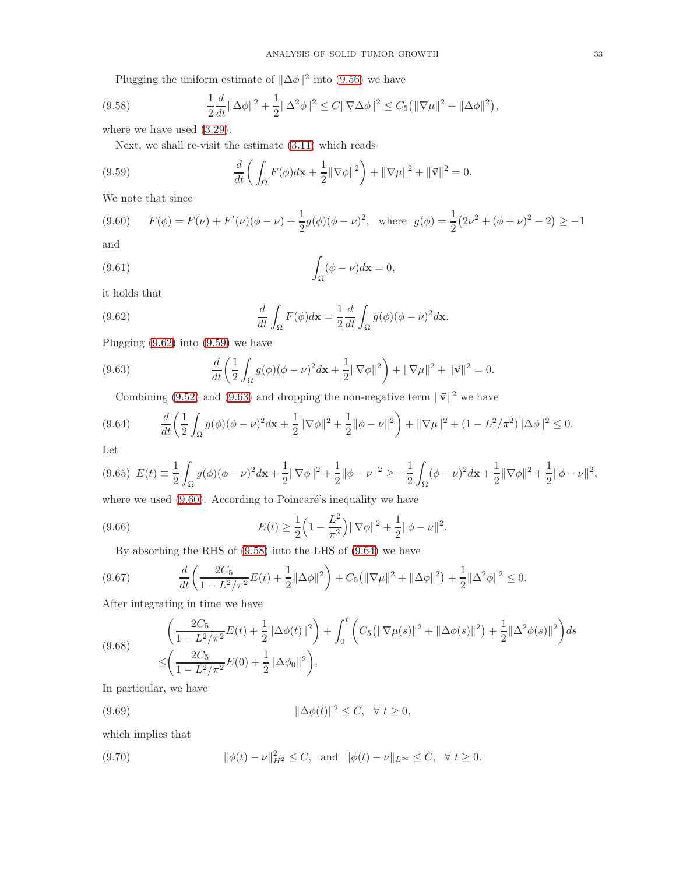<span id="page-32-4"></span>Plugging the uniform estimate of  $\|\Delta\phi\|^2$  into [\(9.56\)](#page-31-5) we have

(9.58) 
$$
\frac{1}{2}\frac{d}{dt}\|\Delta\phi\|^2 + \frac{1}{2}\|\Delta^2\phi\|^2 \leq C\|\nabla\Delta\phi\|^2 \leq C_5\big(\|\nabla\mu\|^2 + \|\Delta\phi\|^2\big),
$$

where we have used [\(3.29\)](#page-9-1).

<span id="page-32-1"></span>Next, we shall re-visit the estimate [\(3.11\)](#page-7-6) which reads

(9.59) 
$$
\frac{d}{dt} \left( \int_{\Omega} F(\phi) d\mathbf{x} + \frac{1}{2} ||\nabla \phi||^2 \right) + ||\nabla \mu||^2 + ||\vec{\mathbf{v}}||^2 = 0.
$$

We note that since

<span id="page-32-3"></span>
$$
(9.60) \qquad F(\phi) = F(\nu) + F'(\nu)(\phi - \nu) + \frac{1}{2}g(\phi)(\phi - \nu)^2, \quad \text{where} \quad g(\phi) = \frac{1}{2}(2\nu^2 + (\phi + \nu)^2 - 2) \ge -1
$$

and

(9.61) 
$$
\int_{\Omega} (\phi - \nu) d\mathbf{x} = 0,
$$

it holds that

<span id="page-32-0"></span>(9.62) 
$$
\frac{d}{dt} \int_{\Omega} F(\phi) d\mathbf{x} = \frac{1}{2} \frac{d}{dt} \int_{\Omega} g(\phi) (\phi - \nu)^2 d\mathbf{x}.
$$

Plugging [\(9.62\)](#page-32-0) into [\(9.59\)](#page-32-1) we have

(9.63) 
$$
\frac{d}{dt} \left( \frac{1}{2} \int_{\Omega} g(\phi) (\phi - \nu)^2 d\mathbf{x} + \frac{1}{2} ||\nabla \phi||^2 \right) + ||\nabla \mu||^2 + ||\vec{\mathbf{v}}||^2 = 0.
$$

<span id="page-32-5"></span><span id="page-32-2"></span>Combining [\(9.52\)](#page-31-1) and [\(9.63\)](#page-32-2) and dropping the non-negative term  $\|\vec{v}\|^2$  we have

$$
(9.64) \qquad \frac{d}{dt}\left(\frac{1}{2}\int_{\Omega}g(\phi)(\phi-\nu)^2d\mathbf{x}+\frac{1}{2}\|\nabla\phi\|^2+\frac{1}{2}\|\phi-\nu\|^2\right)+\|\nabla\mu\|^2+(1-L^2/\pi^2)\|\Delta\phi\|^2\leq 0.
$$

Let

$$
(9.65)\ \ E(t) \equiv \frac{1}{2} \int_{\Omega} g(\phi) (\phi - \nu)^2 d\mathbf{x} + \frac{1}{2} \|\nabla \phi\|^2 + \frac{1}{2} \|\phi - \nu\|^2 \geq -\frac{1}{2} \int_{\Omega} (\phi - \nu)^2 d\mathbf{x} + \frac{1}{2} \|\nabla \phi\|^2 + \frac{1}{2} \|\phi - \nu\|^2,
$$

where we used  $(9.60)$ . According to Poincaré's inequality we have

(9.66) 
$$
E(t) \geq \frac{1}{2} \left( 1 - \frac{L^2}{\pi^2} \right) ||\nabla \phi||^2 + \frac{1}{2} ||\phi - \nu||^2.
$$

<span id="page-32-8"></span><span id="page-32-7"></span>By absorbing the RHS of [\(9.58\)](#page-32-4) into the LHS of [\(9.64\)](#page-32-5) we have

$$
(9.67) \qquad \frac{d}{dt}\left(\frac{2C_5}{1-L^2/\pi^2}E(t)+\frac{1}{2}\|\Delta\phi\|^2\right)+C_5\left(\|\nabla\mu\|^2+\|\Delta\phi\|^2\right)+\frac{1}{2}\|\Delta^2\phi\|^2\leq 0.
$$

After integrating in time we have

$$
(9.68) \qquad \left(\frac{2C_5}{1 - L^2/\pi^2}E(t) + \frac{1}{2}\|\Delta\phi(t)\|^2\right) + \int_0^t \left(C_5\left(\|\nabla\mu(s)\|^2 + \|\Delta\phi(s)\|^2\right) + \frac{1}{2}\|\Delta^2\phi(s)\|^2\right)ds
$$
\n
$$
\leq \left(\frac{2C_5}{1 - L^2/\pi^2}E(0) + \frac{1}{2}\|\Delta\phi_0\|^2\right).
$$

In particular, we have

$$
(9.69) \t\t\t\t ||\Delta\phi(t)||^2 \le C, \quad \forall \ t \ge 0,
$$

which implies that

<span id="page-32-6"></span>(9.70) 
$$
\|\phi(t) - \nu\|_{H^2}^2 \le C, \text{ and } \|\phi(t) - \nu\|_{L^\infty} \le C, \forall t \ge 0.
$$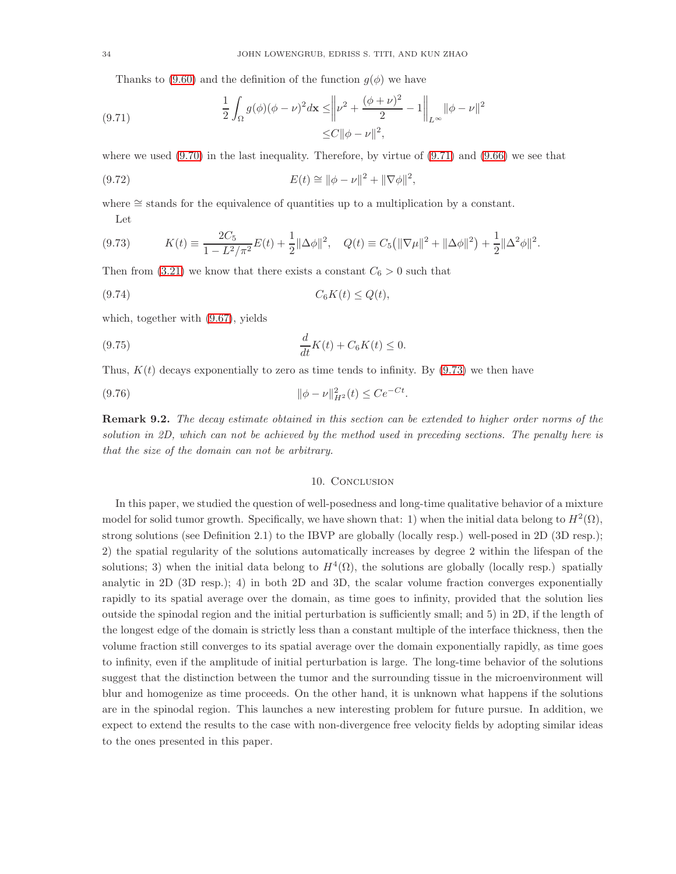<span id="page-33-0"></span>Thanks to [\(9.60\)](#page-32-3) and the definition of the function  $g(\phi)$  we have

(9.71) 
$$
\frac{1}{2} \int_{\Omega} g(\phi) (\phi - \nu)^2 d\mathbf{x} \le \left\| \nu^2 + \frac{(\phi + \nu)^2}{2} - 1 \right\|_{L^{\infty}} \|\phi - \nu\|^2 \le C \|\phi - \nu\|^2,
$$

where we used  $(9.70)$  in the last inequality. Therefore, by virtue of  $(9.71)$  and  $(9.66)$  we see that

(9.72) 
$$
E(t) \cong ||\phi - \nu||^2 + ||\nabla \phi||^2,
$$

where ≅ stands for the equivalence of quantities up to a multiplication by a constant. Let

<span id="page-33-1"></span>
$$
(9.73) \t K(t) = \frac{2C_5}{1 - L^2/\pi^2} E(t) + \frac{1}{2} ||\Delta\phi||^2, \quad Q(t) = C_5 (||\nabla\mu||^2 + ||\Delta\phi||^2) + \frac{1}{2} ||\Delta^2\phi||^2.
$$

Then from [\(3.21\)](#page-8-3) we know that there exists a constant  $C_6 > 0$  such that

$$
(9.74) \tC_6K(t) \le Q(t),
$$

which, together with [\(9.67\)](#page-32-8), yields

(9.75) 
$$
\frac{d}{dt}K(t) + C_6K(t) \le 0.
$$

Thus,  $K(t)$  decays exponentially to zero as time tends to infinity. By [\(9.73\)](#page-33-1) we then have

(9.76) kφ − νk 2 <sup>H</sup><sup>2</sup> (t) <sup>≤</sup> Ce<sup>−</sup>Ct .

Remark 9.2. The decay estimate obtained in this section can be extended to higher order norms of the solution in 2D, which can not be achieved by the method used in preceding sections. The penalty here is that the size of the domain can not be arbitrary.

## 10. CONCLUSION

In this paper, we studied the question of well-posedness and long-time qualitative behavior of a mixture model for solid tumor growth. Specifically, we have shown that: 1) when the initial data belong to  $H^2(\Omega)$ , strong solutions (see Definition 2.1) to the IBVP are globally (locally resp.) well-posed in 2D (3D resp.); 2) the spatial regularity of the solutions automatically increases by degree 2 within the lifespan of the solutions; 3) when the initial data belong to  $H^4(\Omega)$ , the solutions are globally (locally resp.) spatially analytic in 2D (3D resp.); 4) in both 2D and 3D, the scalar volume fraction converges exponentially rapidly to its spatial average over the domain, as time goes to infinity, provided that the solution lies outside the spinodal region and the initial perturbation is sufficiently small; and 5) in 2D, if the length of the longest edge of the domain is strictly less than a constant multiple of the interface thickness, then the volume fraction still converges to its spatial average over the domain exponentially rapidly, as time goes to infinity, even if the amplitude of initial perturbation is large. The long-time behavior of the solutions suggest that the distinction between the tumor and the surrounding tissue in the microenvironment will blur and homogenize as time proceeds. On the other hand, it is unknown what happens if the solutions are in the spinodal region. This launches a new interesting problem for future pursue. In addition, we expect to extend the results to the case with non-divergence free velocity fields by adopting similar ideas to the ones presented in this paper.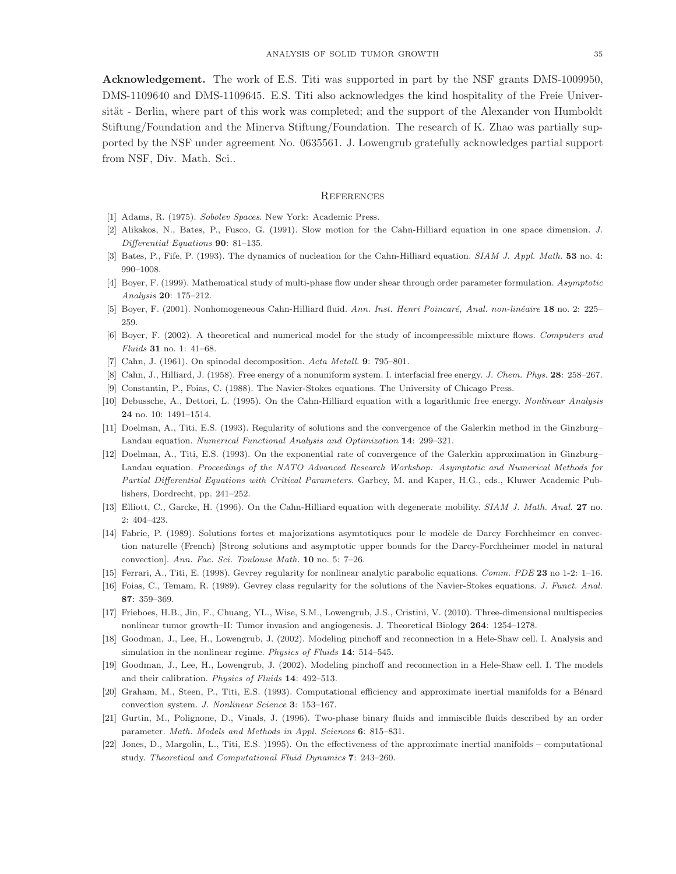Acknowledgement. The work of E.S. Titi was supported in part by the NSF grants DMS-1009950, DMS-1109640 and DMS-1109645. E.S. Titi also acknowledges the kind hospitality of the Freie Universität - Berlin, where part of this work was completed; and the support of the Alexander von Humboldt Stiftung/Foundation and the Minerva Stiftung/Foundation. The research of K. Zhao was partially supported by the NSF under agreement No. 0635561. J. Lowengrub gratefully acknowledges partial support from NSF, Div. Math. Sci..

#### **REFERENCES**

- <span id="page-34-19"></span><span id="page-34-3"></span>[1] Adams, R. (1975). Sobolev Spaces. New York: Academic Press.
- <span id="page-34-4"></span>[2] Alikakos, N., Bates, P., Fusco, G. (1991). Slow motion for the Cahn-Hilliard equation in one space dimension. J. Differential Equations 90: 81–135.
- <span id="page-34-5"></span>[3] Bates, P., Fife, P. (1993). The dynamics of nucleation for the Cahn-Hilliard equation. SIAM J. Appl. Math. 53 no. 4: 990–1008.
- <span id="page-34-6"></span>[4] Boyer, F. (1999). Mathematical study of multi-phase flow under shear through order parameter formulation. Asymptotic Analysis 20: 175–212.
- <span id="page-34-7"></span>[5] Boyer, F. (2001). Nonhomogeneous Cahn-Hilliard fluid. Ann. Inst. Henri Poincaré, Anal. non-linéaire 18 no. 2: 225– 259.
- [6] Boyer, F. (2002). A theoretical and numerical model for the study of incompressible mixture flows. Computers and Fluids 31 no. 1: 41–68.
- [7] Cahn, J. (1961). On spinodal decomposition. Acta Metall. 9: 795–801.
- <span id="page-34-11"></span>[8] Cahn, J., Hilliard, J. (1958). Free energy of a nonuniform system. I. interfacial free energy. J. Chem. Phys. 28: 258–267.
- <span id="page-34-8"></span>[9] Constantin, P., Foias, C. (1988). The Navier-Stokes equations. The University of Chicago Press.
- <span id="page-34-14"></span>[10] Debussche, A., Dettori, L. (1995). On the Cahn-Hilliard equation with a logarithmic free energy. Nonlinear Analysis 24 no. 10: 1491–1514.
- <span id="page-34-15"></span>[11] Doelman, A., Titi, E.S. (1993). Regularity of solutions and the convergence of the Galerkin method in the Ginzburg– Landau equation. Numerical Functional Analysis and Optimization 14: 299–321.
- [12] Doelman, A., Titi, E.S. (1993). On the exponential rate of convergence of the Galerkin approximation in Ginzburg– Landau equation. Proceedings of the NATO Advanced Research Workshop: Asymptotic and Numerical Methods for Partial Differential Equations with Critical Parameters. Garbey, M. and Kaper, H.G., eds., Kluwer Academic Publishers, Dordrecht, pp. 241–252.
- <span id="page-34-18"></span><span id="page-34-9"></span>[13] Elliott, C., Garcke, H. (1996). On the Cahn-Hilliard equation with degenerate mobility. SIAM J. Math. Anal. 27 no. 2: 404–423.
- [14] Fabrie, P. (1989). Solutions fortes et majorizations asymtotiques pour le modèle de Darcy Forchheimer en convection naturelle (French) [Strong solutions and asymptotic upper bounds for the Darcy-Forchheimer model in natural convection]. Ann. Fac. Sci. Toulouse Math. 10 no. 5: 7–26.
- <span id="page-34-13"></span><span id="page-34-12"></span>[15] Ferrari, A., Titi, E. (1998). Gevrey regularity for nonlinear analytic parabolic equations. Comm. PDE 23 no 1-2: 1–16.
- <span id="page-34-0"></span>[16] Foias, C., Temam, R. (1989). Gevrey class regularity for the solutions of the Navier-Stokes equations. J. Funct. Anal. 87: 359–369.
- <span id="page-34-1"></span>[17] Frieboes, H.B., Jin, F., Chuang, YL., Wise, S.M., Lowengrub, J.S., Cristini, V. (2010). Three-dimensional multispecies nonlinear tumor growth–II: Tumor invasion and angiogenesis. J. Theoretical Biology 264: 1254–1278.
- <span id="page-34-2"></span>[18] Goodman, J., Lee, H., Lowengrub, J. (2002). Modeling pinchoff and reconnection in a Hele-Shaw cell. I. Analysis and simulation in the nonlinear regime. Physics of Fluids 14: 514–545.
- <span id="page-34-16"></span>[19] Goodman, J., Lee, H., Lowengrub, J. (2002). Modeling pinchoff and reconnection in a Hele-Shaw cell. I. The models and their calibration. Physics of Fluids 14: 492–513.
- <span id="page-34-10"></span>[20] Graham, M., Steen, P., Titi, E.S. (1993). Computational efficiency and approximate inertial manifolds for a Bénard convection system. J. Nonlinear Science 3: 153–167.
- <span id="page-34-17"></span>[21] Gurtin, M., Polignone, D., Vinals, J. (1996). Two-phase binary fluids and immiscible fluids described by an order parameter. Math. Models and Methods in Appl. Sciences 6: 815–831.
- [22] Jones, D., Margolin, L., Titi, E.S. )1995). On the effectiveness of the approximate inertial manifolds computational study. Theoretical and Computational Fluid Dynamics 7: 243–260.